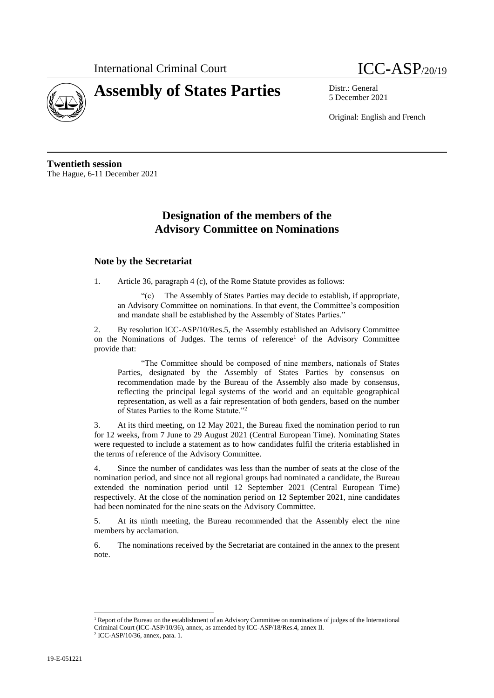



5 December 2021

Original: English and French

**Twentieth session** The Hague, 6-11 December 2021

# **Designation of the members of the Advisory Committee on Nominations**

### **Note by the Secretariat**

1. Article 36, paragraph 4 (c), of the Rome Statute provides as follows:

"(c) The Assembly of States Parties may decide to establish, if appropriate, an Advisory Committee on nominations. In that event, the Committee's composition and mandate shall be established by the Assembly of States Parties."

2. By resolution ICC-ASP/10/Res.5, the Assembly established an Advisory Committee on the Nominations of Judges. The terms of reference<sup>1</sup> of the Advisory Committee provide that:

"The Committee should be composed of nine members, nationals of States Parties, designated by the Assembly of States Parties by consensus on recommendation made by the Bureau of the Assembly also made by consensus, reflecting the principal legal systems of the world and an equitable geographical representation, as well as a fair representation of both genders, based on the number of States Parties to the Rome Statute."<sup>2</sup>

3. At its third meeting, on 12 May 2021, the Bureau fixed the nomination period to run for 12 weeks, from 7 June to 29 August 2021 (Central European Time). Nominating States were requested to include a statement as to how candidates fulfil the criteria established in the terms of reference of the Advisory Committee.

4. Since the number of candidates was less than the number of seats at the close of the nomination period, and since not all regional groups had nominated a candidate, the Bureau extended the nomination period until 12 September 2021 (Central European Time) respectively. At the close of the nomination period on 12 September 2021, nine candidates had been nominated for the nine seats on the Advisory Committee.

5. At its ninth meeting, the Bureau recommended that the Assembly elect the nine members by acclamation.

6. The nominations received by the Secretariat are contained in the annex to the present note.

 $\overline{a}$ 

<sup>&</sup>lt;sup>1</sup> Report of the Bureau on the establishment of an Advisory Committee on nominations of judges of the International Criminal Court (ICC-ASP/10/36), annex, as amended by ICC-ASP/18/Res.4, annex II.

<sup>2</sup> ICC-ASP/10/36, annex, para. 1.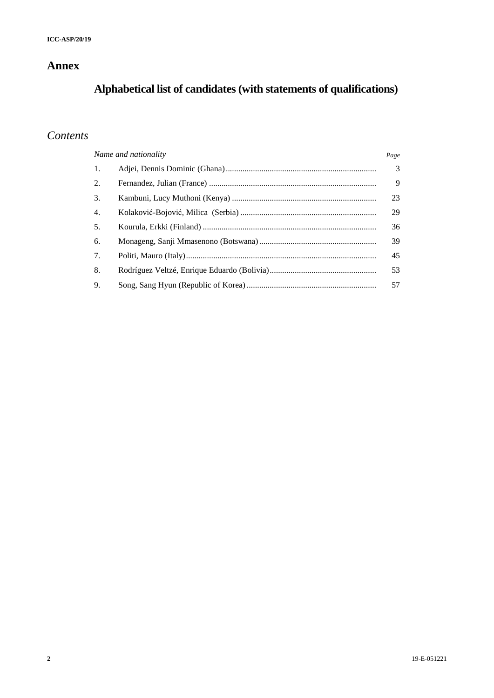# **Annex**

# **Alphabetical list of candidates (with statements of qualifications)**

# *Contents*

| Name and nationality |  | Page          |
|----------------------|--|---------------|
| 1.                   |  | $\mathcal{F}$ |
| 2.                   |  | 9             |
| 3.                   |  | 23            |
| 4.                   |  | 29            |
| 5.                   |  | 36            |
| 6.                   |  | 39            |
| 7.                   |  | 45            |
| 8.                   |  | 53            |
| 9.                   |  | 57            |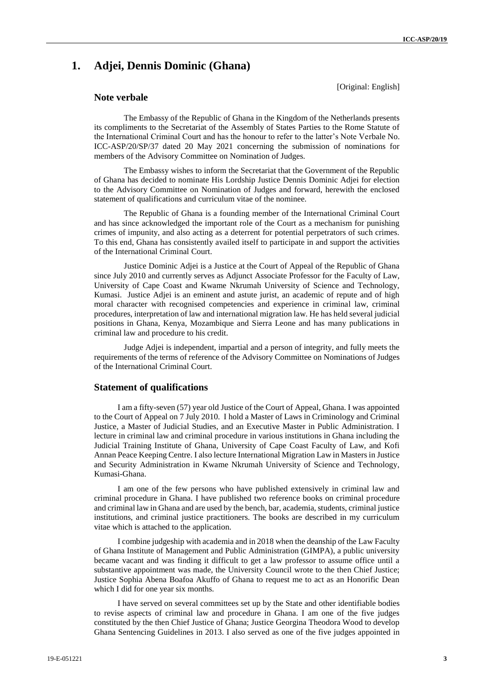# **1. Adjei, Dennis Dominic (Ghana)**

**Note verbale**

The Embassy of the Republic of Ghana in the Kingdom of the Netherlands presents its compliments to the Secretariat of the Assembly of States Parties to the Rome Statute of the International Criminal Court and has the honour to refer to the latter's Note Verbale No. ICC-ASP/20/SP/37 dated 20 May 2021 concerning the submission of nominations for members of the Advisory Committee on Nomination of Judges.

The Embassy wishes to inform the Secretariat that the Government of the Republic of Ghana has decided to nominate His Lordship Justice Dennis Dominic Adjei for election to the Advisory Committee on Nomination of Judges and forward, herewith the enclosed statement of qualifications and curriculum vitae of the nominee.

The Republic of Ghana is a founding member of the International Criminal Court and has since acknowledged the important role of the Court as a mechanism for punishing crimes of impunity, and also acting as a deterrent for potential perpetrators of such crimes. To this end, Ghana has consistently availed itself to participate in and support the activities of the International Criminal Court.

Justice Dominic Adjei is a Justice at the Court of Appeal of the Republic of Ghana since July 2010 and currently serves as Adjunct Associate Professor for the Faculty of Law, University of Cape Coast and Kwame Nkrumah University of Science and Technology, Kumasi. Justice Adjei is an eminent and astute jurist, an academic of repute and of high moral character with recognised competencies and experience in criminal law, criminal procedures, interpretation of law and international migration law. He has held several judicial positions in Ghana, Kenya, Mozambique and Sierra Leone and has many publications in criminal law and procedure to his credit.

Judge Adjei is independent, impartial and a person of integrity, and fully meets the requirements of the terms of reference of the Advisory Committee on Nominations of Judges of the International Criminal Court.

### **Statement of qualifications**

I am a fifty-seven (57) year old Justice of the Court of Appeal, Ghana. I was appointed to the Court of Appeal on 7 July 2010. I hold a Master of Laws in Criminology and Criminal Justice, a Master of Judicial Studies, and an Executive Master in Public Administration. I lecture in criminal law and criminal procedure in various institutions in Ghana including the Judicial Training Institute of Ghana, University of Cape Coast Faculty of Law, and Kofi Annan Peace Keeping Centre. I also lecture International Migration Law in Masters in Justice and Security Administration in Kwame Nkrumah University of Science and Technology, Kumasi-Ghana.

I am one of the few persons who have published extensively in criminal law and criminal procedure in Ghana. I have published two reference books on criminal procedure and criminal law in Ghana and are used by the bench, bar, academia, students, criminal justice institutions, and criminal justice practitioners. The books are described in my curriculum vitae which is attached to the application.

I combine judgeship with academia and in 2018 when the deanship of the Law Faculty of Ghana Institute of Management and Public Administration (GIMPA), a public university became vacant and was finding it difficult to get a law professor to assume office until a substantive appointment was made, the University Council wrote to the then Chief Justice; Justice Sophia Abena Boafoa Akuffo of Ghana to request me to act as an Honorific Dean which I did for one year six months.

I have served on several committees set up by the State and other identifiable bodies to revise aspects of criminal law and procedure in Ghana. I am one of the five judges constituted by the then Chief Justice of Ghana; Justice Georgina Theodora Wood to develop Ghana Sentencing Guidelines in 2013. I also served as one of the five judges appointed in

[Original: English]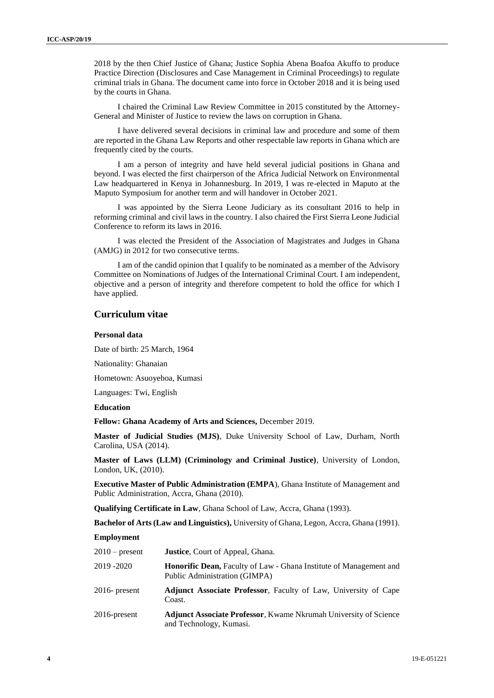2018 by the then Chief Justice of Ghana; Justice Sophia Abena Boafoa Akuffo to produce Practice Direction (Disclosures and Case Management in Criminal Proceedings) to regulate criminal trials in Ghana. The document came into force in October 2018 and it is being used by the courts in Ghana.

I chaired the Criminal Law Review Committee in 2015 constituted by the Attorney-General and Minister of Justice to review the laws on corruption in Ghana.

I have delivered several decisions in criminal law and procedure and some of them are reported in the Ghana Law Reports and other respectable law reports in Ghana which are frequently cited by the courts.

I am a person of integrity and have held several judicial positions in Ghana and beyond. I was elected the first chairperson of the Africa Judicial Network on Environmental Law headquartered in Kenya in Johannesburg. In 2019, I was re-elected in Maputo at the Maputo Symposium for another term and will handover in October 2021.

I was appointed by the Sierra Leone Judiciary as its consultant 2016 to help in reforming criminal and civil laws in the country. I also chaired the First Sierra Leone Judicial Conference to reform its laws in 2016.

I was elected the President of the Association of Magistrates and Judges in Ghana (AMJG) in 2012 for two consecutive terms.

I am of the candid opinion that I qualify to be nominated as a member of the Advisory Committee on Nominations of Judges of the International Criminal Court. I am independent, objective and a person of integrity and therefore competent to hold the office for which I have applied.

### **Curriculum vitae**

#### **Personal data**

Date of birth: 25 March, 1964

Nationality: Ghanaian

Hometown: Asuoyeboa, Kumasi

Languages: Twi, English

### **Education**

**Fellow: Ghana Academy of Arts and Sciences,** December 2019.

**Master of Judicial Studies (MJS)**, Duke University School of Law, Durham, North Carolina, USA (2014).

**Master of Laws (LLM) (Criminology and Criminal Justice)**, University of London, London, UK, (2010).

**Executive Master of Public Administration (EMPA**), Ghana Institute of Management and Public Administration, Accra, Ghana (2010).

**Qualifying Certificate in Law**, Ghana School of Law, Accra, Ghana (1993).

**Bachelor of Arts (Law and Linguistics),** University of Ghana, Legon, Accra, Ghana (1991).

#### **Employment**

| $2010$ – present | <b>Justice.</b> Court of Appeal, Ghana.                                                                    |
|------------------|------------------------------------------------------------------------------------------------------------|
| 2019 -2020       | <b>Honorific Dean, Faculty of Law - Ghana Institute of Management and</b><br>Public Administration (GIMPA) |
| $2016$ - present | <b>Adjunct Associate Professor</b> , Faculty of Law, University of Cape<br>Coast.                          |
| 2016-present     | Adjunct Associate Professor, Kwame Nkrumah University of Science<br>and Technology, Kumasi.                |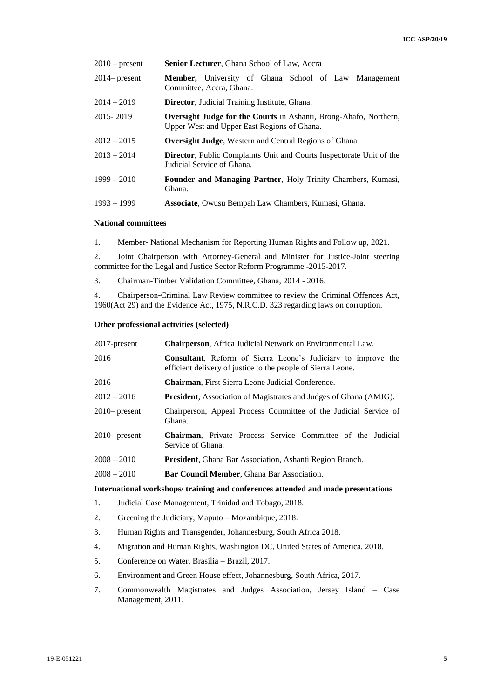| $2010$ – present | Senior Lecturer, Ghana School of Law, Accra                                                                      |
|------------------|------------------------------------------------------------------------------------------------------------------|
| $2014$ present   | <b>Member,</b> University of Ghana School of Law Management<br>Committee, Accra, Ghana.                          |
| $2014 - 2019$    | <b>Director</b> , Judicial Training Institute, Ghana.                                                            |
| 2015 - 2019      | Oversight Judge for the Courts in Ashanti, Brong-Ahafo, Northern,<br>Upper West and Upper East Regions of Ghana. |
| $2012 - 2015$    | <b>Oversight Judge, Western and Central Regions of Ghana</b>                                                     |
| $2013 - 2014$    | <b>Director, Public Complaints Unit and Courts Inspectorate Unit of the</b><br>Judicial Service of Ghana.        |
| $1999 - 2010$    | Founder and Managing Partner, Holy Trinity Chambers, Kumasi,<br>Ghana.                                           |
| $1993 - 1999$    | <b>Associate</b> , Owusu Bempah Law Chambers, Kumasi, Ghana.                                                     |

#### **National committees**

1. Member- National Mechanism for Reporting Human Rights and Follow up, 2021.

2. Joint Chairperson with Attorney-General and Minister for Justice-Joint steering committee for the Legal and Justice Sector Reform Programme -2015-2017.

3. Chairman-Timber Validation Committee, Ghana, 2014 - 2016.

4. Chairperson-Criminal Law Review committee to review the Criminal Offences Act, 1960(Act 29) and the Evidence Act, 1975, N.R.C.D. 323 regarding laws on corruption.

#### **Other professional activities (selected)**

| $2017$ -present                                                                   | <b>Chairperson</b> , Africa Judicial Network on Environmental Law.                                                                    |
|-----------------------------------------------------------------------------------|---------------------------------------------------------------------------------------------------------------------------------------|
| 2016                                                                              | <b>Consultant</b> , Reform of Sierra Leone's Judiciary to improve the<br>efficient delivery of justice to the people of Sierra Leone. |
| 2016                                                                              | <b>Chairman, First Sierra Leone Judicial Conference.</b>                                                                              |
| $2012 - 2016$                                                                     | President, Association of Magistrates and Judges of Ghana (AMJG).                                                                     |
| $2010$ present                                                                    | Chairperson, Appeal Process Committee of the Judicial Service of<br>Ghana.                                                            |
| $2010$ present                                                                    | <b>Chairman</b> , Private Process Service Committee of the Judicial<br>Service of Ghana.                                              |
| $2008 - 2010$                                                                     | <b>President</b> , Ghana Bar Association, Ashanti Region Branch.                                                                      |
| $2008 - 2010$                                                                     | <b>Bar Council Member, Ghana Bar Association.</b>                                                                                     |
| International workshops/ training and conferences attended and made presentations |                                                                                                                                       |

- 1. Judicial Case Management, Trinidad and Tobago, 2018.
- 2. Greening the Judiciary, Maputo Mozambique, 2018.
- 3. Human Rights and Transgender, Johannesburg, South Africa 2018.
- 4. Migration and Human Rights, Washington DC, United States of America, 2018.
- 5. Conference on Water, Brasilia Brazil, 2017.
- 6. Environment and Green House effect, Johannesburg, South Africa, 2017.
- 7. Commonwealth Magistrates and Judges Association, Jersey Island Case Management, 2011.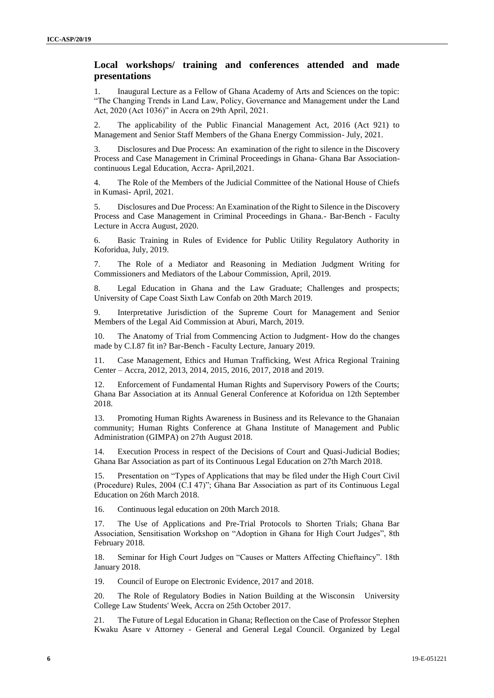### **Local workshops/ training and conferences attended and made presentations**

1. Inaugural Lecture as a Fellow of Ghana Academy of Arts and Sciences on the topic: "The Changing Trends in Land Law, Policy, Governance and Management under the Land Act, 2020 (Act 1036)" in Accra on 29th April, 2021.

2. The applicability of the Public Financial Management Act, 2016 (Act 921) to Management and Senior Staff Members of the Ghana Energy Commission- July, 2021.

3. Disclosures and Due Process: An examination of the right to silence in the Discovery Process and Case Management in Criminal Proceedings in Ghana- Ghana Bar Associationcontinuous Legal Education, Accra- April,2021.

4. The Role of the Members of the Judicial Committee of the National House of Chiefs in Kumasi- April, 2021.

5. Disclosures and Due Process: An Examination of the Right to Silence in the Discovery Process and Case Management in Criminal Proceedings in Ghana.- Bar-Bench - Faculty Lecture in Accra August, 2020.

6. Basic Training in Rules of Evidence for Public Utility Regulatory Authority in Koforidua, July, 2019.

7. The Role of a Mediator and Reasoning in Mediation Judgment Writing for Commissioners and Mediators of the Labour Commission, April, 2019.

8. Legal Education in Ghana and the Law Graduate; Challenges and prospects; University of Cape Coast Sixth Law Confab on 20th March 2019.

9. Interpretative Jurisdiction of the Supreme Court for Management and Senior Members of the Legal Aid Commission at Aburi, March, 2019.

10. The Anatomy of Trial from Commencing Action to Judgment- How do the changes made by C.I.87 fit in? Bar-Bench - Faculty Lecture, January 2019.

11. Case Management, Ethics and Human Trafficking, West Africa Regional Training Center – Accra, 2012, 2013, 2014, 2015, 2016, 2017, 2018 and 2019.

12. Enforcement of Fundamental Human Rights and Supervisory Powers of the Courts; Ghana Bar Association at its Annual General Conference at Koforidua on 12th September 2018.

13. Promoting Human Rights Awareness in Business and its Relevance to the Ghanaian community; Human Rights Conference at Ghana Institute of Management and Public Administration (GIMPA) on 27th August 2018.

14. Execution Process in respect of the Decisions of Court and Quasi-Judicial Bodies; Ghana Bar Association as part of its Continuous Legal Education on 27th March 2018.

15. Presentation on "Types of Applications that may be filed under the High Court Civil (Procedure) Rules, 2004 (C.I 47)"; Ghana Bar Association as part of its Continuous Legal Education on 26th March 2018.

16. Continuous legal education on 20th March 2018.

17. The Use of Applications and Pre-Trial Protocols to Shorten Trials; Ghana Bar Association, Sensitisation Workshop on "Adoption in Ghana for High Court Judges", 8th February 2018.

18. Seminar for High Court Judges on "Causes or Matters Affecting Chieftaincy". 18th January 2018.

19. Council of Europe on Electronic Evidence, 2017 and 2018.

20. The Role of Regulatory Bodies in Nation Building at the Wisconsin University College Law Students' Week, Accra on 25th October 2017.

21. The Future of Legal Education in Ghana; Reflection on the Case of Professor Stephen Kwaku Asare v Attorney - General and General Legal Council. Organized by Legal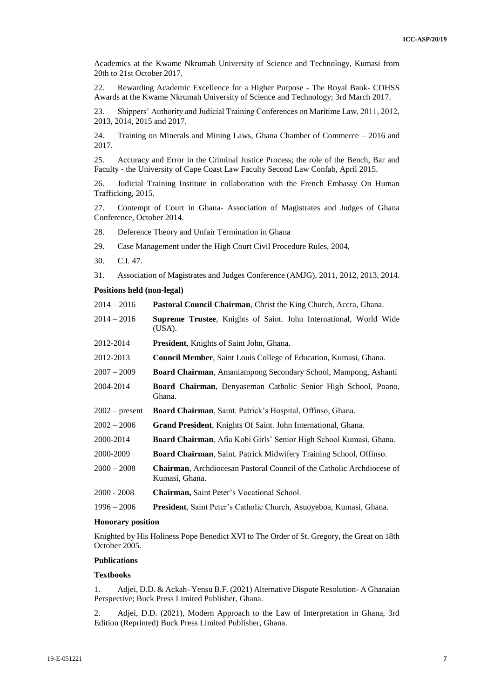Academics at the Kwame Nkrumah University of Science and Technology, Kumasi from 20th to 21st October 2017.

22. Rewarding Academic Excellence for a Higher Purpose - The Royal Bank- COHSS Awards at the Kwame Nkrumah University of Science and Technology; 3rd March 2017.

23. Shippers' Authority and Judicial Training Conferences on Maritime Law, 2011, 2012, 2013, 2014, 2015 and 2017.

24. Training on Minerals and Mining Laws, Ghana Chamber of Commerce – 2016 and 2017.

25. Accuracy and Error in the Criminal Justice Process; the role of the Bench, Bar and Faculty - the University of Cape Coast Law Faculty Second Law Confab, April 2015.

26. Judicial Training Institute in collaboration with the French Embassy On Human Trafficking, 2015.

27. Contempt of Court in Ghana- Association of Magistrates and Judges of Ghana Conference, October 2014.

28. Deference Theory and Unfair Termination in Ghana

29. Case Management under the High Court Civil Procedure Rules, 2004,

- 30. C.I. 47.
- 31. Association of Magistrates and Judges Conference (AMJG), 2011, 2012, 2013, 2014.

#### **Positions held (non-legal)**

- 2014 2016 **Pastoral Council Chairman**, Christ the King Church, Accra, Ghana.
- 2014 2016 **Supreme Trustee**, Knights of Saint. John International, World Wide (USA).
- 2012-2014 **President**, Knights of Saint John, Ghana.
- 2012-2013 **Council Member**, Saint Louis College of Education, Kumasi, Ghana.
- 2007 2009 **Board Chairman**, Amaniampong Secondary School, Mampong, Ashanti
- 2004-2014 **Board Chairman**, Denyaseman Catholic Senior High School, Poano, Ghana.
- 2002 present **Board Chairman**, Saint. Patrick's Hospital, Offinso, Ghana.
- 2002 2006 **Grand President**, Knights Of Saint. John International, Ghana.
- 2000-2014 **Board Chairman**, Afia Kobi Girls' Senior High School Kumasi, Ghana.
- 2000-2009 **Board Chairman**, Saint. Patrick Midwifery Training School, Offinso.
- 2000 2008 **Chairman**, Archdiocesan Pastoral Council of the Catholic Archdiocese of Kumasi, Ghana.
- 2000 2008 **Chairman,** Saint Peter's Vocational School.
- 1996 2006 **President**, Saint Peter's Catholic Church, Asuoyeboa, Kumasi, Ghana.

#### **Honorary position**

Knighted by His Holiness Pope Benedict XVI to The Order of St. Gregory, the Great on 18th October 2005.

#### **Publications**

#### **Textbooks**

1. Adjei, D.D. & Ackah- Yensu B.F. (2021) Alternative Dispute Resolution- A Ghanaian Perspective; Buck Press Limited Publisher, Ghana.

2. Adjei, D.D. (2021), Modern Approach to the Law of Interpretation in Ghana, 3rd Edition (Reprinted) Buck Press Limited Publisher, Ghana.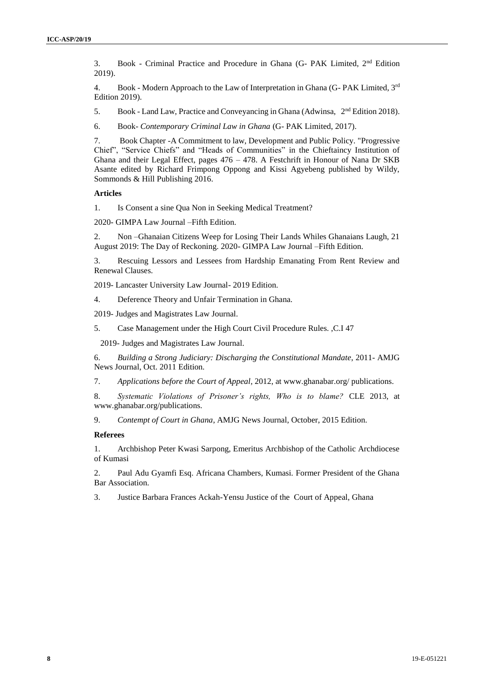3. Book - Criminal Practice and Procedure in Ghana (G- PAK Limited, 2nd Edition 2019).

4. Book - Modern Approach to the Law of Interpretation in Ghana (G- PAK Limited,  $3<sup>rd</sup>$ Edition 2019).

5. Book - Land Law, Practice and Conveyancing in Ghana (Adwinsa, 2nd Edition 2018).

6. Book- *Contemporary Criminal Law in Ghana* (G- PAK Limited, 2017).

7. Book Chapter -A Commitment to law, Development and Public Policy. "Progressive Chief", "Service Chiefs" and "Heads of Communities" in the Chieftaincy Institution of Ghana and their Legal Effect, pages 476 – 478. A Festchrift in Honour of Nana Dr SKB Asante edited by Richard Frimpong Oppong and Kissi Agyebeng published by Wildy, Sommonds & Hill Publishing 2016.

#### **Articles**

1. Is Consent a sine Qua Non in Seeking Medical Treatment?

2020- GIMPA Law Journal –Fifth Edition.

2. Non –Ghanaian Citizens Weep for Losing Their Lands Whiles Ghanaians Laugh, 21 August 2019: The Day of Reckoning. 2020- GIMPA Law Journal –Fifth Edition.

3. Rescuing Lessors and Lessees from Hardship Emanating From Rent Review and Renewal Clauses.

2019- Lancaster University Law Journal- 2019 Edition.

4. Deference Theory and Unfair Termination in Ghana.

2019- Judges and Magistrates Law Journal.

5. Case Management under the High Court Civil Procedure Rules. ,C.I 47

2019- Judges and Magistrates Law Journal.

6. *Building a Strong Judiciary: Discharging the Constitutional Mandate*, 2011- AMJG News Journal, Oct. 2011 Edition.

7. *Applications before the Court of Appeal*, 2012, at www.ghanabar.org/ publications.

8. *Systematic Violations of Prisoner's rights, Who is to blame?* CLE 2013, at www.ghanabar.org/publications.

9. *Contempt of Court in Ghana*, AMJG News Journal, October, 2015 Edition.

#### **Referees**

1. Archbishop Peter Kwasi Sarpong, Emeritus Archbishop of the Catholic Archdiocese of Kumasi

2. Paul Adu Gyamfi Esq. Africana Chambers, Kumasi. Former President of the Ghana Bar Association.

3. Justice Barbara Frances Ackah-Yensu Justice of the Court of Appeal, Ghana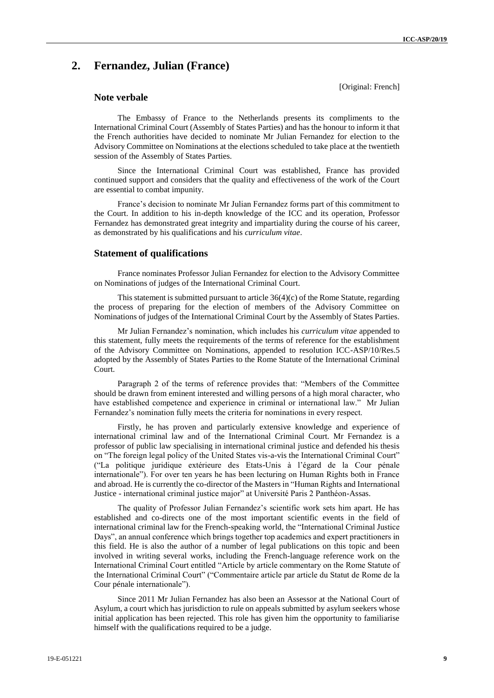# **2. Fernandez, Julian (France)**

[Original: French]

### **Note verbale**

The Embassy of France to the Netherlands presents its compliments to the International Criminal Court (Assembly of States Parties) and has the honour to inform it that the French authorities have decided to nominate Mr Julian Fernandez for election to the Advisory Committee on Nominations at the elections scheduled to take place at the twentieth session of the Assembly of States Parties.

Since the International Criminal Court was established, France has provided continued support and considers that the quality and effectiveness of the work of the Court are essential to combat impunity.

France's decision to nominate Mr Julian Fernandez forms part of this commitment to the Court. In addition to his in-depth knowledge of the ICC and its operation, Professor Fernandez has demonstrated great integrity and impartiality during the course of his career, as demonstrated by his qualifications and his *curriculum vitae*.

#### **Statement of qualifications**

France nominates Professor Julian Fernandez for election to the Advisory Committee on Nominations of judges of the International Criminal Court.

This statement is submitted pursuant to article  $36(4)(c)$  of the Rome Statute, regarding the process of preparing for the election of members of the Advisory Committee on Nominations of judges of the International Criminal Court by the Assembly of States Parties.

Mr Julian Fernandez's nomination, which includes his *curriculum vitae* appended to this statement, fully meets the requirements of the terms of reference for the establishment of the Advisory Committee on Nominations, appended to resolution ICC-ASP/10/Res.5 adopted by the Assembly of States Parties to the Rome Statute of the International Criminal Court.

Paragraph 2 of the terms of reference provides that: "Members of the Committee should be drawn from eminent interested and willing persons of a high moral character, who have established competence and experience in criminal or international law." Mr Julian Fernandez's nomination fully meets the criteria for nominations in every respect.

Firstly, he has proven and particularly extensive knowledge and experience of international criminal law and of the International Criminal Court. Mr Fernandez is a professor of public law specialising in international criminal justice and defended his thesis on "The foreign legal policy of the United States vis-a-vis the International Criminal Court" ("La politique juridique extérieure des Etats-Unis à l'égard de la Cour pénale internationale"). For over ten years he has been lecturing on Human Rights both in France and abroad. He is currently the co-director of the Masters in "Human Rights and International Justice - international criminal justice major" at Université Paris 2 Panthéon-Assas.

The quality of Professor Julian Fernandez's scientific work sets him apart. He has established and co-directs one of the most important scientific events in the field of international criminal law for the French-speaking world, the "International Criminal Justice Days", an annual conference which brings together top academics and expert practitioners in this field. He is also the author of a number of legal publications on this topic and been involved in writing several works, including the French-language reference work on the International Criminal Court entitled "Article by article commentary on the Rome Statute of the International Criminal Court" ("Commentaire article par article du Statut de Rome de la Cour pénale internationale").

Since 2011 Mr Julian Fernandez has also been an Assessor at the National Court of Asylum, a court which has jurisdiction to rule on appeals submitted by asylum seekers whose initial application has been rejected. This role has given him the opportunity to familiarise himself with the qualifications required to be a judge.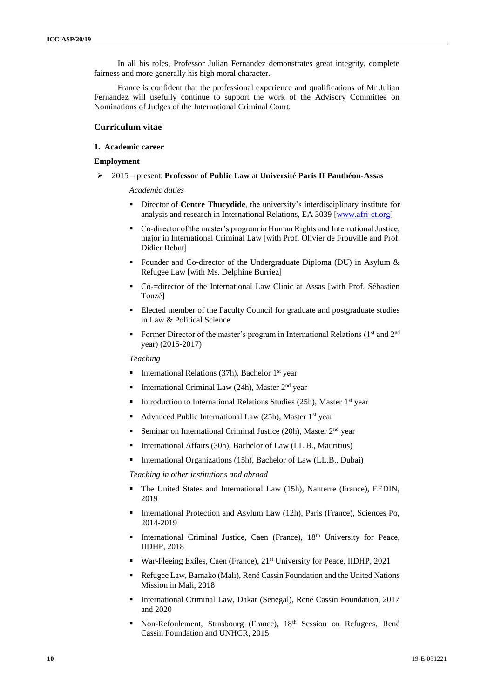In all his roles, Professor Julian Fernandez demonstrates great integrity, complete fairness and more generally his high moral character.

France is confident that the professional experience and qualifications of Mr Julian Fernandez will usefully continue to support the work of the Advisory Committee on Nominations of Judges of the International Criminal Court.

### **Curriculum vitae**

#### **1. Academic career**

#### **Employment**

2015 – present: **Professor of Public Law** at **Université Paris II Panthéon-Assas**

*Academic duties* 

- Director of **Centre Thucydide**, the university's interdisciplinary institute for analysis and research in International Relations, EA 3039 [\[www.afri-ct.org\]](http://www.afri-ct.org/)
- Co-director of the master's program in Human Rights and International Justice, major in International Criminal Law [with Prof. Olivier de Frouville and Prof. Didier Rebut]
- Founder and Co-director of the Undergraduate Diploma (DU) in Asylum  $\&$ Refugee Law [with Ms. Delphine Burriez]
- Co-=director of the International Law Clinic at Assas [with Prof. Sébastien Touzé]
- Elected member of the Faculty Council for graduate and postgraduate studies in Law & Political Science
- Former Director of the master's program in International Relations (1<sup>st</sup> and 2<sup>nd</sup> year) (2015-2017)

### *Teaching*

- International Relations (37h), Bachelor 1st year
- **International Criminal Law (24h), Master 2<sup>nd</sup> year**
- Introduction to International Relations Studies (25h), Master  $1<sup>st</sup>$  year
- Advanced Public International Law  $(25h)$ , Master 1<sup>st</sup> year
- Seminar on International Criminal Justice (20h), Master 2<sup>nd</sup> year
- International Affairs (30h), Bachelor of Law (LL.B., Mauritius)
- International Organizations (15h), Bachelor of Law (LL.B., Dubai)

*Teaching in other institutions and abroad*

- The United States and International Law (15h), Nanterre (France), EEDIN, 2019
- International Protection and Asylum Law (12h), Paris (France), Sciences Po, 2014-2019
- International Criminal Justice, Caen (France), 18<sup>th</sup> University for Peace, IIDHP, 2018
- War-Fleeing Exiles, Caen (France), 21<sup>st</sup> University for Peace, IIDHP, 2021
- Refugee Law, Bamako (Mali), René Cassin Foundation and the United Nations Mission in Mali, 2018
- International Criminal Law, Dakar (Senegal), René Cassin Foundation, 2017 and 2020
- Non-Refoulement, Strasbourg (France), 18<sup>th</sup> Session on Refugees, René Cassin Foundation and UNHCR, 2015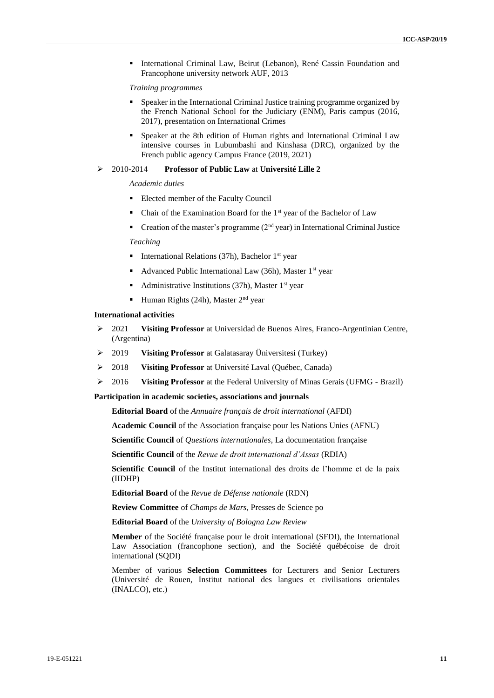International Criminal Law, Beirut (Lebanon), René Cassin Foundation and Francophone university network AUF, 2013

#### *Training programmes*

- Speaker in the International Criminal Justice training programme organized by the French National School for the Judiciary (ENM), Paris campus (2016, 2017), presentation on International Crimes
- Speaker at the 8th edition of Human rights and International Criminal Law intensive courses in Lubumbashi and Kinshasa (DRC), organized by the French public agency Campus France (2019, 2021)

#### 2010-2014 **Professor of Public Law** at **Université Lille 2**

#### *Academic duties*

- Elected member of the Faculty Council
- Chair of the Examination Board for the  $1<sup>st</sup>$  year of the Bachelor of Law
- Creation of the master's programme  $(2<sup>nd</sup>$  year) in International Criminal Justice

#### *Teaching*

- **International Relations (37h), Bachelor 1st year**
- Advanced Public International Law  $(36h)$ , Master 1<sup>st</sup> year
- Administrative Institutions (37h), Master  $1<sup>st</sup>$  year
- Human Rights (24h), Master  $2<sup>nd</sup>$  year

#### **International activities**

- 2021 **Visiting Professor** at Universidad de Buenos Aires, Franco-Argentinian Centre, (Argentina)
- 2019 **Visiting Professor** at Galatasaray Üniversitesi (Turkey)
- 2018 **Visiting Professor** at Université Laval (Québec, Canada)
- 2016 **Visiting Professor** at the Federal University of Minas Gerais (UFMG Brazil)

#### **Participation in academic societies, associations and journals**

**Editorial Board** of the *Annuaire français de droit international* (AFDI)

**Academic Council** of the Association française pour les Nations Unies (AFNU)

**Scientific Council** of *Questions internationales*, La documentation française

**Scientific Council** of the *Revue de droit international d'Assas* (RDIA)

**Scientific Council** of the Institut international des droits de l'homme et de la paix (IIDHP)

**Editorial Board** of the *Revue de Défense nationale* (RDN)

**Review Committee** of *Champs de Mars*, Presses de Science po

**Editorial Board** of the *University of Bologna Law Review*

**Member** of the Société française pour le droit international (SFDI), the International Law Association (francophone section), and the Société québécoise de droit international (SQDI)

Member of various **Selection Committees** for Lecturers and Senior Lecturers (Université de Rouen, Institut national des langues et civilisations orientales (INALCO), etc.)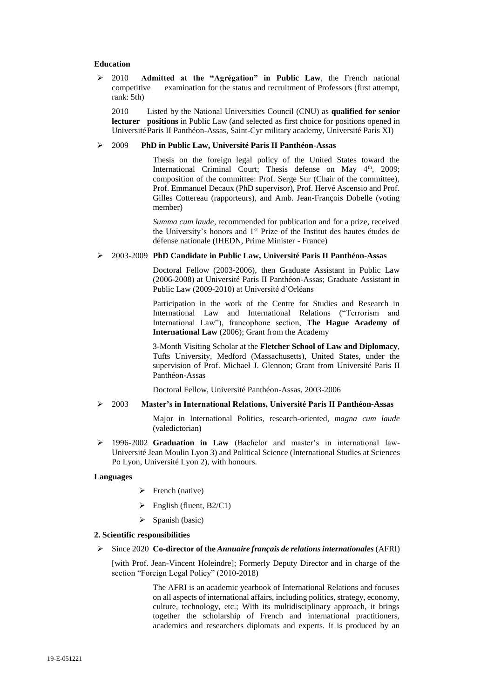#### **Education**

 2010 **Admitted at the "Agrégation" in Public Law**, the French national competitive examination for the status and recruitment of Professors (first attempt, rank: 5th)

2010 Listed by the National Universities Council (CNU) as **qualified for senior lecturer positions** in Public Law (and selected as first choice for positions opened in UniversitéParis II Panthéon-Assas, Saint-Cyr military academy, Université Paris XI)

#### 2009 **PhD in Public Law, Université Paris II Panthéon-Assas**

Thesis on the foreign legal policy of the United States toward the International Criminal Court; Thesis defense on May 4<sup>th</sup>, 2009; composition of the committee: Prof. Serge Sur (Chair of the committee), Prof. Emmanuel Decaux (PhD supervisor), Prof. Hervé Ascensio and Prof. Gilles Cottereau (rapporteurs), and Amb. Jean-François Dobelle (voting member)

*Summa cum laude*, recommended for publication and for a prize, received the University's honors and 1st Prize of the Institut des hautes études de défense nationale (IHEDN, Prime Minister - France)

#### 2003-2009 **PhD Candidate in Public Law, Université Paris II Panthéon-Assas**

Doctoral Fellow (2003-2006), then Graduate Assistant in Public Law (2006-2008) at Université Paris II Panthéon-Assas; Graduate Assistant in Public Law (2009-2010) at Université d'Orléans

Participation in the work of the Centre for Studies and Research in International Law and International Relations ("Terrorism and International Law"), francophone section, **The Hague Academy of International Law** (2006); Grant from the Academy

3-Month Visiting Scholar at the **Fletcher School of Law and Diplomacy**, Tufts University, Medford (Massachusetts), United States, under the supervision of Prof. Michael J. Glennon; Grant from Université Paris II Panthéon-Assas

Doctoral Fellow, Université Panthéon-Assas, 2003-2006

### 2003 **Master's in International Relations, Université Paris II Panthéon-Assas**

Major in International Politics, research-oriented, *magna cum laude* (valedictorian)

 1996-2002 **Graduation in Law** (Bachelor and master's in international law-Université Jean Moulin Lyon 3) and Political Science (International Studies at Sciences Po Lyon, Université Lyon 2), with honours.

### **Languages**

- $\triangleright$  French (native)
- $\triangleright$  English (fluent, B2/C1)
- $\triangleright$  Spanish (basic)

#### **2. Scientific responsibilities**

Since 2020 **Co-director of the** *Annuaire français de relations internationales* (AFRI)

[with Prof. Jean-Vincent Holeindre]; Formerly Deputy Director and in charge of the section "Foreign Legal Policy" (2010-2018)

> The AFRI is an academic yearbook of International Relations and focuses on all aspects of international affairs, including politics, strategy, economy, culture, technology, etc.; With its multidisciplinary approach, it brings together the scholarship of French and international practitioners, academics and researchers diplomats and experts. It is produced by an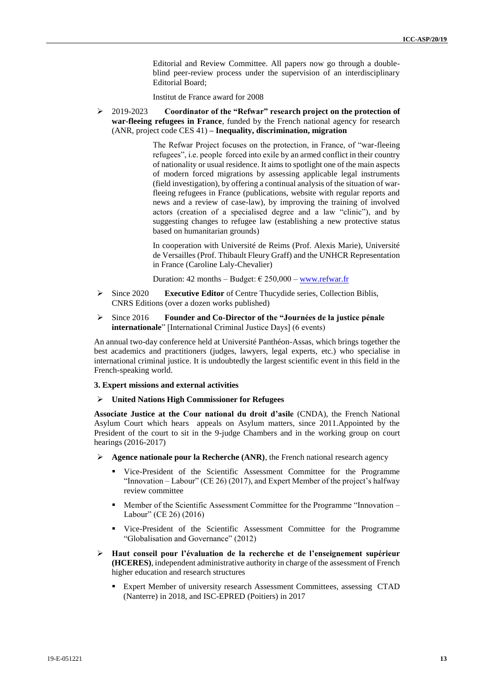Editorial and Review Committee. All papers now go through a doubleblind peer-review process under the supervision of an interdisciplinary Editorial Board;

Institut de France award for 2008

 2019-2023 **Coordinator of the "Refwar" research project on the protection of war-fleeing refugees in France**, funded by the French national agency for research (ANR, project code CES 41) **– Inequality, discrimination, migration** 

> The Refwar Project focuses on the protection, in France, of "war-fleeing refugees", i.e. people forced into exile by an armed conflict in their country of nationality or usual residence. It aims to spotlight one of the main aspects of modern forced migrations by assessing applicable legal instruments (field investigation), by offering a continual analysis of the situation of warfleeing refugees in France (publications, website with regular reports and news and a review of case-law), by improving the training of involved actors (creation of a specialised degree and a law "clinic"), and by suggesting changes to refugee law (establishing a new protective status based on humanitarian grounds)

> In cooperation with Université de Reims (Prof. Alexis Marie), Université de Versailles (Prof. Thibault Fleury Graff) and the UNHCR Representation in France (Caroline Laly-Chevalier)

Duration: 42 months – Budget:  $\epsilon$  250,000 – www.refwar.fr

- Since 2020 **Executive Editor** of Centre Thucydide series, Collection Biblis, CNRS Editions (over a dozen works published)
- Since 2016 **Founder and Co-Director of the "Journées de la justice pénale internationale**" [International Criminal Justice Days] (6 events)

An annual two-day conference held at Université Panthéon-Assas, which brings together the best academics and practitioners (judges, lawyers, legal experts, etc.) who specialise in international criminal justice. It is undoubtedly the largest scientific event in this field in the French-speaking world.

#### **3. Expert missions and external activities**

**United Nations High Commissioner for Refugees**

**Associate Justice at the Cour national du droit d'asile** (CNDA), the French National Asylum Court which hears appeals on Asylum matters, since 2011.Appointed by the President of the court to sit in the 9-judge Chambers and in the working group on court hearings (2016-2017)

- **Agence nationale pour la Recherche (ANR)**, the French national research agency
	- Vice-President of the Scientific Assessment Committee for the Programme "Innovation – Labour" (CE 26) (2017), and Expert Member of the project's halfway review committee
	- Member of the Scientific Assessment Committee for the Programme "Innovation Labour" (CE 26) (2016)
	- Vice-President of the Scientific Assessment Committee for the Programme "Globalisation and Governance" (2012)
- **Haut conseil pour l'évaluation de la recherche et de l'enseignement supérieur (HCERES)**, independent administrative authority in charge of the assessment of French higher education and research structures
	- Expert Member of university research Assessment Committees, assessing CTAD (Nanterre) in 2018, and ISC-EPRED (Poitiers) in 2017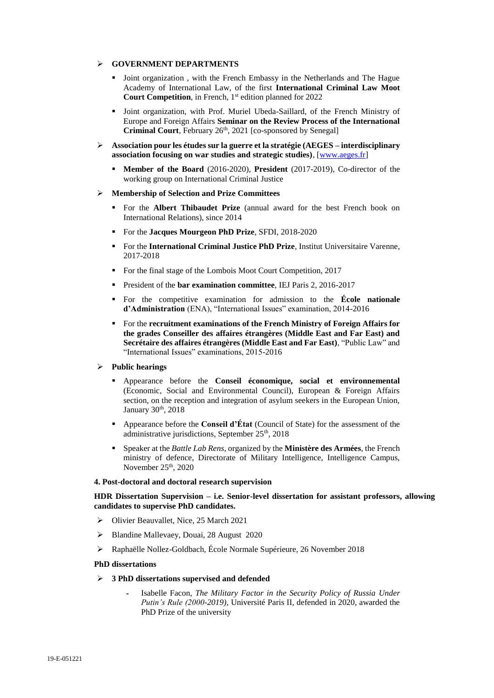#### **GOVERNMENT DEPARTMENTS**

- Joint organization , with the French Embassy in the Netherlands and The Hague Academy of International Law, of the first **International Criminal Law Moot Court Competition**, in French, 1<sup>st</sup> edition planned for 2022
- Joint organization, with Prof. Muriel Ubeda-Saillard, of the French Ministry of Europe and Foreign Affairs **Seminar on the Review Process of the International Criminal Court**, February 26<sup>th</sup>, 2021 [co-sponsored by Senegal]
- **Association pour les études sur la guerre et la stratégie (AEGES – interdisciplinary association focusing on war studies and strategic studies)**, [\[www.aeges.fr\]](http://www.aeges.fr/)
	- **Member of the Board** (2016-2020), **President** (2017-2019), Co-director of the working group on International Criminal Justice

#### **Membership of Selection and Prize Committees**

- For the **Albert Thibaudet Prize** (annual award for the best French book on International Relations), since 2014
- For the **Jacques Mourgeon PhD Prize**, SFDI, 2018-2020
- For the **International Criminal Justice PhD Prize**, Institut Universitaire Varenne, 2017-2018
- For the final stage of the Lombois Moot Court Competition, 2017
- President of the **bar examination committee**, IEJ Paris 2, 2016-2017
- For the competitive examination for admission to the **École nationale d'Administration** (ENA), "International Issues" examination, 2014-2016
- For the **recruitment examinations of the French Ministry of Foreign Affairs for the grades Conseiller des affaires étrangères (Middle East and Far East) and Secrétaire des affaires étrangères (Middle East and Far East)**, "Public Law" and "International Issues" examinations, 2015-2016

#### **Public hearings**

- Appearance before the **Conseil économique, social et environnemental** (Economic, Social and Environmental Council), European & Foreign Affairs section, on the reception and integration of asylum seekers in the European Union, January 30<sup>th</sup>, 2018
- Appearance before the **Conseil d'État** (Council of State) for the assessment of the administrative jurisdictions, September  $25<sup>th</sup>$ , 2018
- Speaker at the *Battle Lab Rens*, organized by the **Ministère des Armées**, the French ministry of defence, Directorate of Military Intelligence, Intelligence Campus, November  $25<sup>th</sup>$ , 2020

#### **4. Post-doctoral and doctoral research supervision**

### **HDR Dissertation Supervision – i.e. Senior-level dissertation for assistant professors, allowing candidates to supervise PhD candidates.**

- Olivier Beauvallet, Nice, 25 March 2021
- Blandine Mallevaey, Douai, 28 August 2020
- Raphaëlle Nollez-Goldbach, École Normale Supérieure, 26 November 2018

#### **PhD dissertations**

#### **3 PhD dissertations supervised and defended**

**-** Isabelle Facon, *The Military Factor in the Security Policy of Russia Under Putin's Rule (2000-2019)*, Université Paris II, defended in 2020, awarded the PhD Prize of the university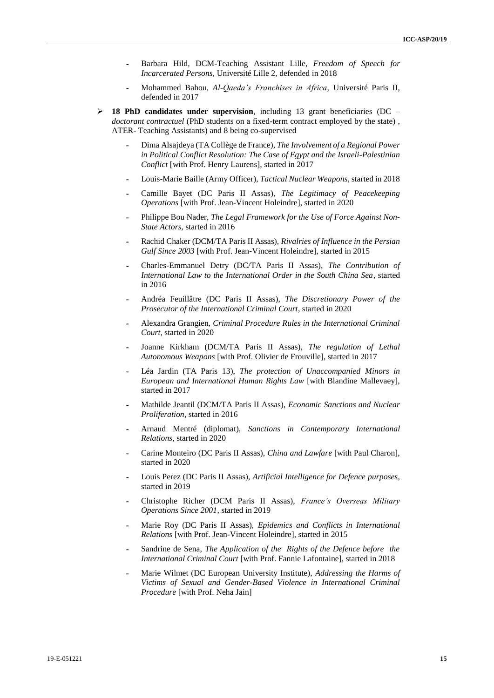- **-** Barbara Hild, DCM-Teaching Assistant Lille, *Freedom of Speech for Incarcerated Persons*, Université Lille 2, defended in 2018
- **-** Mohammed Bahou, *Al-Qaeda's Franchises in Africa*, Université Paris II, defended in 2017
- **18 PhD candidates under supervision**, including 13 grant beneficiaries (DC *doctorant contractuel* (PhD students on a fixed-term contract employed by the state) , ATER- Teaching Assistants) and 8 being co-supervised
	- **-** Dima Alsajdeya (TA Collège de France), *The Involvement of a Regional Power in Political Conflict Resolution: The Case of Egypt and the Israeli-Palestinian Conflict* [with Prof. Henry Laurens], started in 2017
	- **-** Louis-Marie Baille (Army Officer), *Tactical Nuclear Weapons*, started in 2018
	- **-** Camille Bayet (DC Paris II Assas), *The Legitimacy of Peacekeeping Operations* [with Prof. Jean-Vincent Holeindre], started in 2020
	- **-** Philippe Bou Nader, *The Legal Framework for the Use of Force Against Non-State Actors*, started in 2016
	- **-** Rachid Chaker (DCM/TA Paris II Assas), *Rivalries of Influence in the Persian Gulf Since 2003* [with Prof. Jean-Vincent Holeindre], started in 2015
	- **-** Charles-Emmanuel Detry (DC/TA Paris II Assas), *The Contribution of International Law to the International Order in the South China Sea*, started in 2016
	- **-** Andréa Feuillâtre (DC Paris II Assas), *The Discretionary Power of the Prosecutor of the International Criminal Court*, started in 2020
	- **-** Alexandra Grangien, *Criminal Procedure Rules in the International Criminal Court*, started in 2020
	- **-** Joanne Kirkham (DCM/TA Paris II Assas), *The regulation of Lethal Autonomous Weapons* [with Prof. Olivier de Frouville], started in 2017
	- **-** Léa Jardin (TA Paris 13), *The protection of Unaccompanied Minors in European and International Human Rights Law* [with Blandine Mallevaey], started in 2017
	- **-** Mathilde Jeantil (DCM/TA Paris II Assas), *Economic Sanctions and Nuclear Proliferation*, started in 2016
	- **-** Arnaud Mentré (diplomat), *Sanctions in Contemporary International Relations*, started in 2020
	- **-** Carine Monteiro (DC Paris II Assas), *China and Lawfare* [with Paul Charon], started in 2020
	- **-** Louis Perez (DC Paris II Assas), *Artificial Intelligence for Defence purposes*, started in 2019
	- **-** Christophe Richer (DCM Paris II Assas), *France's Overseas Military Operations Since 2001*, started in 2019
	- **-** Marie Roy (DC Paris II Assas), *Epidemics and Conflicts in International Relations* [with Prof. Jean-Vincent Holeindre], started in 2015
	- **-** Sandrine de Sena, *The Application of the Rights of the Defence before the International Criminal Court* [with Prof. Fannie Lafontaine], started in 2018
	- **-** Marie Wilmet (DC European University Institute), *Addressing the Harms of Victims of Sexual and Gender-Based Violence in International Criminal Procedure* [with Prof. Neha Jain]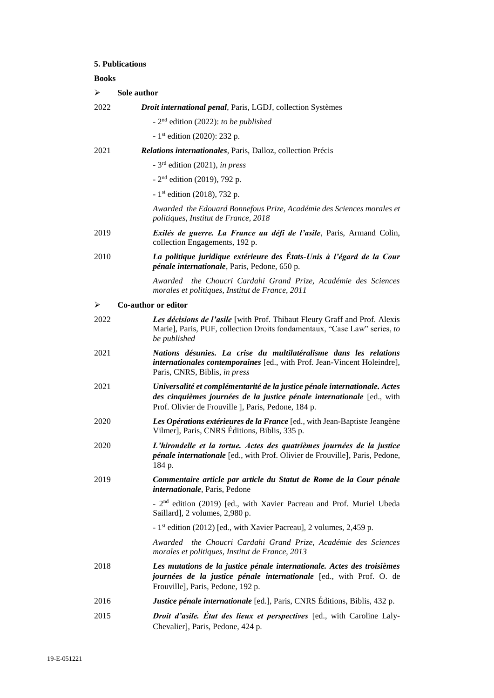### **5. Publications**

### **Books**

| $\blacktriangleright$ | Sole author                                                                                                                                                                                                 |
|-----------------------|-------------------------------------------------------------------------------------------------------------------------------------------------------------------------------------------------------------|
| 2022                  | Droit international penal, Paris, LGDJ, collection Systèmes                                                                                                                                                 |
|                       | - 2 <sup>nd</sup> edition (2022): to be published                                                                                                                                                           |
|                       | - 1st edition (2020): 232 p.                                                                                                                                                                                |
| 2021                  | Relations internationales, Paris, Dalloz, collection Précis                                                                                                                                                 |
|                       | $-3rd$ edition (2021), in press                                                                                                                                                                             |
|                       | $-2nd$ edition (2019), 792 p.                                                                                                                                                                               |
|                       | $-1$ <sup>st</sup> edition (2018), 732 p.                                                                                                                                                                   |
|                       | Awarded the Edouard Bonnefous Prize, Académie des Sciences morales et<br>politiques, Institut de France, 2018                                                                                               |
| 2019                  | Exilés de guerre. La France au défi de l'asile, Paris, Armand Colin,<br>collection Engagements, 192 p.                                                                                                      |
| 2010                  | La politique juridique extérieure des États-Unis à l'égard de la Cour<br><i>pénale internationale</i> , Paris, Pedone, 650 p.                                                                               |
|                       | Awarded the Choucri Cardahi Grand Prize, Académie des Sciences<br>morales et politiques, Institut de France, 2011                                                                                           |
| ➤                     | Co-author or editor                                                                                                                                                                                         |
| 2022                  | Les décisions de l'asile [with Prof. Thibaut Fleury Graff and Prof. Alexis<br>Marie], Paris, PUF, collection Droits fondamentaux, "Case Law" series, to<br>be published                                     |
| 2021                  | Nations désunies. La crise du multilatéralisme dans les relations<br>internationales contemporaines [ed., with Prof. Jean-Vincent Holeindre],<br>Paris, CNRS, Biblis, in press                              |
| 2021                  | Universalité et complémentarité de la justice pénale internationale. Actes<br>des cinquièmes journées de la justice pénale internationale [ed., with<br>Prof. Olivier de Frouville ], Paris, Pedone, 184 p. |
| 2020                  | Les Opérations extérieures de la France [ed., with Jean-Baptiste Jeangène<br>Vilmer], Paris, CNRS Éditions, Biblis, 335 p.                                                                                  |
| 2020                  | L'hirondelle et la tortue. Actes des quatrièmes journées de la justice<br>pénale internationale [ed., with Prof. Olivier de Frouville], Paris, Pedone,<br>184 p.                                            |
| 2019                  | Commentaire article par article du Statut de Rome de la Cour pénale<br>internationale, Paris, Pedone                                                                                                        |
|                       | - 2 <sup>nd</sup> edition (2019) [ed., with Xavier Pacreau and Prof. Muriel Ubeda<br>Saillard], 2 volumes, 2,980 p.                                                                                         |
|                       | - 1 <sup>st</sup> edition (2012) [ed., with Xavier Pacreau], 2 volumes, 2,459 p.                                                                                                                            |
|                       | Awarded the Choucri Cardahi Grand Prize, Académie des Sciences<br>morales et politiques, Institut de France, 2013                                                                                           |
| 2018                  | Les mutations de la justice pénale internationale. Actes des troisièmes<br>journées de la justice pénale internationale [ed., with Prof. O. de<br>Frouville], Paris, Pedone, 192 p.                         |
| 2016                  | Justice pénale internationale [ed.], Paris, CNRS Éditions, Biblis, 432 p.                                                                                                                                   |
| 2015                  | Droit d'asile. État des lieux et perspectives [ed., with Caroline Laly-<br>Chevalier], Paris, Pedone, 424 p.                                                                                                |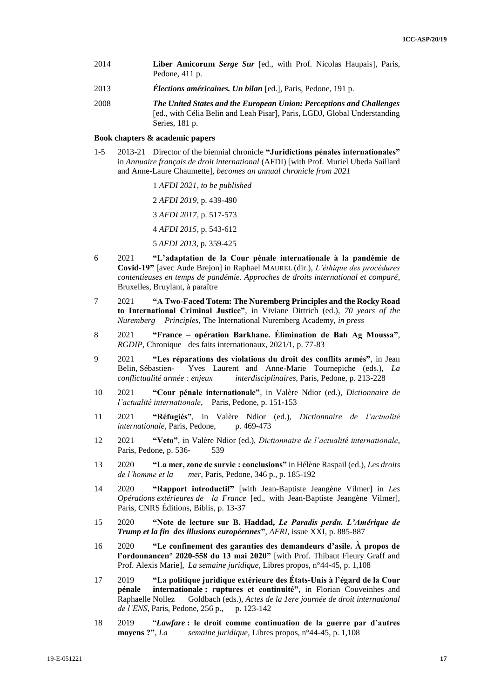- 2014 **Liber Amicorum** *Serge Sur* [ed., with Prof. Nicolas Haupais], Paris, Pedone, 411 p.
- 2013 *Élections américaines. Un bilan* [ed.], Paris, Pedone, 191 p.
- 2008 *The United States and the European Union: Perceptions and Challenges* [ed., with Célia Belin and Leah Pisar], Paris, LGDJ, Global Understanding Series, 181 p.

#### **Book chapters & academic papers**

1-5 2013-21 Director of the biennial chronicle **"Juridictions pénales internationales"** in *Annuaire français de droit international* (AFDI) [with Prof. Muriel Ubeda Saillard and Anne-Laure Chaumette], *becomes an annual chronicle from 2021*

> *AFDI 2021*, *to be published AFDI 2019*, p. 439-490 *AFDI 2017*, p. 517-573 *AFDI 2015*, p. 543-612 *AFDI 2013*, p. 359-425

- 6 2021 **"L'adaptation de la Cour pénale internationale à la pandémie de Covid-19"** [avec Aude Brejon] in Raphael MAUREL (dir.), *L'éthique des procédures contentieuses en temps de pandémie. Approches de droits international et comparé*, Bruxelles, Bruylant, à paraître
- 7 2021 **"A Two-Faced Totem: The Nuremberg Principles and the Rocky Road to International Criminal Justice"**, in Viviane Dittrich (ed.), *70 years of the Nuremberg Principles*, The International Nuremberg Academy, *in press*
- 8 2021 **"France – opération Barkhane. Élimination de Bah Ag Moussa"**, *RGDIP*, Chronique des faits internationaux, 2021/1, p. 77-83
- 9 2021 **"Les réparations des violations du droit des conflits armés"**, in Jean Belin, Sébastien- Yves Laurent and Anne-Marie Tournepiche (eds.), *La conflictualité armée : enjeux interdisciplinaires*, Paris, Pedone, p. 213-228
- 10 2021 **"Cour pénale internationale"**, in Valère Ndior (ed.), *Dictionnaire de l'actualité internationale*, Paris, Pedone, p. 151-153
- 11 2021 **"Réfugiés"**, in Valère Ndior (ed.), *Dictionnaire de l'actualité internationale*, Paris, Pedone, p. 469-473
- 12 2021 **"Veto"**, in Valère Ndior (ed.), *Dictionnaire de l'actualité internationale*, Paris, Pedone, p. 536- 539
- 13 2020 **"La mer, zone de survie : conclusions"** in Hélène Raspail (ed.), *Les droits de l'homme et la mer*, Paris, Pedone, 346 p., p. 185-192
- 14 2020 **"Rapport introductif"** [with Jean-Baptiste Jeangène Vilmer] in *Les Opérations extérieures de la France* [ed., with Jean-Baptiste Jeangène Vilmer], Paris, CNRS Éditions, Biblis, p. 13-37
- 15 2020 **"Note de lecture sur B. Haddad,** *Le Paradis perdu. L'Amérique de Trump et la fin des illusions européennes***"**, *AFRI*, issue XXI, p. 885-887
- 16 2020 **"Le confinement des garanties des demandeurs d'asile. À propos de l'ordonnancen° 2020-558 du 13 mai 2020"** [with Prof. Thibaut Fleury Graff and Prof. Alexis Marie], *La semaine juridique*, Libres propos, n°44-45, p. 1,108
- 17 2019 **"La politique juridique extérieure des États-Unis à l'égard de la Cour internationale** : ruptures et continuité", in Florian Couveinhes and Raphaelle Nollez Goldbach (eds.), *Actes de la 1ere journée de droit international de l'ENS*, Paris, Pedone, 256 p., p. 123-142
- 18 2019 "*Lawfare* **: le droit comme continuation de la guerre par d'autres moyens ?"**, *La semaine juridique*, Libres propos, n°44-45, p. 1,108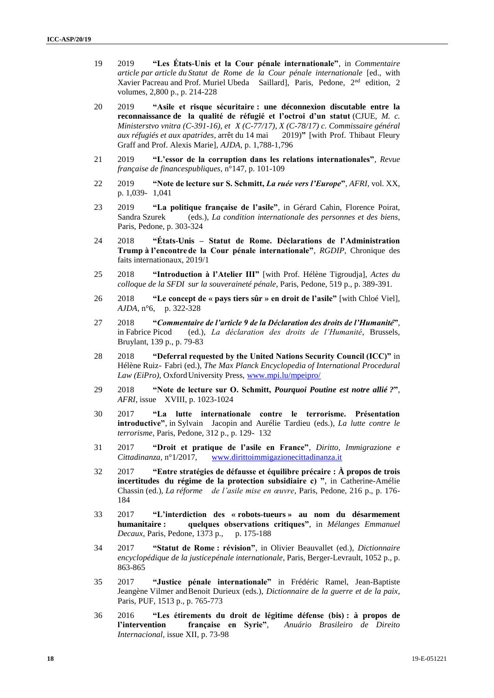- 19 2019 **"Les États-Unis et la Cour pénale internationale"**, in *Commentaire article par article du Statut de Rome de la Cour pénale internationale* [ed., with Xavier Pacreau and Prof. Muriel Ubeda Saillard], Paris, Pedone, 2nd edition, 2 volumes, 2,800 p., p. 214-228
- 20 2019 **"Asile et risque sécuritaire : une déconnexion discutable entre la reconnaissance de la qualité de réfugié et l'octroi d'un statut** (CJUE, *M. c. Ministerstvo vnitra (C-391-16), et X (C-77/17), X (C-78/17) c. Commissaire général aux réfugiés et aux apatrides*, arrêt du 14 mai 2019)**"** [with Prof. Thibaut Fleury Graff and Prof. Alexis Marie], *AJDA*, p. 1,788-1,796
- 21 2019 **"L'essor de la corruption dans les relations internationales"**, *Revue française de financespubliques*, n°147, p. 101-109
- 22 2019 **"Note de lecture sur S. Schmitt,** *La ruée vers l'Europe***"**, *AFRI*, vol. XX, p. 1,039- 1,041
- 23 2019 **"La politique française de l'asile"**, in Gérard Cahin, Florence Poirat, Sandra Szurek (eds.), *La condition internationale des personnes et des biens*, Paris, Pedone, p. 303-324
- 24 2018 **"États-Unis – Statut de Rome. Déclarations de l'Administration Trump à l'encontrede la Cour pénale internationale"**, *RGDIP*, Chronique des faits internationaux, 2019/1
- 25 2018 **"Introduction à l'Atelier III"** [with Prof. Hélène Tigroudja], *Actes du colloque de la SFDI sur la souveraineté pénale*, Paris, Pedone, 519 p., p. 389-391.
- 26 2018 **"Le concept de « pays tiers sûr » en droit de l'asile"** [with Chloé Viel], *AJDA*, n°6, p. 322-328
- 27 2018 **"***Commentaire de l'article 9 de la Déclaration des droits de l'Humanité***"**, in Fabrice Picod (ed.), *La déclaration des droits de l'Humanité*, Brussels, Bruylant, 139 p., p. 79-83
- 28 2018 **"Deferral requested by the United Nations Security Council (ICC)"** in Hélène Ruiz- Fabri (ed.), *The Max Planck Encyclopedia of International Procedural Law (EiPro)*, OxfordUniversity Press[, www.mpi.lu/mpeipro/](http://www.mpi.lu/mpeipro/)
- 29 2018 **"Note de lecture sur O. Schmitt,** *Pourquoi Poutine est notre allié ?***"**, *AFRI*, issue XVIII, p. 1023-1024
- 30 2017 **"La lutte internationale contre le terrorisme. Présentation introductive"**, in Sylvain Jacopin and Aurélie Tardieu (eds.), *La lutte contre le terrorisme*, Paris, Pedone, 312 p., p. 129- 132
- 31 2017 **"Droit et pratique de l'asile en France"**, *Diritto, Immigrazione e Cittadinanza*, n°1/2017, [www.dirittoimmigazionecittadinanza.it](http://www.dirittoimmigazionecittadinanza.it/)
- 32 2017 **"Entre stratégies de défausse et équilibre précaire : À propos de trois incertitudes du régime de la protection subsidiaire c) "**, in Catherine-Amélie Chassin (ed.), *La réforme de l'asile mise en œuvre*, Paris, Pedone, 216 p., p. 176- 184
- 33 2017 **"L'interdiction des « robots-tueurs » au nom du désarmement humanitaire : quelques observations critiques"**, in *Mélanges Emmanuel Decaux*, Paris, Pedone, 1373 p., p. 175-188
- 34 2017 **"Statut de Rome : révision"**, in Olivier Beauvallet (ed.), *Dictionnaire encyclopédique de la justicepénale internationale*, Paris, Berger-Levrault, 1052 p., p. 863-865
- 35 2017 **"Justice pénale internationale"** in Frédéric Ramel, Jean-Baptiste Jeangène Vilmer andBenoit Durieux (eds.), *Dictionnaire de la guerre et de la paix*, Paris, PUF, 1513 p., p. 765-773
- 36 2016 **"Les étirements du droit de légitime défense (bis) : à propos de l'intervention française en Syrie"**, *Anuário Brasileiro de Direito Internacional*, issue XII, p. 73-98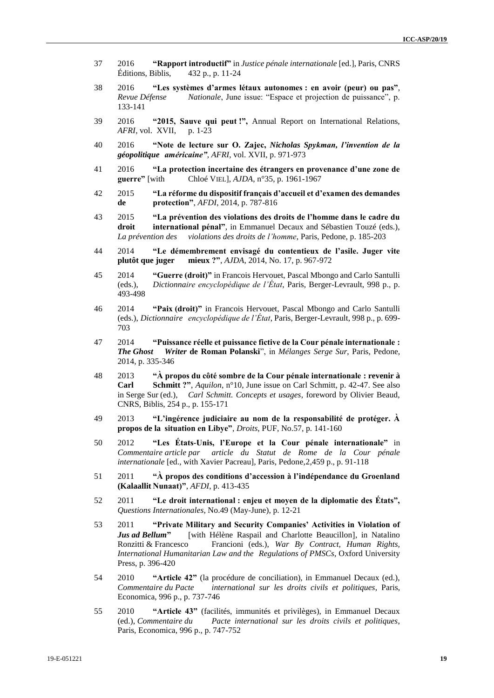- 37 2016 **"Rapport introductif"** in *Justice pénale internationale* [ed.], Paris, CNRS Éditions, Biblis,  $432 p, p. 11-24$
- 38 2016 **"Les systèmes d'armes létaux autonomes : en avoir (peur) ou pas"**, *Revue Défense Nationale*, June issue: "Espace et projection de puissance", p. 133-141
- 39 2016 **"2015, Sauve qui peut !",** Annual Report on International Relations, *AFRI*, vol. XVII, p. 1-23
- 40 2016 **"Note de lecture sur O. Zajec,** *Nicholas Spykman, l'invention de la géopolitique américaine"*, *AFRI*, vol. XVII, p. 971-973
- 41 2016 **"La protection incertaine des étrangers en provenance d'une zone de guerre"** [with Chloé VIEL], *AJDA*, n°35, p. 1961-1967
- 42 2015 **"La réforme du dispositif français d'accueil et d'examen des demandes de protection"**, *AFDI*, 2014, p. 787-816
- 43 2015 **"La prévention des violations des droits de l'homme dans le cadre du droit international pénal"**, in Emmanuel Decaux and Sébastien Touzé (eds.), *La prévention des violations des droits de l'homme*, Paris, Pedone, p. 185-203
- 44 2014 **"Le démembrement envisagé du contentieux de l'asile. Juger vite plutôt que juger mieux ?"**, *AJDA*, 2014, No. 17, p. 967-972
- 45 2014 **"Guerre (droit)"** in Francois Hervouet, Pascal Mbongo and Carlo Santulli (eds.), *Dictionnaire encyclopédique de l'État*, Paris, Berger-Levrault, 998 p., p. 493-498
- 46 2014 **"Paix (droit)"** in Francois Hervouet, Pascal Mbongo and Carlo Santulli (eds.), *Dictionnaire encyclopédique de l'État*, Paris, Berger-Levrault, 998 p., p. 699- 703
- 47 2014 **"Puissance réelle et puissance fictive de la Cour pénale internationale :**  *The Ghost Writer* **de Roman Polanski**", in *Mélanges Serge Sur*, Paris, Pedone, 2014, p. 335-346
- 48 2013 **"À propos du côté sombre de la Cour pénale internationale : revenir à Carl Schmitt ?"**, *Aquilon*, n°10, June issue on Carl Schmitt, p. 42-47. See also in Serge Sur (ed.), *Carl Schmitt. Concepts et usages*, foreword by Olivier Beaud, CNRS, Biblis, 254 p., p. 155-171
- 49 2013 **"L'ingérence judiciaire au nom de la responsabilité de protéger. À propos de la situation en Libye"**, *Droits*, PUF, No.57, p. 141-160
- 50 2012 **"Les États-Unis, l'Europe et la Cour pénale internationale"** in *Commentaire article par article du Statut de Rome de la Cour pénale internationale* [ed., with Xavier Pacreau], Paris, Pedone,2,459 p., p. 91-118
- 51 2011 **"À propos des conditions d'accession à l'indépendance du Groenland (Kalaallit Nunaat)"**, *AFDI*, p. 413-435
- 52 2011 **"Le droit international : enjeu et moyen de la diplomatie des États",**  *Questions Internationales*, No.49 (May-June), p. 12-21
- 53 2011 **"Private Military and Security Companies' Activities in Violation of**  *Jus ad Bellum* <sup>"</sup> [with Hélène Raspail and Charlotte Beaucillon], in Natalino Ronzitti & Francesco Francioni (eds.), *War By Contract, Human Rights, International Humanitarian Law and the Regulations of PMSCs*, Oxford University Press, p. 396-420
- 54 2010 **"Article 42"** (la procédure de conciliation), in Emmanuel Decaux (ed.), *Commentaire du Pacte international sur les droits civils et politiques*, Paris, Economica, 996 p., p. 737-746
- 55 2010 **"Article 43"** (facilités, immunités et privilèges), in Emmanuel Decaux (ed.), *Commentaire du Pacte international sur les droits civils et politiques*, Paris, Economica, 996 p., p. 747-752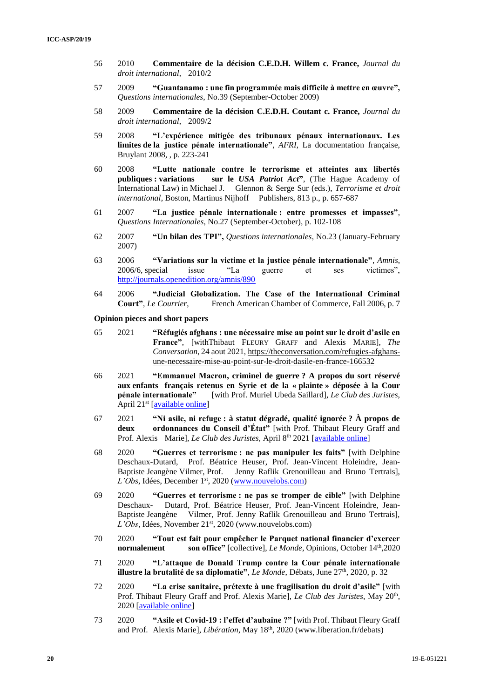- 56 2010 **Commentaire de la décision C.E.D.H. Willem c. France,** *Journal du droit international*, 2010/2
- 57 2009 **"Guantanamo : une fin programmée mais difficile à mettre en œuvre",**  *Questions internationales*, No.39 (September-October 2009)
- 58 2009 **Commentaire de la décision C.E.D.H. Coutant c. France,** *Journal du droit international*, 2009/2
- 59 2008 **"L'expérience mitigée des tribunaux pénaux internationaux. Les limites de la justice pénale internationale"**, *AFRI*, La documentation française, Bruylant 2008, , p. 223-241
- 60 2008 **"Lutte nationale contre le terrorisme et atteintes aux libertés publiques : variations sur le** *USA Patriot Act***"**, (The Hague Academy of International Law) in Michael J. Glennon & Serge Sur (eds.), *Terrorisme et droit international*, Boston, Martinus Nijhoff Publishers, 813 p., p. 657-687
- 61 2007 **"La justice pénale internationale : entre promesses et impasses"**, *Questions Internationales*, No.27 (September-October), p. 102-108
- 62 2007 **"Un bilan des TPI",** *Questions internationales*, No.23 (January-February 2007)
- 63 2006 **"Variations sur la victime et la justice pénale internationale"**, *Amnis*, 2006/6, special issue "La guerre et ses victimes", <http://journals.openedition.org/amnis/890>
- 64 2006 **"Judicial Globalization. The Case of the International Criminal Court"**, *Le Courrier*, French American Chamber of Commerce, Fall 2006, p. 7

**Opinion pieces and short papers** 

- 65 2021 **"Réfugiés afghans : une nécessaire mise au point sur le droit d'asile en France"**, [withThibaut FLEURY GRAFF and Alexis MARIE], *The Conversation*, 24 aout 2021[, https://theconversation.com/refugies-afghans](https://theconversation.com/refugies-afghans-une-necessaire-mise-au-point-sur-le-droit-dasile-en-france-166532)[une-necessaire-mise-au-point-sur-le-droit-dasile-en-france-166532](https://theconversation.com/refugies-afghans-une-necessaire-mise-au-point-sur-le-droit-dasile-en-france-166532)
- 66 2021 **"Emmanuel Macron, criminel de guerre ? A propos du sort réservé aux enfants français retenus en Syrie et de la « plainte » déposée à la Cour pénale internationale"** [with Prof. Muriel Ubeda Saillard], *Le Club des Juristes*, April 21st [\[available online\]](https://blog.leclubdesjuristes.com/emmanuel-macron-criminel-de-guerre-a-propos-du-sort-reserve-aux-enfants-francais-detenus-en-syrie-et-de-la-plainte-deposee-a-la-cour-penale-internationale-par-julian-fernandez-e/)
- 67 2021 **"Ni asile, ni refuge : à statut dégradé, qualité ignorée ? À propos de deux ordonnances du Conseil d'État"** [with Prof. Thibaut Fleury Graff and Prof. Alexis Marie], *Le Club des Juristes*, April 8<sup>th</sup> 2021 [\[available online\]](https://blog.leclubdesjuristes.com/ni-asile-ni-refuge-a-statut-degrade-qualite-ignoree/)
- 68 2020 **"Guerres et terrorisme : ne pas manipuler les faits"** [with Delphine Deschaux-Dutard, Prof. Béatrice Heuser, Prof. Jean-Vincent Holeindre, Jean-Baptiste Jeangène Vilmer, Prof. Jenny Raflik Grenouilleau and Bruno Tertrais], *L'Obs*, Idées, December 1<sup>st</sup>, 2020 [\(www.nouvelobs.com\)](http://www.nouvelobs.com/)
- 69 2020 **"Guerres et terrorisme : ne pas se tromper de cible"** [with Delphine Deschaux- Dutard, Prof. Béatrice Heuser, Prof. Jean-Vincent Holeindre, Jean-Baptiste Jeangène Vilmer, Prof. Jenny Raflik Grenouilleau and Bruno Tertrais], *L'Obs*, Idées, November 21st, 2020 (www.nouvelobs.com)
- 70 2020 **"Tout est fait pour empêcher le Parquet national financier d'exercer normalement son office**" [collective], *Le Monde*, Opinions, October 14<sup>th</sup>,2020
- 71 2020 **"L'attaque de Donald Trump contre la Cour pénale internationale illustre la brutalité de sa diplomatie",** *Le Monde*, Débats, June 27<sup>th</sup>, 2020, p. 32
- 72 2020 **"La crise sanitaire, prétexte à une fragilisation du droit d'asile"** [with Prof. Thibaut Fleury Graff and Prof. Alexis Marie], *Le Club des Juristes*, May 20<sup>th</sup>, 2020 [\[available online\]](https://blog.leclubdesjuristes.com/la-crise-sanitaire-pretexte-a-une-fragilisation-du-droit-dasile/)
- 73 2020 **"Asile et Covid-19 : l'effet d'aubaine ?"** [with Prof. Thibaut Fleury Graff and Prof. Alexis Marie], *Libération*, May 18th, 2020 (www.liberation.fr/debats)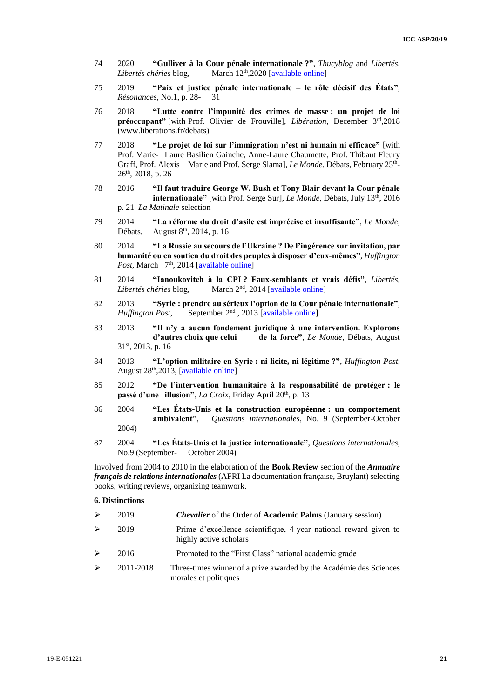- 74 2020 **"Gulliver à la Cour pénale internationale ?"**, *Thucyblog* and *Libertés,*  Libertés chéries blog, March 12<sup>th</sup>,2020 [\[available online\]](https://www.afri-ct.org/2020/thucyblog-n-18-gulliver-devant-la-cour-penale-internationale/)
- 75 2019 **"Paix et justice pénale internationale – le rôle décisif des États"**, *Résonances*, No.1, p. 28- 31
- 76 2018 **"Lutte contre l'impunité des crimes de masse : un projet de loi préoccupant"** [with Prof. Olivier de Frouville], *Libération*, December 3rd,2018 (www.liberations.fr/debats)
- 77 2018 **"Le projet de loi sur l'immigration n'est ni humain ni efficace"** [with Prof. Marie- Laure Basilien Gainche, Anne-Laure Chaumette, Prof. Thibaut Fleury Graff, Prof. Alexis Marie and Prof. Serge Slama], *Le Monde*, Débats, February 25<sup>th</sup>-26th, 2018, p. 26
- 78 2016 **"Il faut traduire George W. Bush et Tony Blair devant la Cour pénale internationale"** [with Prof. Serge Sur], *Le Monde*, Débats, July 13<sup>th</sup>, 2016 p. 21 *La Matinale* selection
- 79 2014 **"La réforme du droit d'asile est imprécise et insuffisante"**, *Le Monde*, August  $8^{th}$ , 2014, p. 16
- 80 2014 **"La Russie au secours de l'Ukraine ? De l'ingérence sur invitation, par humanité ou en soutien du droit des peuples à disposer d'eux-mêmes"**, *Huffington*  Post, March 7<sup>th</sup>, 2014 [\[available online\]](https://www.huffingtonpost.fr/julian-fernandez/droit-international-russie-ukraine_b_4906837.html)
- 81 2014 **"Ianoukovitch à la CPI ? Faux-semblants et vrais défis"**, *Libertés, Libertés chéries* blog, March 2nd, 2014 [\[available online\]](http://libertescheries.blogspot.com/2014/03/les-invites-de-llc-julian-fernandez_2.html)
- 82 2013 **"Syrie : prendre au sérieux l'option de la Cour pénale internationale"**, *Huffington Post*, September 2<sup>nd</sup>, 2013 [\[available online\]](https://www.huffingtonpost.fr/julian-fernandez/syrie-solution-judiciaire_b_3852636.html)
- 83 2013 **"Il n'y a aucun fondement juridique à une intervention. Explorons d'autres choix que celui de la force"***, Le Monde*, Débats, August 31st, 2013, p. 16
- 84 2013 **"L'option militaire en Syrie : ni licite, ni légitime ?"**, *Huffington Post*, August 28th,2013, [\[available online\]](https://www.huffingtonpost.fr/julian-fernandez/intervention-syrie-illegale_b_3828155.html)
- 85 2012 **"De l'intervention humanitaire à la responsabilité de protéger : le passé d'une illusion"**, *La Croix*, Friday April 20th, p. 13
- 86 2004 **"Les États-Unis et la construction européenne : un comportement ambivalent"**, *Questions internationales*, No. 9 (September-October 2004)
- 87 2004 **"Les États-Unis et la justice internationale"**, *Questions internationales*, No.9 (September- October 2004)

Involved from 2004 to 2010 in the elaboration of the **Book Review** section of the *Annuaire français de relations internationales* (AFRI La documentation française, Bruylant) selecting books, writing reviews, organizing teamwork.

#### **6. Distinctions**

- 2019 *Chevalier* of the Order of **Academic Palms** (January session)
- 2019 Prime d'excellence scientifique, 4-year national reward given to highly active scholars
- 2016 Promoted to the "First Class" national academic grade
- $\geq$  2011-2018 Three-times winner of a prize awarded by the Académie des Sciences morales et politiques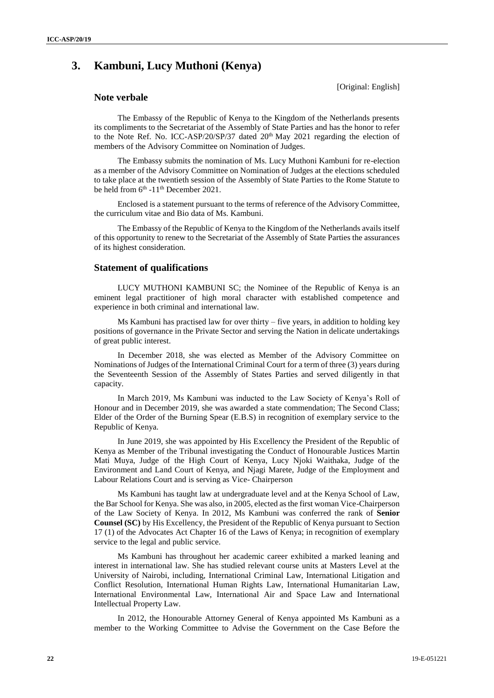# **3. Kambuni, Lucy Muthoni (Kenya)**

[Original: English]

### **Note verbale**

The Embassy of the Republic of Kenya to the Kingdom of the Netherlands presents its compliments to the Secretariat of the Assembly of State Parties and has the honor to refer to the Note Ref. No. ICC-ASP/20/SP/37 dated  $20<sup>th</sup>$  May 2021 regarding the election of members of the Advisory Committee on Nomination of Judges.

The Embassy submits the nomination of Ms. Lucy Muthoni Kambuni for re-election as a member of the Advisory Committee on Nomination of Judges at the elections scheduled to take place at the twentieth session of the Assembly of State Parties to the Rome Statute to be held from  $6<sup>th</sup> - 11<sup>th</sup>$  December 2021.

Enclosed is a statement pursuant to the terms of reference of the Advisory Committee, the curriculum vitae and Bio data of Ms. Kambuni.

The Embassy of the Republic of Kenya to the Kingdom of the Netherlands avails itself of this opportunity to renew to the Secretariat of the Assembly of State Parties the assurances of its highest consideration.

### **Statement of qualifications**

LUCY MUTHONI KAMBUNI SC; the Nominee of the Republic of Kenya is an eminent legal practitioner of high moral character with established competence and experience in both criminal and international law.

Ms Kambuni has practised law for over thirty – five years, in addition to holding key positions of governance in the Private Sector and serving the Nation in delicate undertakings of great public interest.

In December 2018, she was elected as Member of the Advisory Committee on Nominations of Judges of the International Criminal Court for a term of three (3) years during the Seventeenth Session of the Assembly of States Parties and served diligently in that capacity.

In March 2019, Ms Kambuni was inducted to the Law Society of Kenya's Roll of Honour and in December 2019, she was awarded a state commendation; The Second Class; Elder of the Order of the Burning Spear (E.B.S) in recognition of exemplary service to the Republic of Kenya.

In June 2019, she was appointed by His Excellency the President of the Republic of Kenya as Member of the Tribunal investigating the Conduct of Honourable Justices Martin Mati Muya, Judge of the High Court of Kenya, Lucy Njoki Waithaka, Judge of the Environment and Land Court of Kenya, and Njagi Marete, Judge of the Employment and Labour Relations Court and is serving as Vice- Chairperson

Ms Kambuni has taught law at undergraduate level and at the Kenya School of Law, the Bar School for Kenya. She was also, in 2005, elected as the first woman Vice-Chairperson of the Law Society of Kenya. In 2012, Ms Kambuni was conferred the rank of **Senior Counsel (SC)** by His Excellency, the President of the Republic of Kenya pursuant to Section 17 (1) of the Advocates Act Chapter 16 of the Laws of Kenya; in recognition of exemplary service to the legal and public service.

Ms Kambuni has throughout her academic career exhibited a marked leaning and interest in international law. She has studied relevant course units at Masters Level at the University of Nairobi, including, International Criminal Law, International Litigation and Conflict Resolution, International Human Rights Law, International Humanitarian Law, International Environmental Law, International Air and Space Law and International Intellectual Property Law.

In 2012, the Honourable Attorney General of Kenya appointed Ms Kambuni as a member to the Working Committee to Advise the Government on the Case Before the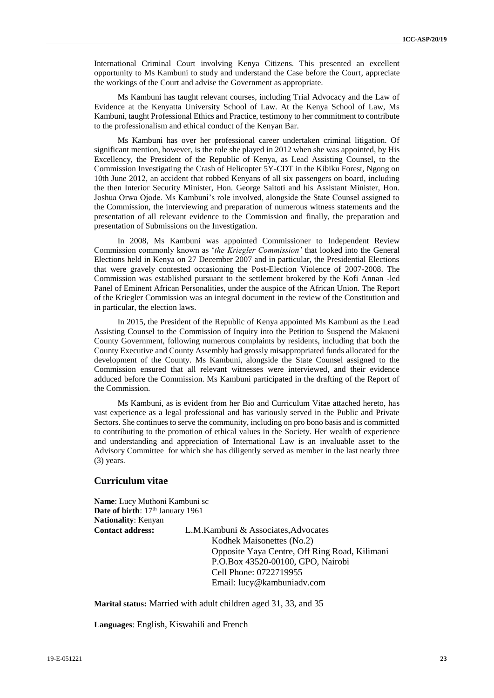International Criminal Court involving Kenya Citizens. This presented an excellent opportunity to Ms Kambuni to study and understand the Case before the Court, appreciate the workings of the Court and advise the Government as appropriate.

Ms Kambuni has taught relevant courses, including Trial Advocacy and the Law of Evidence at the Kenyatta University School of Law. At the Kenya School of Law, Ms Kambuni, taught Professional Ethics and Practice, testimony to her commitment to contribute to the professionalism and ethical conduct of the Kenyan Bar.

Ms Kambuni has over her professional career undertaken criminal litigation. Of significant mention, however, is the role she played in 2012 when she was appointed, by His Excellency, the President of the Republic of Kenya, as Lead Assisting Counsel, to the Commission Investigating the Crash of Helicopter 5Y-CDT in the Kibiku Forest, Ngong on 10th June 2012, an accident that robbed Kenyans of all six passengers on board, including the then Interior Security Minister, Hon. George Saitoti and his Assistant Minister, Hon. Joshua Orwa Ojode. Ms Kambuni's role involved, alongside the State Counsel assigned to the Commission, the interviewing and preparation of numerous witness statements and the presentation of all relevant evidence to the Commission and finally, the preparation and presentation of Submissions on the Investigation.

In 2008, Ms Kambuni was appointed Commissioner to Independent Review Commission commonly known as '*the Kriegler Commission'* that looked into the General Elections held in Kenya on 27 December 2007 and in particular, the Presidential Elections that were gravely contested occasioning the Post-Election Violence of 2007-2008. The Commission was established pursuant to the settlement brokered by the Kofi Annan -led Panel of Eminent African Personalities, under the auspice of the African Union. The Report of the Kriegler Commission was an integral document in the review of the Constitution and in particular, the election laws.

In 2015, the President of the Republic of Kenya appointed Ms Kambuni as the Lead Assisting Counsel to the Commission of Inquiry into the Petition to Suspend the Makueni County Government, following numerous complaints by residents, including that both the County Executive and County Assembly had grossly misappropriated funds allocated for the development of the County. Ms Kambuni, alongside the State Counsel assigned to the Commission ensured that all relevant witnesses were interviewed, and their evidence adduced before the Commission. Ms Kambuni participated in the drafting of the Report of the Commission.

Ms Kambuni, as is evident from her Bio and Curriculum Vitae attached hereto, has vast experience as a legal professional and has variously served in the Public and Private Sectors. She continues to serve the community, including on pro bono basis and is committed to contributing to the promotion of ethical values in the Society. Her wealth of experience and understanding and appreciation of International Law is an invaluable asset to the Advisory Committee for which she has diligently served as member in the last nearly three (3) years.

#### **Curriculum vitae**

**Name**: Lucy Muthoni Kambuni sc **Date of birth**: 17<sup>th</sup> January 1961 **Nationality**: Kenyan

**Contact address:** L.M.Kambuni & Associates,Advocates Kodhek Maisonettes (No.2) Opposite Yaya Centre, Off Ring Road, Kilimani P.O.Box 43520-00100, GPO, Nairobi Cell Phone: 0722719955 Email: [lucy@kambuniadv.com](about:blank)

**Marital status:** Married with adult children aged 31, 33, and 35

**Languages**: English, Kiswahili and French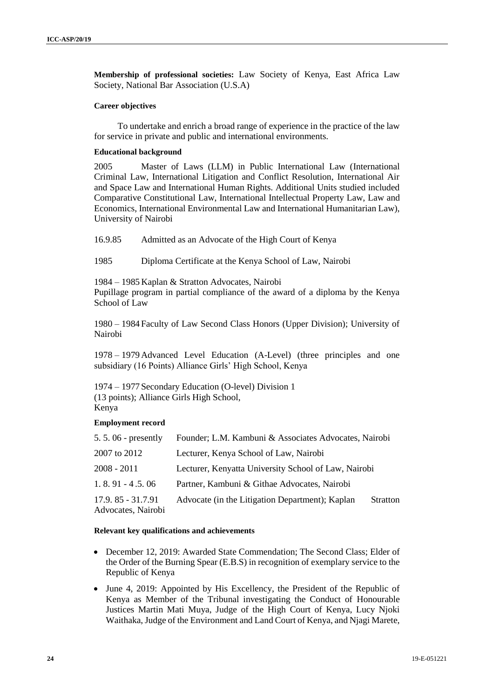**Membership of professional societies:** Law Society of Kenya, East Africa Law Society, National Bar Association (U.S.A)

### **Career objectives**

To undertake and enrich a broad range of experience in the practice of the law for service in private and public and international environments.

### **Educational background**

2005 Master of Laws (LLM) in Public International Law (International Criminal Law, International Litigation and Conflict Resolution, International Air and Space Law and International Human Rights. Additional Units studied included Comparative Constitutional Law, International Intellectual Property Law, Law and Economics, International Environmental Law and International Humanitarian Law), University of Nairobi

16.9.85 Admitted as an Advocate of the High Court of Kenya

1985 Diploma Certificate at the Kenya School of Law, Nairobi

1984 – 1985 Kaplan & Stratton Advocates, Nairobi

Pupillage program in partial compliance of the award of a diploma by the Kenya School of Law

1980 – 1984 Faculty of Law Second Class Honors (Upper Division); University of Nairobi

1978 – 1979Advanced Level Education (A-Level) (three principles and one subsidiary (16 Points) Alliance Girls' High School, Kenya

1974 – 1977 Secondary Education (O-level) Division 1 (13 points); Alliance Girls High School, Kenya

### **Employment record**

| $5.5.06$ - presently                    | Founder; L.M. Kambuni & Associates Advocates, Nairobi |                 |
|-----------------------------------------|-------------------------------------------------------|-----------------|
| 2007 to 2012                            | Lecturer, Kenya School of Law, Nairobi                |                 |
| $2008 - 2011$                           | Lecturer, Kenyatta University School of Law, Nairobi  |                 |
| $1, 8, 91 - 4, 5, 06$                   | Partner, Kambuni & Githae Advocates, Nairobi          |                 |
| 17.9.85 - 31.7.91<br>Advocates, Nairobi | Advocate (in the Litigation Department); Kaplan       | <b>Stratton</b> |

#### **Relevant key qualifications and achievements**

- December 12, 2019: Awarded State Commendation; The Second Class; Elder of the Order of the Burning Spear (E.B.S) in recognition of exemplary service to the Republic of Kenya
- June 4, 2019: Appointed by His Excellency, the President of the Republic of Kenya as Member of the Tribunal investigating the Conduct of Honourable Justices Martin Mati Muya, Judge of the High Court of Kenya, Lucy Njoki Waithaka, Judge of the Environment and Land Court of Kenya, and Njagi Marete,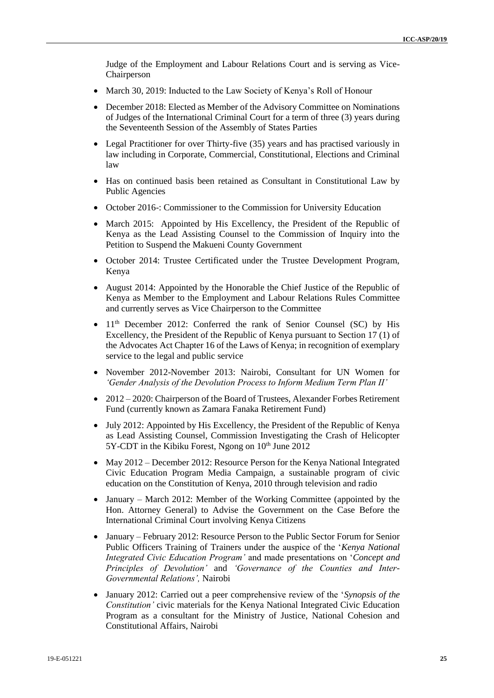Judge of the Employment and Labour Relations Court and is serving as Vice-Chairperson

- March 30, 2019: Inducted to the Law Society of Kenya's Roll of Honour
- December 2018: Elected as Member of the Advisory Committee on Nominations of Judges of the International Criminal Court for a term of three (3) years during the Seventeenth Session of the Assembly of States Parties
- Legal Practitioner for over Thirty-five (35) years and has practised variously in law including in Corporate, Commercial, Constitutional, Elections and Criminal law
- Has on continued basis been retained as Consultant in Constitutional Law by Public Agencies
- October 2016-: Commissioner to the Commission for University Education
- March 2015: Appointed by His Excellency, the President of the Republic of Kenya as the Lead Assisting Counsel to the Commission of Inquiry into the Petition to Suspend the Makueni County Government
- October 2014: Trustee Certificated under the Trustee Development Program, Kenya
- August 2014: Appointed by the Honorable the Chief Justice of the Republic of Kenya as Member to the Employment and Labour Relations Rules Committee and currently serves as Vice Chairperson to the Committee
- $\bullet$  11<sup>th</sup> December 2012: Conferred the rank of Senior Counsel (SC) by His Excellency, the President of the Republic of Kenya pursuant to Section 17 (1) of the Advocates Act Chapter 16 of the Laws of Kenya; in recognition of exemplary service to the legal and public service
- November 2012-November 2013: Nairobi, Consultant for UN Women for *'Gender Analysis of the Devolution Process to Inform Medium Term Plan II'*
- 2012 2020: Chairperson of the Board of Trustees, Alexander Forbes Retirement Fund (currently known as Zamara Fanaka Retirement Fund)
- July 2012: Appointed by His Excellency, the President of the Republic of Kenya as Lead Assisting Counsel, Commission Investigating the Crash of Helicopter  $5Y$ -CDT in the Kibiku Forest, Ngong on  $10<sup>th</sup>$  June 2012
- May 2012 December 2012: Resource Person for the Kenya National Integrated Civic Education Program Media Campaign, a sustainable program of civic education on the Constitution of Kenya, 2010 through television and radio
- January March 2012: Member of the Working Committee (appointed by the Hon. Attorney General) to Advise the Government on the Case Before the International Criminal Court involving Kenya Citizens
- January February 2012: Resource Person to the Public Sector Forum for Senior Public Officers Training of Trainers under the auspice of the '*Kenya National Integrated Civic Education Program'* and made presentations on '*Concept and Principles of Devolution'* and *'Governance of the Counties and Inter-Governmental Relations',* Nairobi
- January 2012: Carried out a peer comprehensive review of the '*Synopsis of the Constitution'* civic materials for the Kenya National Integrated Civic Education Program as a consultant for the Ministry of Justice, National Cohesion and Constitutional Affairs, Nairobi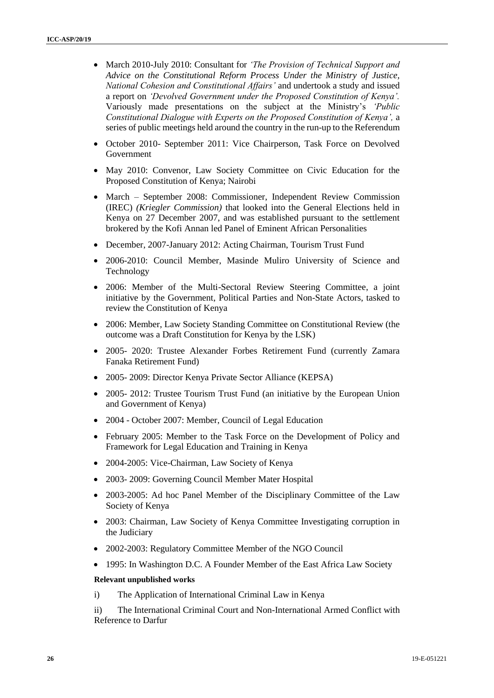- March 2010-July 2010: Consultant for *'The Provision of Technical Support and Advice on the Constitutional Reform Process Under the Ministry of Justice, National Cohesion and Constitutional Affairs'* and undertook a study and issued a report on *'Devolved Government under the Proposed Constitution of Kenya'.*  Variously made presentations on the subject at the Ministry's *'Public Constitutional Dialogue with Experts on the Proposed Constitution of Kenya',* a series of public meetings held around the country in the run-up to the Referendum
- October 2010- September 2011: Vice Chairperson, Task Force on Devolved Government
- May 2010: Convenor, Law Society Committee on Civic Education for the Proposed Constitution of Kenya; Nairobi
- March September 2008: Commissioner, Independent Review Commission (IREC) *(Kriegler Commission)* that looked into the General Elections held in Kenya on 27 December 2007, and was established pursuant to the settlement brokered by the Kofi Annan led Panel of Eminent African Personalities
- December, 2007-January 2012: Acting Chairman, Tourism Trust Fund
- 2006-2010: Council Member, Masinde Muliro University of Science and Technology
- 2006: Member of the Multi-Sectoral Review Steering Committee, a joint initiative by the Government, Political Parties and Non-State Actors, tasked to review the Constitution of Kenya
- 2006: Member, Law Society Standing Committee on Constitutional Review (the outcome was a Draft Constitution for Kenya by the LSK)
- 2005- 2020: Trustee Alexander Forbes Retirement Fund (currently Zamara Fanaka Retirement Fund)
- 2005- 2009: Director Kenya Private Sector Alliance (KEPSA)
- 2005- 2012: Trustee Tourism Trust Fund (an initiative by the European Union and Government of Kenya)
- 2004 October 2007: Member, Council of Legal Education
- February 2005: Member to the Task Force on the Development of Policy and Framework for Legal Education and Training in Kenya
- 2004-2005: Vice-Chairman, Law Society of Kenya
- 2003- 2009: Governing Council Member Mater Hospital
- 2003-2005: Ad hoc Panel Member of the Disciplinary Committee of the Law Society of Kenya
- 2003: Chairman, Law Society of Kenya Committee Investigating corruption in the Judiciary
- 2002-2003: Regulatory Committee Member of the NGO Council
- 1995: In Washington D.C. A Founder Member of the East Africa Law Society

### **Relevant unpublished works**

i) The Application of International Criminal Law in Kenya

ii) The International Criminal Court and Non-International Armed Conflict with Reference to Darfur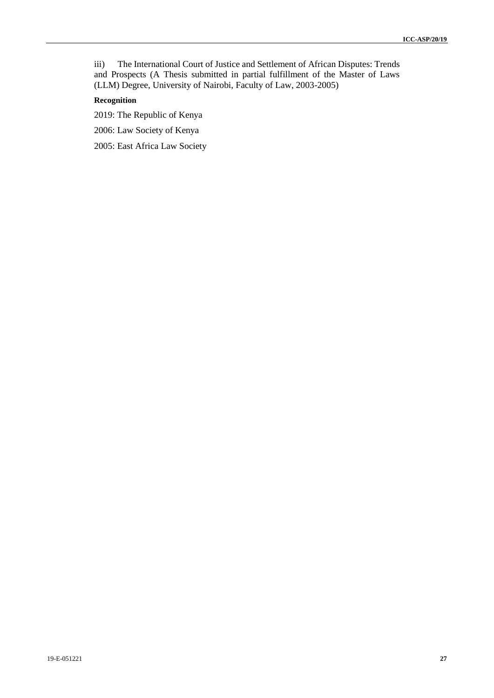iii) The International Court of Justice and Settlement of African Disputes: Trends and Prospects (A Thesis submitted in partial fulfillment of the Master of Laws (LLM) Degree, University of Nairobi, Faculty of Law, 2003-2005)

### **Recognition**

2019: The Republic of Kenya

2006: Law Society of Kenya

2005: East Africa Law Society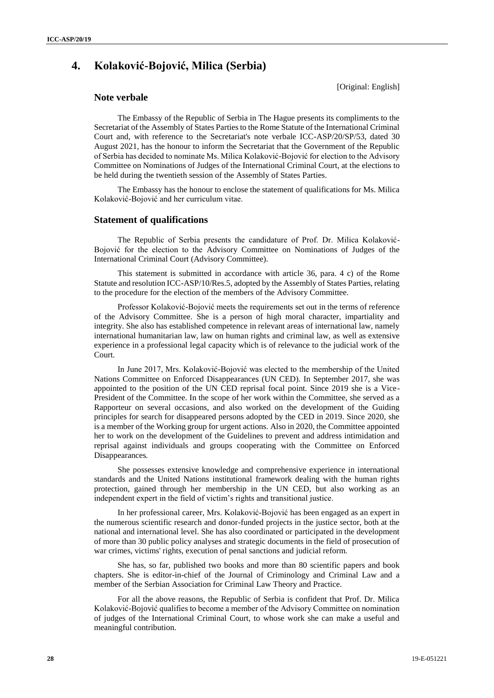# **4. Kolaković-Bojović, Milica (Serbia)**

[Original: English]

### **Note verbale**

The Embassy of the Republic of Serbia in The Hague presents its compliments to the Secretariat of the Assembly of States Parties to the Rome Statute of the International Criminal Court and, with reference to the Secretariat's note verbale ICC-ASP/20/SP/53, dated 30 August 2021, has the honour to inform the Secretariat that the Government of the Republic of Serbia has decided to nominate Ms. Milica Kolaković-Bojović for election to the Advisory Committee on Nominations of Judges of the International Criminal Court, at the elections to be held during the twentieth session of the Assembly of States Parties.

The Embassy has the honour to enclose the statement of qualifications for Ms. Milica Kolaković-Bojović and her curriculum vitae.

#### **Statement of qualifications**

The Republic of Serbia presents the candidature of Prof. Dr. Milica Kolaković-Bojović for the election to the Advisory Committee on Nominations of Judges of the International Criminal Court (Advisory Committee).

This statement is submitted in accordance with article 36, para. 4 c) of the Rome Statute and resolution ICC-ASP/10/Res.5, adopted by the Assembly of States Parties, relating to the procedure for the election of the members of the Advisory Committee.

Professor Kolaković-Bojović meets the requirements set out in the terms of reference of the Advisory Committee. She is a person of high moral character, impartiality and integrity. She also has established competence in relevant areas of international law, namely international humanitarian law, law on human rights and criminal law, as well as extensive experience in a professional legal capacity which is of relevance to the judicial work of the Court.

In June 2017, Mrs. Kolaković-Bojović was elected to the membership of the United Nations Committee on Enforced Disappearances (UN CED). In September 2017, she was appointed to the position of the UN CED reprisal focal point. Since 2019 she is a Vice-President of the Committee. In the scope of her work within the Committee, she served as a Rapporteur on several occasions, and also worked on the development of the Guiding principles for search for disappeared persons adopted by the CED in 2019. Since 2020, she is a member of the Working group for urgent actions. Also in 2020, the Committee appointed her to work on the development of the Guidelines to prevent and address intimidation and reprisal against individuals and groups cooperating with the Committee on Enforced Disappearances*.*

She possesses extensive knowledge and comprehensive experience in international standards and the United Nations institutional framework dealing with the human rights protection, gained through her membership in the UN CED, but also working as an independent expert in the field of victim's rights and transitional justice.

In her professional career, Mrs. Kolaković-Bojović has been engaged as an expert in the numerous scientific research and donor-funded projects in the justice sector, both at the national and international level. She has also coordinated or participated in the development of more than 30 public policy analyses and strategic documents in the field of prosecution of war crimes, victims' rights, execution of penal sanctions and judicial reform.

She has, so far, published two books and more than 80 scientific papers and book chapters. She is editor-in-chief of the Journal of Criminology and Criminal Law and a member of the Serbian Association for Criminal Law Theory and Practice.

For all the above reasons, the Republic of Serbia is confident that Prof. Dr. Milica Kolaković-Bojović qualifies to become a member of the Advisory Committee on nomination of judges of the International Criminal Court, to whose work she can make a useful and meaningful contribution.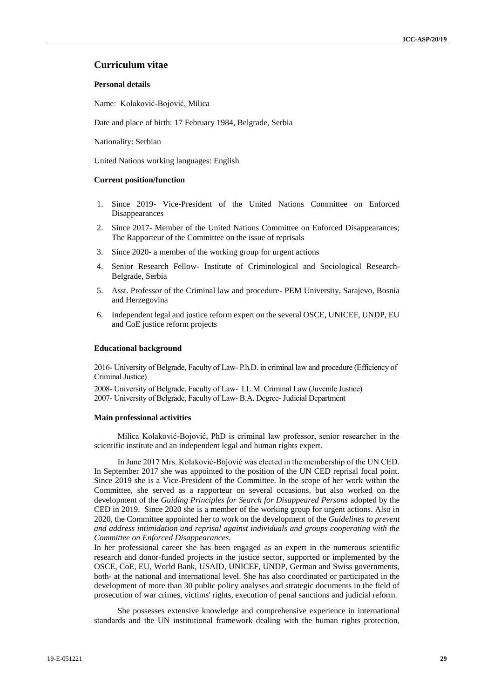### **Curriculum vitae**

#### **Personal details**

Name: Kolaković-Bojović, Milica

Date and place of birth: 17 February 1984, Belgrade, Serbia

Nationality: Serbian

United Nations working languages: English

#### **Current position/function**

- 1. Since 2019- Vice-President of the United Nations Committee on Enforced Disappearances
- 2. Since 2017- Member of the United Nations Committee on Enforced Disappearances; The Rapporteur of the Committee on the issue of reprisals
- 3. Since 2020- a member of the working group for urgent actions
- 4. Senior Research Fellow- Institute of Criminological and Sociological Research-Belgrade, Serbia
- 5. Asst. Professor of the Criminal law and procedure- PEM University, Sarajevo, Bosnia and Herzegovina
- 6. Independent legal and justice reform expert on the several OSCE, UNICEF, UNDP, EU and CoE justice reform projects

#### **Educational background**

2016- University of Belgrade, Faculty of Law- P.h.D. in criminal law and procedure (Efficiency of Criminal Justice)

2008- University of Belgrade, Faculty of Law- LL.M. Criminal Law (Juvenile Justice) 2007- University of Belgrade, Faculty of Law- B.A. Degree-Judicial Department

#### **Main professional activities**

Milica Kolaković-Bojović, PhD is criminal law professor, senior researcher in the scientific institute and an independent legal and human rights expert.

In June 2017 Mrs. Kolaković-Bojović was elected in the membership of the UN CED. In September 2017 she was appointed to the position of the UN CED reprisal focal point. Since 2019 she is a Vice-President of the Committee. In the scope of her work within the Committee, she served as a rapporteur on several occasions, but also worked on the development of the *Guiding Principles for Search for Disappeared Persons* adopted by the CED in 2019. Since 2020 she is a member of the working group for urgent actions. Also in 2020, the Committee appointed her to work on the development of the *Guidelines to prevent and address intimidation and reprisal against individuals and groups cooperating with the Committee on Enforced Disappearances.*

In her professional career she has been engaged as an expert in the numerous scientific research and donor-funded projects in the justice sector, supported or implemented by the OSCE, CoE, EU, World Bank, USAID, UNICEF, UNDP, German and Swiss governments, both- at the national and international level. She has also coordinated or participated in the development of more than 30 public policy analyses and strategic documents in the field of prosecution of war crimes, victims' rights, execution of penal sanctions and judicial reform.

She possesses extensive knowledge and comprehensive experience in international standards and the UN institutional framework dealing with the human rights protection,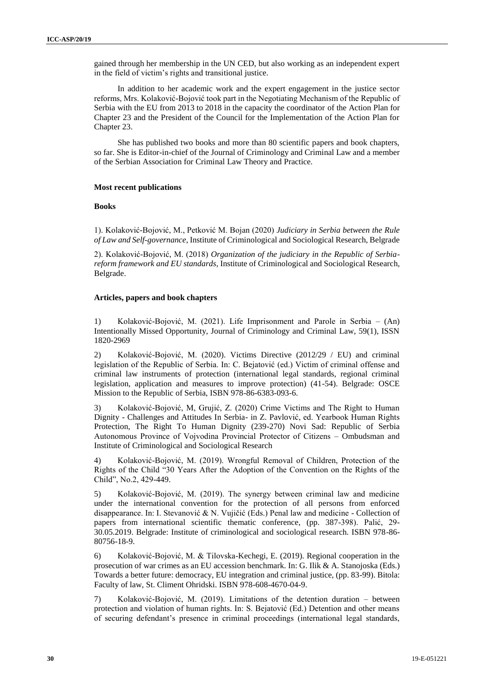gained through her membership in the UN CED, but also working as an independent expert in the field of victim's rights and transitional justice.

In addition to her academic work and the expert engagement in the justice sector reforms, Mrs. Kolaković-Bojović took part in the Negotiating Mechanism of the Republic of Serbia with the EU from 2013 to 2018 in the capacity the coordinator of the Action Plan for Chapter 23 and the President of the Council for the Implementation of the Action Plan for Chapter 23.

She has published two books and more than 80 scientific papers and book chapters, so far. She is Editor-in-chief of the Journal of Criminology and Criminal Law and a member of the Serbian Association for Criminal Law Theory and Practice.

#### **Most recent publications**

#### **Books**

1). Kolaković-Bojović, M., Petković M. Bojan (2020) *Judiciary in Serbia between the Rule of Law and Self-governance*, Institute of Criminological and Sociological Research, Belgrade

2). Kolaković-Bojović, M. (2018) *Organization of the judiciary in the Republic of Serbiareform framework and EU standards*, Institute of Criminological and Sociological Research, Belgrade.

#### **Articles, papers and book chapters**

1) Kolaković-Bojović, M. (2021). Life Imprisonment and Parole in Serbia – (An) Intentionally Missed Opportunity, Journal of Criminology and Criminal Law, 59(1), ISSN 1820-2969

2) Kolaković-Bojović, M. (2020). Victims Directive (2012/29 / EU) and criminal legislation of the Republic of Serbia. In: С. Bejatović (ed.) Victim of criminal offense and criminal law instruments of protection (international legal standards, regional criminal legislation, application and measures to improve protection) (41-54). Belgrade: OSCE Mission to the Republic of Serbia, ISBN 978-86-6383-093-6.

3) Kolaković-Bojović, M, Grujić, Z. (2020) Crime Victims and The Right to Human Dignity - Challenges and Attitudes In Serbia- in Z. Pavlović, ed. Yearbook Human Rights Protection, The Right To Human Dignity (239-270) Novi Sad: Republic of Serbia Autonomous Province of Vојvоdinа Prоvincial Protector of Citizens – Ombudsman and Institute of Criminological and Sociological Research

4) Kolaković-Bojović, M. (2019). Wrongful Removal of Children, Protection of the Rights of the Child "30 Years After the Adoption of the Convention on the Rights of the Child", No.2, 429-449.

5) Kolaković-Bojović, M. (2019). The synergy between criminal law and medicine under the international convention for the protection of all persons from enforced disappearance. In: I. Stevanović & N. Vujičić (Eds.) Penal law and medicine - Collection of papers from international scientific thematic conference, (pp. 387-398). Palić, 29- 30.05.2019. Belgrade: Institute of criminological and sociological research. ISBN 978-86- 80756-18-9.

6) Kolaković-Bojović, M. & Tilovska-Kechegi, E. (2019). Regional cooperation in the prosecution of war crimes as an EU accession benchmark. In: G. Ilik & A. Stanojoska (Eds.) Towards a better future: democracy, EU integration and criminal justice, (pp. 83-99). Bitola: Faculty of law, St. Climent Ohridski. ISBN 978-608-4670-04-9.

7) Kolaković-Bojović, M. (2019). Limitations of the detention duration – between protection and violation of human rights. In: S. Bejatović (Ed.) Detention and other means of securing defendant's presence in criminal proceedings (international legal standards,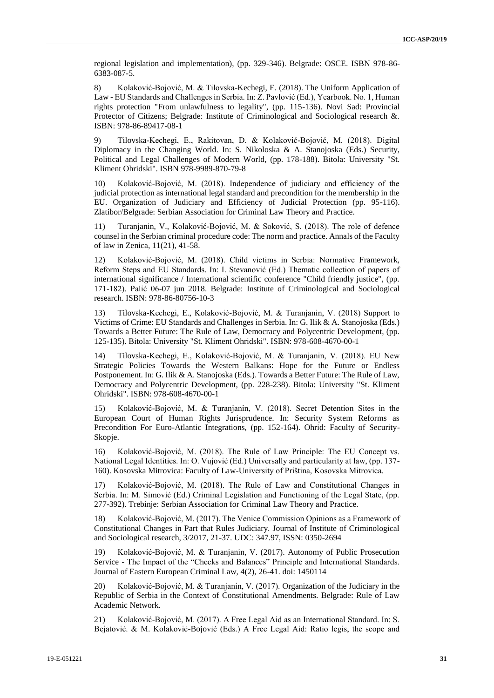regional legislation and implementation), (pp. 329-346). Belgrade: OSCE. ISBN 978-86- 6383-087-5.

8) Kolaković-Bojović, M. & Tilovska-Kechegi, E. (2018). The Uniform Application of Law - EU Standards and Challenges in Serbia. In: Z. Pavlović (Ed.), Yearbook. No. 1, Human rights protection "From unlawfulness to legality", (pp. 115-136). Novi Sad: Provincial Protector of Citizens; Belgrade: Institute of Criminological and Sociological research &. ISBN: 978-86-89417-08-1

9) Tilovska-Kechegi, E., Rakitovan, D. & Kolaković-Bojović, M. (2018). Digital Diplomacy in the Changing World. In: S. Nikoloska & A. Stanojoska (Eds.) Security, Political and Legal Challenges of Modern World, (pp. 178-188). Bitola: University "St. Kliment Ohridski". ISBN 978-9989-870-79-8

10) Kolaković-Bojović, M. (2018). Independence of judiciary and efficiency of the judicial protection as international legal standard and precondition for the membership in the EU. Organization of Judiciary and Efficiency of Judicial Protection (pp. 95-116). Zlatibor/Belgrade: Serbian Association for Criminal Law Theory and Practice.

11) Turanjanin, V., Kolaković-Bojović, M. & Soković, S. (2018). The role of defence counsel in the Serbian criminal procedure code: The norm and practice. Annals of the Faculty of law in Zenica, 11(21), 41-58.

12) Kolaković-Bojović, M. (2018). Child victims in Serbia: Normative Framework, Reform Steps and EU Standards. In: I. Stevanović (Ed.) Thematic collection of papers of international significance / International scientific conference "Child friendly justice", (pp. 171-182). Palić 06-07 jun 2018. Belgrade: Institute of Criminological and Sociological research. ISBN: 978-86-80756-10-3

13) Tilovska-Kechegi, E., Kolaković-Bojović, M. & Turanjanin, V. (2018) Support to Victims of Crime: EU Standards and Challenges in Serbia. In: G. Ilik & A. Stanojoska (Eds.) Towards a Better Future: The Rule of Law, Democracy and Polycentric Development, (pp. 125-135). Bitola: University "St. Kliment Ohridski". ISBN: 978-608-4670-00-1

14) Tilovska-Kechegi, E., Kolaković-Bojović, M. & Turanjanin, V. (2018). EU New Strategic Policies Towards the Western Balkans: Hope for the Future or Endless Postponement. In: G. Ilik & A. Stanojoska (Eds.). Towards a Better Future: The Rule of Law, Democracy and Polycentric Development, (pp. 228-238). Bitola: University "St. Kliment Ohridski". ISBN: 978-608-4670-00-1

Kolaković-Bojović, M. & Turanjanin, V. (2018). Secret Detention Sites in the European Court of Human Rights Jurisprudence. In: Security System Reforms as Precondition For Euro-Atlantic Integrations, (pp. 152-164). Ohrid: Faculty of Security-Skopje.

16) Kolaković-Bojović, M. (2018). The Rule of Law Principle: The EU Concept vs. National Legal Identities. In: O. Vujović (Ed.) Universally and particularity at law, (pp. 137- 160). Kosovska Mitrovica: Faculty of Law-University of Priština, Kosovska Mitrovica.

17) Kolaković-Bojović, M. (2018). The Rule of Law and Constitutional Changes in Serbia. In: M. Simović (Ed.) Criminal Legislation and Functioning of the Legal State, (pp. 277-392). Trebinje: Serbian Association for Criminal Law Theory and Practice.

18) Kolaković-Bojović, M. (2017). The Venice Commission Opinions as a Framework of Constitutional Changes in Part that Rules Judiciary. Journal of Institute of Criminological and Sociological research, 3/2017, 21-37. UDC: 347.97, ISSN: 0350-2694

19) Kolaković-Bojović, M. & Turanjanin, V. (2017). Autonomy of Public Prosecution Service - The Impact of the "Checks and Balances" Principle and International Standards. Journal of Eastern European Criminal Law, 4(2), 26-41. doi: 1450114

20) Kolaković-Bojović, M. & Turanjanin, V. (2017). Organization of the Judiciary in the Republic of Serbia in the Context of Constitutional Amendments. Belgrade: Rule of Law Academic Network.

21) Kolaković-Bojović, M. (2017). A Free Legal Aid as an International Standard. In: S. Bejatović. & M. Kolaković-Bojović (Eds.) A Free Legal Aid: Ratio legis, the scope and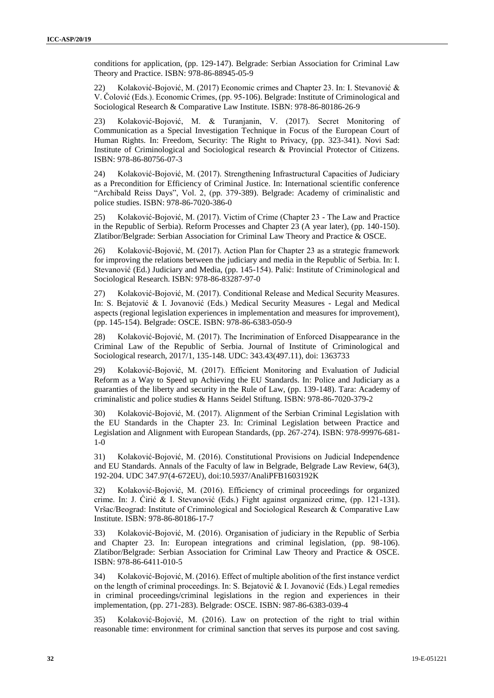conditions for application, (pp. 129-147). Belgrade: Serbian Association for Criminal Law Theory and Practice. ISBN: 978-86-88945-05-9

22) Kolaković-Bojović, M. (2017) Economic crimes and Chapter 23. In: I. Stevanović & V. Čolović (Eds.). Economic Crimes, (pp. 95-106). Belgrade: Institute of Criminological and Sociological Research & Comparative Law Institute. ISBN: 978-86-80186-26-9

23) Kolaković-Bojović, M. & Turanjanin, V. (2017). Secret Monitoring of Communication as a Special Investigation Technique in Focus of the European Court of Human Rights. In: Freedom, Security: The Right to Privacy, (pp. 323-341). Novi Sad: Institute of Criminological and Sociological research & Provincial Protector of Citizens. ISBN: 978-86-80756-07-3

24) Kolaković-Bojović, M. (2017). Strengthening Infrastructural Capacities of Judiciary as a Precondition for Efficiency of Criminal Justice. In: International scientific conference "Archibald Reiss Days", Vol. 2, (pp. 379-389). Belgrade: Academy of criminalistic and police studies. ISBN: 978-86-7020-386-0

25) Kolaković-Bojović, M. (2017). Victim of Crime (Chapter 23 - The Law and Practice in the Republic of Serbia). Reform Processes and Chapter 23 (A year later), (pp. 140-150). Zlatibor/Belgrade: Serbian Association for Criminal Law Theory and Practice & OSCE.

26) Kolaković-Bojović, M. (2017). Action Plan for Chapter 23 as a strategic framework for improving the relations between the judiciary and media in the Republic of Serbia. In: I. Stevanović (Ed.) Judiciary and Media, (pp. 145-154). Palić: Institute of Criminological and Sociological Research. ISBN: 978-86-83287-97-0

27) Kolaković-Bojović, M. (2017). Conditional Release and Medical Security Measures. In: S. Bejatović & I. Jovanović (Eds.) Medical Security Measures - Legal and Medical aspects (regional legislation experiences in implementation and measures for improvement), (pp. 145-154). Belgrade: OSCE. ISBN: 978-86-6383-050-9

28) Kolaković-Bojović, M. (2017). The Incrimination of Enforced Disappearance in the Criminal Law of the Republic of Serbia. Journal of Institute of Criminological and Sociological research, 2017/1, 135-148. UDC: 343.43(497.11), doi: 1363733

29) Kolaković-Bojović, M. (2017). Efficient Monitoring and Evaluation of Judicial Reform as a Way to Speed up Achieving the EU Standards. In: Police and Judiciary as a guaranties of the liberty and security in the Rule of Law, (pp. 139-148). Tara: Academy of criminalistic and police studies & Hanns Seidel Stiftung. ISBN: 978-86-7020-379-2

30) Kolaković-Bojović, M. (2017). Alignment of the Serbian Criminal Legislation with the EU Standards in the Chapter 23. In: Criminal Legislation between Practice and Legislation and Alignment with European Standards, (pp. 267-274). ISBN: 978-99976-681- 1-0

31) Kolaković-Bojović, M. (2016). Constitutional Provisions on Judicial Independence and EU Standards. Annals of the Faculty of law in Belgrade, Belgrade Law Review, 64(3), 192-204. UDC 347.97(4-672EU), doi:10.5937/AnaliPFB1603192K

32) Kolaković-Bojović, M. (2016). Efficiency of criminal proceedings for organized crime. In: J. Ćirić & I. Stevanović (Eds.) Fight against organized crime, (pp. 121-131). Vršac/Beograd: Institute of Criminological and Sociological Research & Comparative Law Institute. ISBN: 978-86-80186-17-7

33) Kolaković-Bojović, M. (2016). Organisation of judiciary in the Republic of Serbia and Chapter 23. In: European integrations and criminal legislation, (pp. 98-106). Zlatibor/Belgrade: Serbian Association for Criminal Law Theory and Practice & OSCE. ISBN: 978-86-6411-010-5

34) Kolaković-Bojović, M. (2016). Effect of multiple abolition of the first instance verdict on the length of criminal proceedings. In: S. Bejatović & I. Jovanović (Eds.) Legal remedies in criminal proceedings/criminal legislations in the region and experiences in their implementation, (pp. 271-283). Belgrade: OSCE. ISBN: 987-86-6383-039-4

35) Kolaković-Bojović, M. (2016). Law on protection of the right to trial within reasonable time: environment for criminal sanction that serves its purpose and cost saving.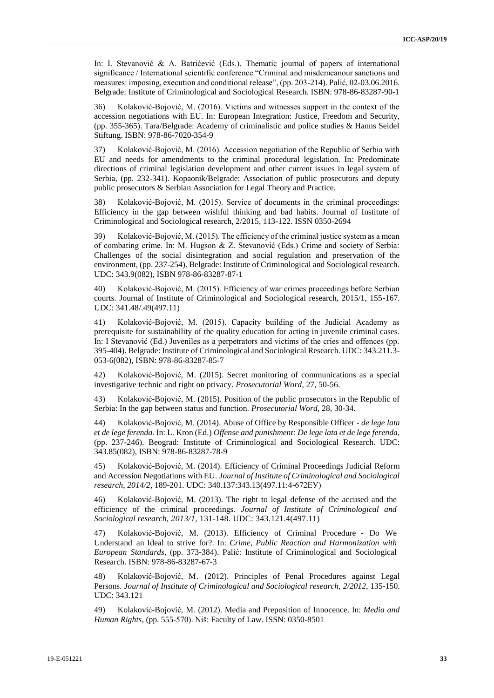In: I. Stevanović & A. Batrićević (Eds.). Thematic journal of papers of international significance / International scientific conference "Criminal and misdemeanour sanctions and measures: imposing, execution and conditional release", (pp. 203-214). Palić, 02-03.06.2016. Belgrade: Institute of Criminological and Sociological Research. ISBN: 978-86-83287-90-1

36) Kolaković-Bojović, M. (2016). Victims and witnesses support in the context of the accession negotiations with EU. In: European Integration: Justice, Freedom and Security, (pp. 355-365). Tara/Belgrade: Academy of criminalistic and police studies & Hanns Seidel Stiftung. ISBN: 978-86-7020-354-9

37) Kolaković-Bojović, M. (2016). Accession negotiation of the Republic of Serbia with EU and needs for amendments to the criminal procedural legislation. In: Predominate directions of criminal legislation development and other current issues in legal system of Serbia, (pp. 232-341). Kopaonik/Belgrade: Association of public prosecutors and deputy public prosecutors & Serbian Association for Legal Theory and Practice.

38) Kolaković-Bojović, M. (2015). Service of documents in the criminal proceedings: Efficiency in the gap between wishful thinking and bad habits. Journal of Institute of Criminological and Sociological research, 2/2015, 113-122. ISSN 0350-2694

39) Kolaković-Bojović, M. (2015). The efficiency of the criminal justice system as a mean of combating crime. In: M. Hugson & Z. Stevanović (Eds.) Crime and society of Serbia: Challenges of the social disintegration and social regulation and preservation of the environment, (pp. 237-254). Belgrade: Institute of Criminological and Sociological research. UDC: 343.9(082), ISBN 978-86-83287-87-1

40) Kolaković-Bojović, M. (2015). Efficiency of war crimes proceedings before Serbian courts. Journal of Institute of Criminological and Sociological research, 2015/1, 155-167. UDC: 341.48/.49(497.11)

41) Kolaković-Bojović, M. (2015). Capacity building of the Judicial Academy as prerequisite for sustainability of the quality education for acting in juvenile criminal cases. In: I Stevanović (Ed.) Juveniles as a perpetrators and victims of the cries and offences (pp. 395-404). Belgrade: Institute of Criminological and Sociological Research. UDC: 343.211.3- 053-6(082), ISBN: 978-86-83287-85-7

42) Kolaković-Bojović, M. (2015). Secret monitoring of communications as a special investigative technic and right on privacy. *Prosecutorial Word*, 27, 50-56.

43) Kolaković-Bojović, M. (2015). Position of the public prosecutors in the Republic of Serbia: In the gap between status and function. *Prosecutorial Word*, 28, 30-34.

44) Kolaković-Bojović, M. (2014). Abuse of Office by Responsible Officer - *de lege lata et de lege ferenda.* In: L. Kron (Ed.) *Offense and punishment: De lege lata et de lege ferenda,*  (pp. 237-246). Beograd: Institute of Criminological and Sociological Research. UDC: 343.85(082), ISBN: 978-86-83287-78-9

45) Kolaković-Bojović, M. (2014). Efficiency of Criminal Proceedings Judicial Reform and Accession Negotiations with EU. *Journal of Institute of Criminological and Sociological research*, *2014/2*, 189-201. UDC: 340.137:343.13(497.11:4-672ЕУ)

46) Kolaković-Bojović, M. (2013). The right to legal defense of the accused and the efficiency of the criminal proceedings. *Journal of Institute of Criminological and Sociological research, 2013/1,* 131-148. UDC: 343.121.4(497.11)

47) Kolaković-Bojović, M. (2013). Efficiency of Criminal Procedure - Do We Understand an Ideal to strive for?. In: *Crime, Public Reaction and Harmonization with European Standards*, (pp. 373-384). Palić: Institute of Criminological and Sociological Research. ISBN: 978-86-83287-67-3

48) Kolaković-Bojović, M. (2012). Principles of Penal Procedures against Legal Persons. *Journal of Institute of Criminological and Sociological research, 2/2012*, 135-150. UDC: 343.121

49) Kolaković-Bojović, M. (2012). Media and Preposition of Innocence. In: *Media and Human Rights*, (pp. 555-570). Niš: Faculty of Law. ISSN: 0350-8501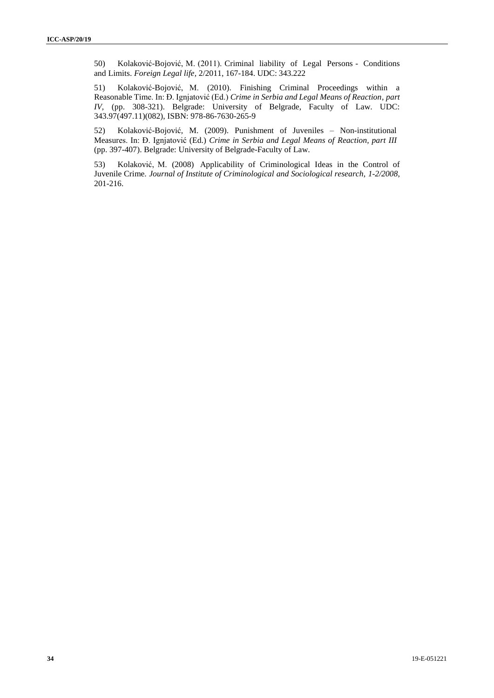50) Kolaković-Bojović, M. (2011). Criminal liability of Legal Persons - Conditions and Limits. *Foreign Legal life,* 2/2011, 167-184. UDC: 343.222

51) Kolaković-Bojović, M. (2010). Finishing Criminal Proceedings within a Reasonable Time. In: Đ. Ignjatović (Ed.) *Crime in Serbia and Legal Means of Reaction, part IV,* (pp. 308-321). Belgrade: University of Belgrade, Faculty of Law. UDC: 343.97(497.11)(082), ISBN: 978-86-7630-265-9

52) Kolaković-Bojović, M. (2009). Punishment of Juveniles – Non-institutional Measures. In: Đ. Ignjatović (Ed.) *Crime in Serbia and Legal Means of Reaction, part III* (pp. 397-407). Belgrade: University of Belgrade-Faculty of Law.

53) Kolaković, M. (2008) Applicability of Criminological Ideas in the Control of Juvenile Crime. *Journal of Institute of Criminological and Sociological research*, *1-2/2008*, 201-216.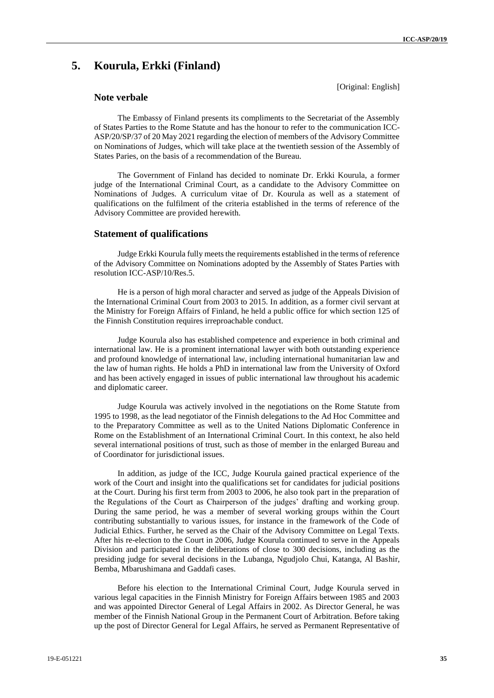# **5. Kourula, Erkki (Finland)**

[Original: English]

### **Note verbale**

The Embassy of Finland presents its compliments to the Secretariat of the Assembly of States Parties to the Rome Statute and has the honour to refer to the communication ICC-ASP/20/SP/37 of 20 May 2021 regarding the election of members of the Advisory Committee on Nominations of Judges, which will take place at the twentieth session of the Assembly of States Paries, on the basis of a recommendation of the Bureau.

The Government of Finland has decided to nominate Dr. Erkki Kourula, a former judge of the International Criminal Court, as a candidate to the Advisory Committee on Nominations of Judges. A curriculum vitae of Dr. Kourula as well as a statement of qualifications on the fulfilment of the criteria established in the terms of reference of the Advisory Committee are provided herewith.

### **Statement of qualifications**

Judge Erkki Kourula fully meets the requirements established in the terms of reference of the Advisory Committee on Nominations adopted by the Assembly of States Parties with resolution ICC-ASP/10/Res.5.

He is a person of high moral character and served as judge of the Appeals Division of the International Criminal Court from 2003 to 2015. In addition, as a former civil servant at the Ministry for Foreign Affairs of Finland, he held a public office for which section 125 of the Finnish Constitution requires irreproachable conduct.

Judge Kourula also has established competence and experience in both criminal and international law. He is a prominent international lawyer with both outstanding experience and profound knowledge of international law, including international humanitarian law and the law of human rights. He holds a PhD in international law from the University of Oxford and has been actively engaged in issues of public international law throughout his academic and diplomatic career.

Judge Kourula was actively involved in the negotiations on the Rome Statute from 1995 to 1998, as the lead negotiator of the Finnish delegations to the Ad Hoc Committee and to the Preparatory Committee as well as to the United Nations Diplomatic Conference in Rome on the Establishment of an International Criminal Court. In this context, he also held several international positions of trust, such as those of member in the enlarged Bureau and of Coordinator for jurisdictional issues.

In addition, as judge of the ICC, Judge Kourula gained practical experience of the work of the Court and insight into the qualifications set for candidates for judicial positions at the Court. During his first term from 2003 to 2006, he also took part in the preparation of the Regulations of the Court as Chairperson of the judges' drafting and working group. During the same period, he was a member of several working groups within the Court contributing substantially to various issues, for instance in the framework of the Code of Judicial Ethics. Further, he served as the Chair of the Advisory Committee on Legal Texts. After his re-election to the Court in 2006, Judge Kourula continued to serve in the Appeals Division and participated in the deliberations of close to 300 decisions, including as the presiding judge for several decisions in the Lubanga, Ngudjolo Chui, Katanga, Al Bashir, Bemba, Mbarushimana and Gaddafi cases.

Before his election to the International Criminal Court, Judge Kourula served in various legal capacities in the Finnish Ministry for Foreign Affairs between 1985 and 2003 and was appointed Director General of Legal Affairs in 2002. As Director General, he was member of the Finnish National Group in the Permanent Court of Arbitration. Before taking up the post of Director General for Legal Affairs, he served as Permanent Representative of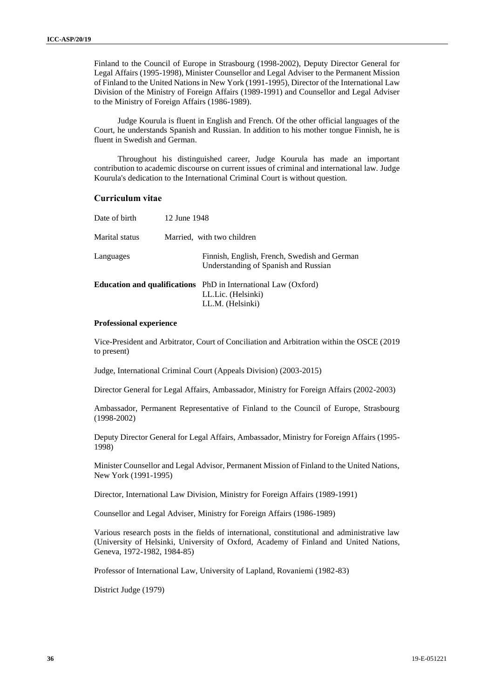Finland to the Council of Europe in Strasbourg (1998-2002), Deputy Director General for Legal Affairs (1995-1998), Minister Counsellor and Legal Adviser to the Permanent Mission of Finland to the United Nations in New York (1991-1995), Director of the International Law Division of the Ministry of Foreign Affairs (1989-1991) and Counsellor and Legal Adviser to the Ministry of Foreign Affairs (1986-1989).

Judge Kourula is fluent in English and French. Of the other official languages of the Court, he understands Spanish and Russian. In addition to his mother tongue Finnish, he is fluent in Swedish and German.

Throughout his distinguished career, Judge Kourula has made an important contribution to academic discourse on current issues of criminal and international law. Judge Kourula's dedication to the International Criminal Court is without question.

#### **Curriculum vitae**

| Date of birth  | 12 June 1948                                                                                                    |
|----------------|-----------------------------------------------------------------------------------------------------------------|
| Marital status | Married, with two children                                                                                      |
| Languages      | Finnish, English, French, Swedish and German<br>Understanding of Spanish and Russian                            |
|                | <b>Education and qualifications</b> PhD in International Law (Oxford)<br>LL.Lic. (Helsinki)<br>LL.M. (Helsinki) |

#### **Professional experience**

Vice-President and Arbitrator, Court of Conciliation and Arbitration within the OSCE (2019 to present)

Judge, International Criminal Court (Appeals Division) (2003-2015)

Director General for Legal Affairs, Ambassador, Ministry for Foreign Affairs (2002-2003)

Ambassador, Permanent Representative of Finland to the Council of Europe, Strasbourg (1998-2002)

Deputy Director General for Legal Affairs, Ambassador, Ministry for Foreign Affairs (1995- 1998)

Minister Counsellor and Legal Advisor, Permanent Mission of Finland to the United Nations, New York (1991-1995)

Director, International Law Division, Ministry for Foreign Affairs (1989-1991)

Counsellor and Legal Adviser, Ministry for Foreign Affairs (1986-1989)

Various research posts in the fields of international, constitutional and administrative law (University of Helsinki, University of Oxford, Academy of Finland and United Nations, Geneva, 1972-1982, 1984-85)

Professor of International Law, University of Lapland, Rovaniemi (1982-83)

District Judge (1979)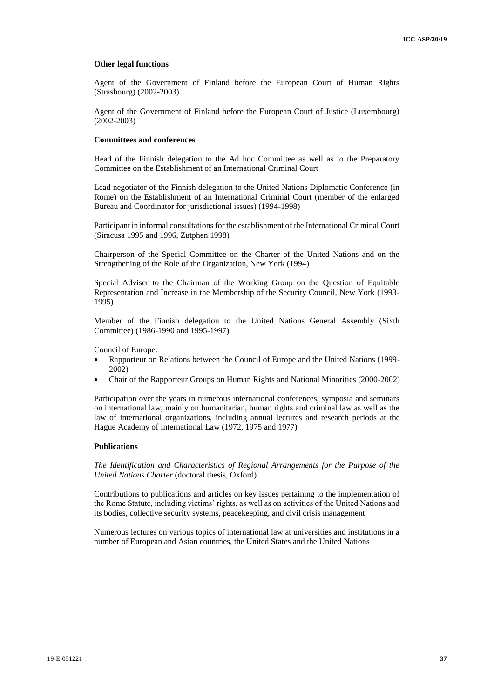#### **Other legal functions**

Agent of the Government of Finland before the European Court of Human Rights (Strasbourg) (2002-2003)

Agent of the Government of Finland before the European Court of Justice (Luxembourg) (2002-2003)

#### **Committees and conferences**

Head of the Finnish delegation to the Ad hoc Committee as well as to the Preparatory Committee on the Establishment of an International Criminal Court

Lead negotiator of the Finnish delegation to the United Nations Diplomatic Conference (in Rome) on the Establishment of an International Criminal Court (member of the enlarged Bureau and Coordinator for jurisdictional issues) (1994-1998)

Participant in informal consultations for the establishment of the International Criminal Court (Siracusa 1995 and 1996, Zutphen 1998)

Chairperson of the Special Committee on the Charter of the United Nations and on the Strengthening of the Role of the Organization, New York (1994)

Special Adviser to the Chairman of the Working Group on the Question of Equitable Representation and Increase in the Membership of the Security Council, New York (1993- 1995)

Member of the Finnish delegation to the United Nations General Assembly (Sixth Committee) (1986-1990 and 1995-1997)

Council of Europe:

- Rapporteur on Relations between the Council of Europe and the United Nations (1999- 2002)
- Chair of the Rapporteur Groups on Human Rights and National Minorities (2000-2002)

Participation over the years in numerous international conferences, symposia and seminars on international law, mainly on humanitarian, human rights and criminal law as well as the law of international organizations, including annual lectures and research periods at the Hague Academy of International Law (1972, 1975 and 1977)

#### **Publications**

*The Identification and Characteristics of Regional Arrangements for the Purpose of the United Nations Charter* (doctoral thesis, Oxford)

Contributions to publications and articles on key issues pertaining to the implementation of the Rome Statute, including victims' rights, as well as on activities of the United Nations and its bodies, collective security systems, peacekeeping, and civil crisis management

Numerous lectures on various topics of international law at universities and institutions in a number of European and Asian countries, the United States and the United Nations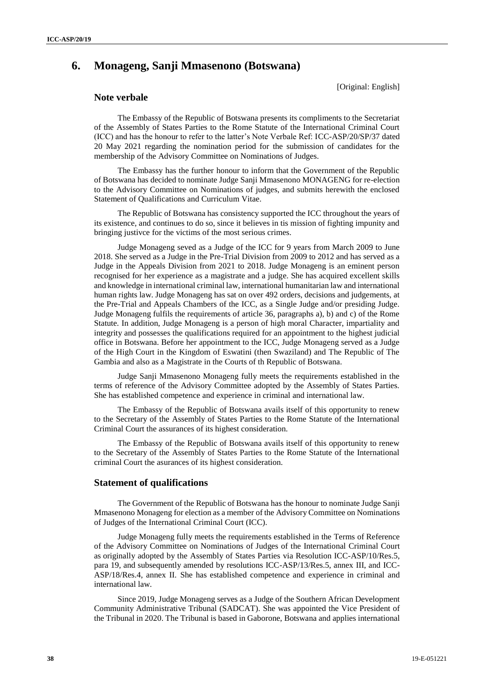# **6. Monageng, Sanji Mmasenono (Botswana)**

[Original: English]

### **Note verbale**

The Embassy of the Republic of Botswana presents its compliments to the Secretariat of the Assembly of States Parties to the Rome Statute of the International Criminal Court (ICC) and has the honour to refer to the latter's Note Verbale Ref: ICC-ASP/20/SP/37 dated 20 May 2021 regarding the nomination period for the submission of candidates for the membership of the Advisory Committee on Nominations of Judges.

The Embassy has the further honour to inform that the Government of the Republic of Botswana has decided to nominate Judge Sanji Mmasenono MONAGENG for re-election to the Advisory Committee on Nominations of judges, and submits herewith the enclosed Statement of Qualifications and Curriculum Vitae.

The Republic of Botswana has consistency supported the ICC throughout the years of its existence, and continues to do so, since it believes in tis mission of fighting impunity and bringing justivce for the victims of the most serious crimes.

Judge Monageng seved as a Judge of the ICC for 9 years from March 2009 to June 2018. She served as a Judge in the Pre-Trial Division from 2009 to 2012 and has served as a Judge in the Appeals Division from 2021 to 2018. Judge Monageng is an eminent person recognised for her experience as a magistrate and a judge. She has acquired excellent skills and knowledge in international criminal law, international humanitarian law and international human rights law. Judge Monageng has sat on over 492 orders, decisions and judgements, at the Pre-Trial and Appeals Chambers of the ICC, as a Single Judge and/or presiding Judge. Judge Monageng fulfils the requirements of article 36, paragraphs a), b) and c) of the Rome Statute. In addition, Judge Monageng is a person of high moral Character, impartiality and integrity and possesses the qualifications required for an appointment to the highest judicial office in Botswana. Before her appointment to the ICC, Judge Monageng served as a Judge of the High Court in the Kingdom of Eswatini (then Swaziland) and The Republic of The Gambia and also as a Magistrate in the Courts of th Republic of Botswana.

Judge Sanji Mmasenono Monageng fully meets the requirements established in the terms of reference of the Advisory Committee adopted by the Assembly of States Parties. She has established competence and experience in criminal and international law.

The Embassy of the Republic of Botswana avails itself of this opportunity to renew to the Secretary of the Assembly of States Parties to the Rome Statute of the International Criminal Court the assurances of its highest consideration.

The Embassy of the Republic of Botswana avails itself of this opportunity to renew to the Secretary of the Assembly of States Parties to the Rome Statute of the International criminal Court the asurances of its highest consideration.

### **Statement of qualifications**

The Government of the Republic of Botswana has the honour to nominate Judge Sanji Mmasenono Monageng for election as a member of the AdvisoryCommittee on Nominations of Judges of the International Criminal Court (ICC).

Judge Monageng fully meets the requirements established in the Terms of Reference of the Advisory Committee on Nominations of Judges of the International Criminal Court as originally adopted by the Assembly of States Parties via Resolution ICC-ASP/10/Res.5, para 19, and subsequently amended by resolutions ICC-ASP/13/Res.5, annex III, and ICC-ASP/18/Res.4, annex II. She has established competence and experience in criminal and international law.

Since 2019, Judge Monageng serves as a Judge of the Southern African Development Community Administrative Tribunal (SADCAT). She was appointed the Vice President of the Tribunal in 2020. The Tribunal is based in Gaborone, Botswana and applies international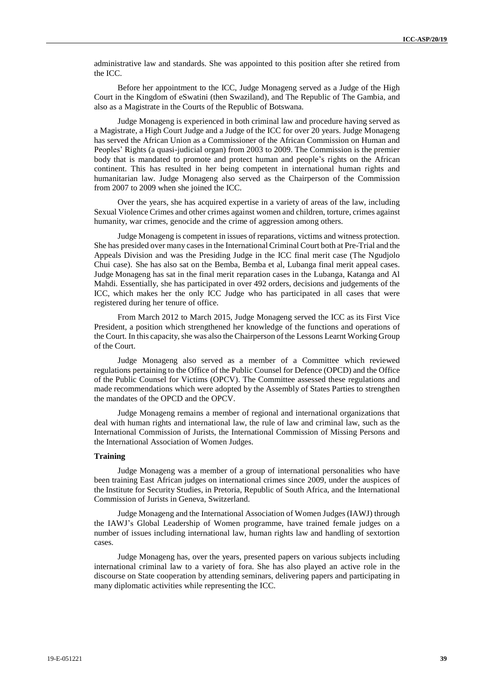administrative law and standards. She was appointed to this position after she retired from the ICC.

Before her appointment to the ICC, Judge Monageng served as a Judge of the High Court in the Kingdom of eSwatini (then Swaziland), and The Republic of The Gambia, and also as a Magistrate in the Courts of the Republic of Botswana.

Judge Monageng is experienced in both criminal law and procedure having served as a Magistrate, a High Court Judge and a Judge of the ICC for over 20 years. Judge Monageng has served the African Union as a Commissioner of the African Commission on Human and Peoples' Rights (a quasi-judicial organ) from 2003 to 2009. The Commission is the premier body that is mandated to promote and protect human and people's rights on the African continent. This has resulted in her being competent in international human rights and humanitarian law. Judge Monageng also served as the Chairperson of the Commission from 2007 to 2009 when she joined the ICC.

Over the years, she has acquired expertise in a variety of areas of the law, including Sexual Violence Crimes and other crimes against women and children, torture, crimes against humanity, war crimes, genocide and the crime of aggression among others.

Judge Monageng is competent in issues of reparations, victims and witness protection. She has presided over many casesin the International Criminal Court both at Pre-Trial and the Appeals Division and was the Presiding Judge in the ICC final merit case (The Ngudjolo Chui case). She has also sat on the Bemba, Bemba et al, Lubanga final merit appeal cases. Judge Monageng has sat in the final merit reparation cases in the Lubanga, Katanga and Al Mahdi. Essentially, she has participated in over 492 orders, decisions and judgements of the ICC, which makes her the only ICC Judge who has participated in all cases that were registered during her tenure of office.

From March 2012 to March 2015, Judge Monageng served the ICC as its First Vice President, a position which strengthened her knowledge of the functions and operations of the Court. In this capacity, she was also the Chairperson of the Lessons Learnt Working Group of the Court.

Judge Monageng also served as a member of a Committee which reviewed regulations pertaining to the Office of the Public Counsel for Defence (OPCD) and the Office of the Public Counsel for Victims (OPCV). The Committee assessed these regulations and made recommendations which were adopted by the Assembly of States Parties to strengthen the mandates of the OPCD and the OPCV.

Judge Monageng remains a member of regional and international organizations that deal with human rights and international law, the rule of law and criminal law, such as the International Commission of Jurists, the International Commission of Missing Persons and the International Association of Women Judges.

#### **Training**

Judge Monageng was a member of a group of international personalities who have been training East African judges on international crimes since 2009, under the auspices of the Institute for Security Studies, in Pretoria, Republic of South Africa, and the International Commission of Jurists in Geneva, Switzerland.

Judge Monageng and the International Association of Women Judges (IAWJ) through the IAWJ's Global Leadership of Women programme, have trained female judges on a number of issues including international law, human rights law and handling of sextortion cases.

Judge Monageng has, over the years, presented papers on various subjects including international criminal law to a variety of fora. She has also played an active role in the discourse on State cooperation by attending seminars, delivering papers and participating in many diplomatic activities while representing the ICC.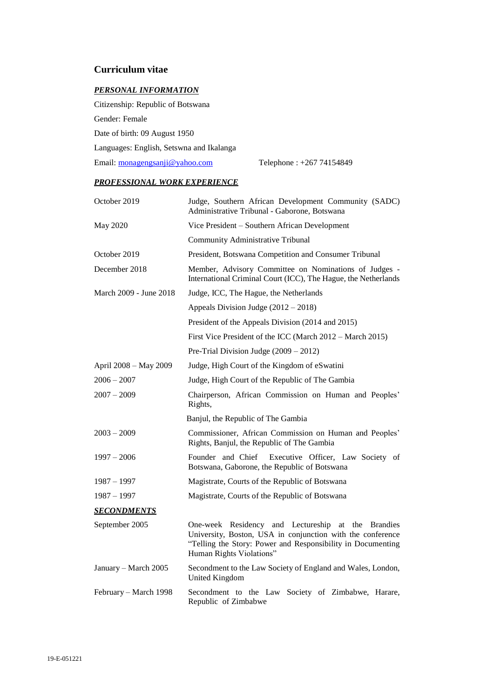### **Curriculum vitae**

### *PERSONAL INFORMATION*

Citizenship: Republic of Botswana Gender: Female Date of birth: 09 August 1950 Languages: English, Setswna and Ikalanga Email: [monagengsanji@yahoo.com](mailto:monagengsanji@yahoo.com) Telephone : +267 74154849

### *PROFESSIONAL WORK EXPERIENCE*

| October 2019              | Judge, Southern African Development Community (SADC)<br>Administrative Tribunal - Gaborone, Botswana                                                                                                        |
|---------------------------|-------------------------------------------------------------------------------------------------------------------------------------------------------------------------------------------------------------|
| May 2020                  | Vice President – Southern African Development                                                                                                                                                               |
|                           | Community Administrative Tribunal                                                                                                                                                                           |
| October 2019              | President, Botswana Competition and Consumer Tribunal                                                                                                                                                       |
| December 2018             | Member, Advisory Committee on Nominations of Judges -<br>International Criminal Court (ICC), The Hague, the Netherlands                                                                                     |
| March 2009 - June 2018    | Judge, ICC, The Hague, the Netherlands                                                                                                                                                                      |
|                           | Appeals Division Judge $(2012 – 2018)$                                                                                                                                                                      |
|                           | President of the Appeals Division (2014 and 2015)                                                                                                                                                           |
|                           | First Vice President of the ICC (March 2012 – March 2015)                                                                                                                                                   |
|                           | Pre-Trial Division Judge $(2009 - 2012)$                                                                                                                                                                    |
| April 2008 - May 2009     | Judge, High Court of the Kingdom of eSwatini                                                                                                                                                                |
| $2006 - 2007$             | Judge, High Court of the Republic of The Gambia                                                                                                                                                             |
| $2007 - 2009$             | Chairperson, African Commission on Human and Peoples'<br>Rights,                                                                                                                                            |
|                           | Banjul, the Republic of The Gambia                                                                                                                                                                          |
| $2003 - 2009$             | Commissioner, African Commission on Human and Peoples'<br>Rights, Banjul, the Republic of The Gambia                                                                                                        |
| $1997 - 2006$             | Founder and Chief<br>Executive Officer, Law Society of<br>Botswana, Gaborone, the Republic of Botswana                                                                                                      |
| $1987 - 1997$             | Magistrate, Courts of the Republic of Botswana                                                                                                                                                              |
| 1987 – 1997               | Magistrate, Courts of the Republic of Botswana                                                                                                                                                              |
| <i><b>SECONDMENTS</b></i> |                                                                                                                                                                                                             |
| September 2005            | One-week Residency and Lectureship at the Brandies<br>University, Boston, USA in conjunction with the conference<br>"Telling the Story: Power and Responsibility in Documenting<br>Human Rights Violations" |
| January - March 2005      | Secondment to the Law Society of England and Wales, London,<br>United Kingdom                                                                                                                               |
| February - March 1998     | Secondment to the Law Society of Zimbabwe, Harare,<br>Republic of Zimbabwe                                                                                                                                  |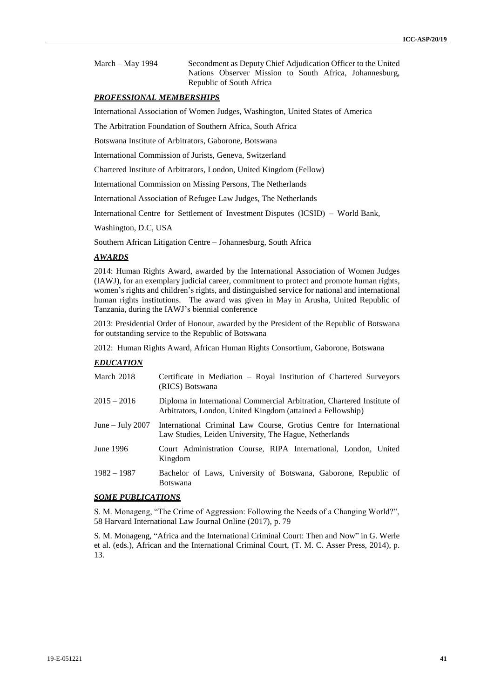March – May 1994 Secondment as Deputy Chief Adjudication Officer to the United Nations Observer Mission to South Africa, Johannesburg, Republic of South Africa

#### *PROFESSIONAL MEMBERSHIPS*

International Association of Women Judges, Washington, United States of America

The Arbitration Foundation of Southern Africa, South Africa

Botswana Institute of Arbitrators, Gaborone, Botswana

International Commission of Jurists, Geneva, Switzerland

Chartered Institute of Arbitrators, London, United Kingdom (Fellow)

International Commission on Missing Persons, The Netherlands

International Association of Refugee Law Judges, The Netherlands

International Centre for Settlement of Investment Disputes (ICSID) – World Bank,

Washington, D.C, USA

Southern African Litigation Centre – Johannesburg, South Africa

#### *AWARDS*

2014: Human Rights Award, awarded by the International Association of Women Judges (IAWJ), for an exemplary judicial career, commitment to protect and promote human rights, women's rights and children's rights, and distinguished service for national and international human rights institutions. The award was given in May in Arusha, United Republic of Tanzania, during the IAWJ's biennial conference

2013: Presidential Order of Honour, awarded by the President of the Republic of Botswana for outstanding service to the Republic of Botswana

2012: Human Rights Award, African Human Rights Consortium, Gaborone, Botswana

#### *EDUCATION*

| March 2018         | Certificate in Mediation - Royal Institution of Chartered Surveyors<br>(RICS) Botswana                                                 |
|--------------------|----------------------------------------------------------------------------------------------------------------------------------------|
| $2015 - 2016$      | Diploma in International Commercial Arbitration, Chartered Institute of<br>Arbitrators, London, United Kingdom (attained a Fellowship) |
| June $-$ July 2007 | International Criminal Law Course, Grotius Centre for International<br>Law Studies, Leiden University, The Hague, Netherlands          |
| June 1996          | Court Administration Course, RIPA International, London, United<br>Kingdom                                                             |
| $1982 - 1987$      | Bachelor of Laws, University of Botswana, Gaborone, Republic of<br><b>Botswana</b>                                                     |

#### *SOME PUBLICATIONS*

S. M. Monageng, "The Crime of Aggression: Following the Needs of a Changing World?", 58 Harvard International Law Journal Online (2017), p. 79

S. M. Monageng, "Africa and the International Criminal Court: Then and Now" in G. Werle et al. (eds.), African and the International Criminal Court, (T. M. C. Asser Press, 2014), p. 13.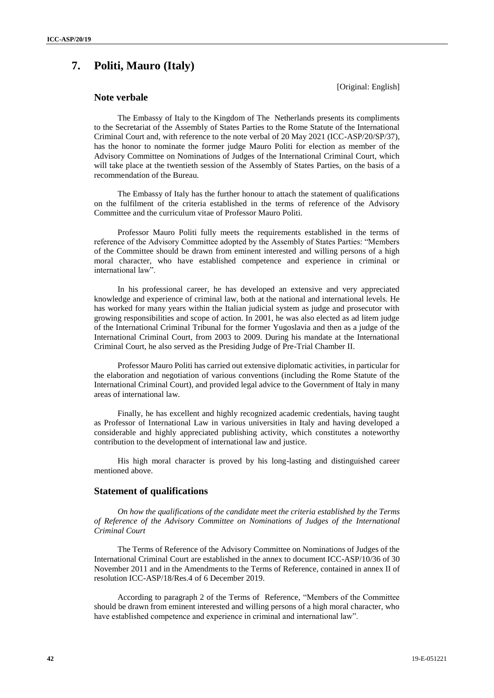# **7. Politi, Mauro (Italy)**

[Original: English]

### **Note verbale**

The Embassy of Italy to the Kingdom of The Netherlands presents its compliments to the Secretariat of the Assembly of States Parties to the Rome Statute of the International Criminal Court and, with reference to the note verbal of 20 May 2021 (ICC-ASP/20/SP/37), has the honor to nominate the former judge Mauro Politi for election as member of the Advisory Committee on Nominations of Judges of the International Criminal Court, which will take place at the twentieth session of the Assembly of States Parties, on the basis of a recommendation of the Bureau.

The Embassy of Italy has the further honour to attach the statement of qualifications on the fulfilment of the criteria established in the terms of reference of the Advisory Committee and the curriculum vitae of Professor Mauro Politi.

Professor Mauro Politi fully meets the requirements established in the terms of reference of the Advisory Committee adopted by the Assembly of States Parties: "Members of the Committee should be drawn from eminent interested and willing persons of a high moral character, who have established competence and experience in criminal or international law".

In his professional career, he has developed an extensive and very appreciated knowledge and experience of criminal law, both at the national and international levels. He has worked for many years within the Italian judicial system as judge and prosecutor with growing responsibilities and scope of action. In 2001, he was also elected as ad litem judge of the International Criminal Tribunal for the former Yugoslavia and then as a judge of the International Criminal Court, from 2003 to 2009. During his mandate at the International Criminal Court, he also served as the Presiding Judge of Pre-Trial Chamber II.

Professor Mauro Politi has carried out extensive diplomatic activities, in particular for the elaboration and negotiation of various conventions (including the Rome Statute of the International Criminal Court), and provided legal advice to the Government of Italy in many areas of international law.

Finally, he has excellent and highly recognized academic credentials, having taught as Professor of International Law in various universities in Italy and having developed a considerable and highly appreciated publishing activity, which constitutes a noteworthy contribution to the development of international law and justice.

His high moral character is proved by his long-lasting and distinguished career mentioned above.

### **Statement of qualifications**

*On how the qualifications of the candidate meet the criteria established by the Terms of Reference of the Advisory Committee on Nominations of Judges of the International Criminal Court*

The Terms of Reference of the Advisory Committee on Nominations of Judges of the International Criminal Court are established in the annex to document ICC-ASP/10/36 of 30 November 2011 and in the Amendments to the Terms of Reference, contained in annex II of resolution ICC-ASP/18/Res.4 of 6 December 2019.

According to paragraph 2 of the Terms of Reference, "Members of the Committee should be drawn from eminent interested and willing persons of a high moral character, who have established competence and experience in criminal and international law".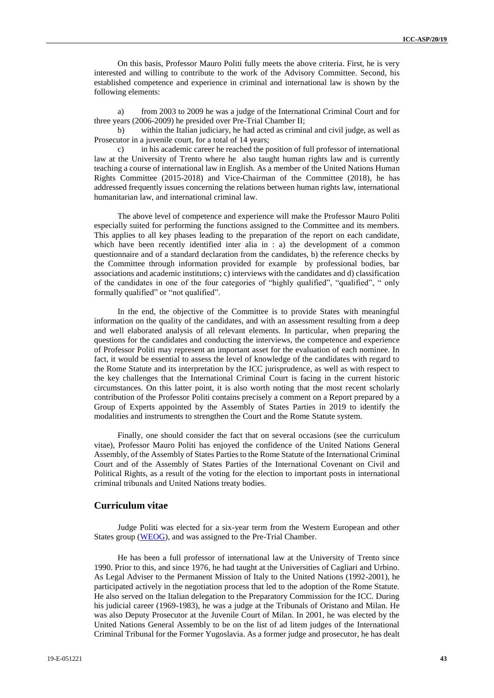On this basis, Professor Mauro Politi fully meets the above criteria. First, he is very interested and willing to contribute to the work of the Advisory Committee. Second, his established competence and experience in criminal and international law is shown by the following elements:

a) from 2003 to 2009 he was a judge of the International Criminal Court and for three years (2006-2009) he presided over Pre-Trial Chamber II;

b) within the Italian judiciary, he had acted as criminal and civil judge, as well as Prosecutor in a juvenile court, for a total of 14 years;

c) in his academic career he reached the position of full professor of international law at the University of Trento where he also taught human rights law and is currently teaching a course of international law in English. As a member of the United Nations Human Rights Committee (2015-2018) and Vice-Chairman of the Committee (2018), he has addressed frequently issues concerning the relations between human rights law, international humanitarian law, and international criminal law.

The above level of competence and experience will make the Professor Mauro Politi especially suited for performing the functions assigned to the Committee and its members. This applies to all key phases leading to the preparation of the report on each candidate, which have been recently identified inter alia in : a) the development of a common questionnaire and of a standard declaration from the candidates, b) the reference checks by the Committee through information provided for example by professional bodies, bar associations and academic institutions; c) interviews with the candidates and d) classification of the candidates in one of the four categories of "highly qualified", "qualified", " only formally qualified" or "not qualified".

In the end, the objective of the Committee is to provide States with meaningful information on the quality of the candidates, and with an assessment resulting from a deep and well elaborated analysis of all relevant elements. In particular, when preparing the questions for the candidates and conducting the interviews, the competence and experience of Professor Politi may represent an important asset for the evaluation of each nominee. In fact, it would be essential to assess the level of knowledge of the candidates with regard to the Rome Statute and its interpretation by the ICC jurisprudence, as well as with respect to the key challenges that the International Criminal Court is facing in the current historic circumstances. On this latter point, it is also worth noting that the most recent scholarly contribution of the Professor Politi contains precisely a comment on a Report prepared by a Group of Experts appointed by the Assembly of States Parties in 2019 to identify the modalities and instruments to strengthen the Court and the Rome Statute system.

Finally, one should consider the fact that on several occasions (see the curriculum vitae), Professor Mauro Politi has enjoyed the confidence of the United Nations General Assembly, of the Assembly of States Partiesto the Rome Statute of the International Criminal Court and of the Assembly of States Parties of the International Covenant on Civil and Political Rights, as a result of the voting for the election to important posts in international criminal tribunals and United Nations treaty bodies.

### **Curriculum vitae**

Judge Politi was elected for a six-year term from the Western European and other States group [\(WEOG\)](http://www.icc-cpi.int/region&id=1.html), and was assigned to the Pre-Trial Chamber.

He has been a full professor of international law at the University of Trento since 1990. Prior to this, and since 1976, he had taught at the Universities of Cagliari and Urbino. As Legal Adviser to the Permanent Mission of Italy to the United Nations (1992-2001), he participated actively in the negotiation process that led to the adoption of the Rome Statute. He also served on the Italian delegation to the Preparatory Commission for the ICC. During his judicial career (1969-1983), he was a judge at the Tribunals of Oristano and Milan. He was also Deputy Prosecutor at the Juvenile Court of Milan. In 2001, he was elected by the United Nations General Assembly to be on the list of ad litem judges of the International Criminal Tribunal for the Former Yugoslavia. As a former judge and prosecutor, he has dealt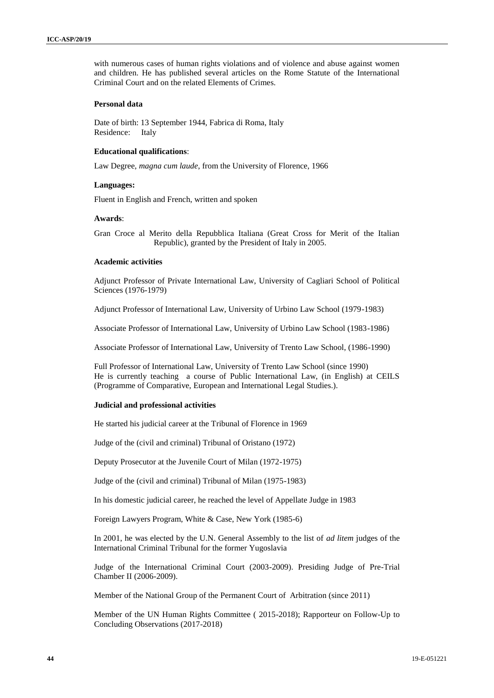with numerous cases of human rights violations and of violence and abuse against women and children. He has published several articles on the Rome Statute of the International Criminal Court and on the related Elements of Crimes.

#### **Personal data**

Date of birth: 13 September 1944, Fabrica di Roma, Italy Residence: Italy

#### **Educational qualifications**:

Law Degree, *magna cum laude*, from the University of Florence, 1966

#### **Languages:**

Fluent in English and French, written and spoken

#### **Awards**:

Gran Croce al Merito della Repubblica Italiana (Great Cross for Merit of the Italian Republic), granted by the President of Italy in 2005.

#### **Academic activities**

Adjunct Professor of Private International Law, University of Cagliari School of Political Sciences (1976-1979)

Adjunct Professor of International Law, University of Urbino Law School (1979-1983)

Associate Professor of International Law, University of Urbino Law School (1983-1986)

Associate Professor of International Law, University of Trento Law School, (1986-1990)

Full Professor of International Law, University of Trento Law School (since 1990) He is currently teaching a course of Public International Law, (in English) at CEILS (Programme of Comparative, European and International Legal Studies.).

#### **Judicial and professional activities**

He started his judicial career at the Tribunal of Florence in 1969

Judge of the (civil and criminal) Tribunal of Oristano (1972)

Deputy Prosecutor at the Juvenile Court of Milan (1972-1975)

Judge of the (civil and criminal) Tribunal of Milan (1975-1983)

In his domestic judicial career, he reached the level of Appellate Judge in 1983

Foreign Lawyers Program, White & Case, New York (1985-6)

In 2001, he was elected by the U.N. General Assembly to the list of *ad litem* judges of the International Criminal Tribunal for the former Yugoslavia

Judge of the International Criminal Court (2003-2009). Presiding Judge of Pre-Trial Chamber II (2006-2009).

Member of the National Group of the Permanent Court of Arbitration (since 2011)

Member of the UN Human Rights Committee ( 2015-2018); Rapporteur on Follow-Up to Concluding Observations (2017-2018)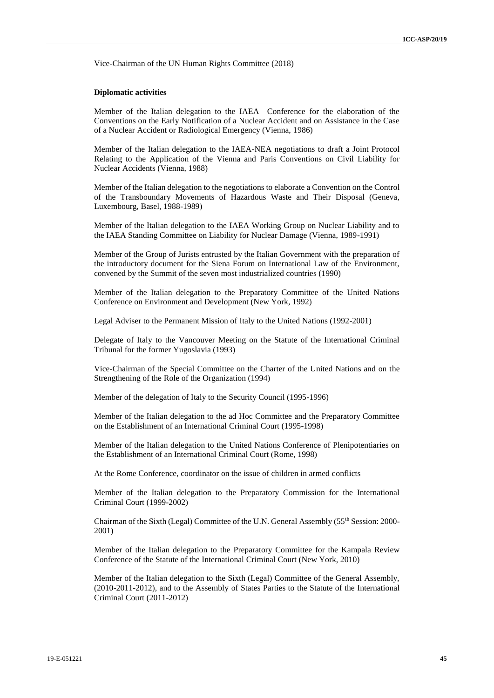Vice-Chairman of the UN Human Rights Committee (2018)

#### **Diplomatic activities**

Member of the Italian delegation to the IAEA Conference for the elaboration of the Conventions on the Early Notification of a Nuclear Accident and on Assistance in the Case of a Nuclear Accident or Radiological Emergency (Vienna, 1986)

Member of the Italian delegation to the IAEA-NEA negotiations to draft a Joint Protocol Relating to the Application of the Vienna and Paris Conventions on Civil Liability for Nuclear Accidents (Vienna, 1988)

Member of the Italian delegation to the negotiations to elaborate a Convention on the Control of the Transboundary Movements of Hazardous Waste and Their Disposal (Geneva, Luxembourg, Basel, 1988-1989)

Member of the Italian delegation to the IAEA Working Group on Nuclear Liability and to the IAEA Standing Committee on Liability for Nuclear Damage (Vienna, 1989-1991)

Member of the Group of Jurists entrusted by the Italian Government with the preparation of the introductory document for the Siena Forum on International Law of the Environment, convened by the Summit of the seven most industrialized countries (1990)

Member of the Italian delegation to the Preparatory Committee of the United Nations Conference on Environment and Development (New York, 1992)

Legal Adviser to the Permanent Mission of Italy to the United Nations (1992-2001)

Delegate of Italy to the Vancouver Meeting on the Statute of the International Criminal Tribunal for the former Yugoslavia (1993)

Vice-Chairman of the Special Committee on the Charter of the United Nations and on the Strengthening of the Role of the Organization (1994)

Member of the delegation of Italy to the Security Council (1995-1996)

Member of the Italian delegation to the ad Hoc Committee and the Preparatory Committee on the Establishment of an International Criminal Court (1995-1998)

Member of the Italian delegation to the United Nations Conference of Plenipotentiaries on the Establishment of an International Criminal Court (Rome, 1998)

At the Rome Conference, coordinator on the issue of children in armed conflicts

Member of the Italian delegation to the Preparatory Commission for the International Criminal Court (1999-2002)

Chairman of the Sixth (Legal) Committee of the U.N. General Assembly (55th Session: 2000- 2001)

Member of the Italian delegation to the Preparatory Committee for the Kampala Review Conference of the Statute of the International Criminal Court (New York, 2010)

Member of the Italian delegation to the Sixth (Legal) Committee of the General Assembly, (2010-2011-2012), and to the Assembly of States Parties to the Statute of the International Criminal Court (2011-2012)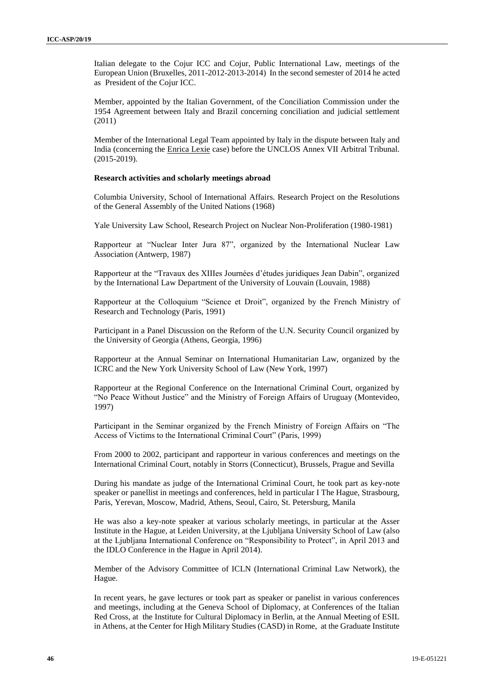Italian delegate to the Cojur ICC and Cojur, Public International Law, meetings of the European Union (Bruxelles, 2011-2012-2013-2014) In the second semester of 2014 he acted as President of the Cojur ICC.

Member, appointed by the Italian Government, of the Conciliation Commission under the 1954 Agreement between Italy and Brazil concerning conciliation and judicial settlement (2011)

Member of the International Legal Team appointed by Italy in the dispute between Italy and India (concerning the Enrica Lexie case) before the UNCLOS Annex VII Arbitral Tribunal. (2015-2019).

#### **Research activities and scholarly meetings abroad**

Columbia University, School of International Affairs. Research Project on the Resolutions of the General Assembly of the United Nations (1968)

Yale University Law School, Research Project on Nuclear Non-Proliferation (1980-1981)

Rapporteur at "Nuclear Inter Jura 87", organized by the International Nuclear Law Association (Antwerp, 1987)

Rapporteur at the "Travaux des XIIIes Journées d'études juridiques Jean Dabin", organized by the International Law Department of the University of Louvain (Louvain, 1988)

Rapporteur at the Colloquium "Science et Droit", organized by the French Ministry of Research and Technology (Paris, 1991)

Participant in a Panel Discussion on the Reform of the U.N. Security Council organized by the University of Georgia (Athens, Georgia, 1996)

Rapporteur at the Annual Seminar on International Humanitarian Law, organized by the ICRC and the New York University School of Law (New York, 1997)

Rapporteur at the Regional Conference on the International Criminal Court, organized by "No Peace Without Justice" and the Ministry of Foreign Affairs of Uruguay (Montevideo, 1997)

Participant in the Seminar organized by the French Ministry of Foreign Affairs on "The Access of Victims to the International Criminal Court" (Paris, 1999)

From 2000 to 2002, participant and rapporteur in various conferences and meetings on the International Criminal Court, notably in Storrs (Connecticut), Brussels, Prague and Sevilla

During his mandate as judge of the International Criminal Court, he took part as key-note speaker or panellist in meetings and conferences, held in particular I The Hague, Strasbourg, Paris, Yerevan, Moscow, Madrid, Athens, Seoul, Cairo, St. Petersburg, Manila

He was also a key-note speaker at various scholarly meetings, in particular at the Asser Institute in the Hague, at Leiden University, at the Ljubljana University School of Law (also at the Ljubljana International Conference on "Responsibility to Protect", in April 2013 and the IDLO Conference in the Hague in April 2014).

Member of the Advisory Committee of ICLN (International Criminal Law Network), the Hague.

In recent years, he gave lectures or took part as speaker or panelist in various conferences and meetings, including at the Geneva School of Diplomacy, at Conferences of the Italian Red Cross, at the Institute for Cultural Diplomacy in Berlin, at the Annual Meeting of ESIL in Athens, at the Center for High Military Studies (CASD) in Rome, at the Graduate Institute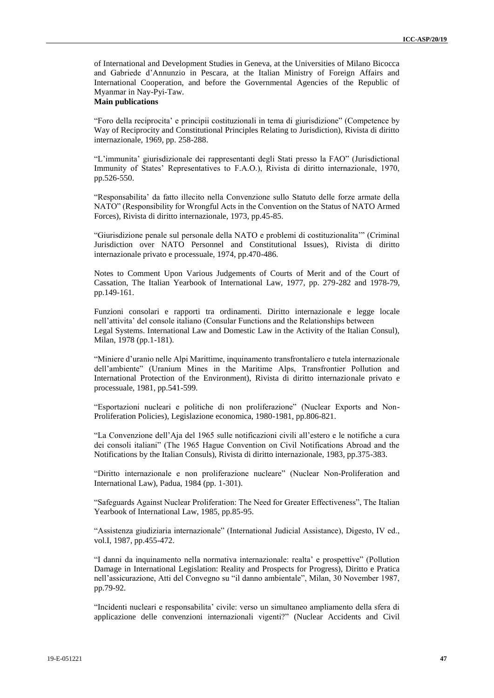of International and Development Studies in Geneva, at the Universities of Milano Bicocca and Gabriede d'Annunzio in Pescara, at the Italian Ministry of Foreign Affairs and International Cooperation, and before the Governmental Agencies of the Republic of Myanmar in Nay-Pyi-Taw.

#### **Main publications**

"Foro della reciprocita' e principii costituzionali in tema di giurisdizione" (Competence by Way of Reciprocity and Constitutional Principles Relating to Jurisdiction), Rivista di diritto internazionale, 1969, pp. 258-288.

"L'immunita' giurisdizionale dei rappresentanti degli Stati presso la FAO" (Jurisdictional Immunity of States' Representatives to F.A.O.), Rivista di diritto internazionale, 1970, pp.526-550.

"Responsabilita' da fatto illecito nella Convenzione sullo Statuto delle forze armate della NATO" (Responsibility for Wrongful Acts in the Convention on the Status of NATO Armed Forces), Rivista di diritto internazionale, 1973, pp.45-85.

"Giurisdizione penale sul personale della NATO e problemi di costituzionalita'" (Criminal Jurisdiction over NATO Personnel and Constitutional Issues), Rivista di diritto internazionale privato e processuale, 1974, pp.470-486.

Notes to Comment Upon Various Judgements of Courts of Merit and of the Court of Cassation, The Italian Yearbook of International Law, 1977, pp. 279-282 and 1978-79, pp.149-161.

Funzioni consolari e rapporti tra ordinamenti. Diritto internazionale e legge locale nell'attivita' del console italiano (Consular Functions and the Relationships between Legal Systems. International Law and Domestic Law in the Activity of the Italian Consul), Milan, 1978 (pp.1-181).

"Miniere d'uranio nelle Alpi Marittime, inquinamento transfrontaliero e tutela internazionale dell'ambiente" (Uranium Mines in the Maritime Alps, Transfrontier Pollution and International Protection of the Environment), Rivista di diritto internazionale privato e processuale, 1981, pp.541-599.

"Esportazioni nucleari e politiche di non proliferazione" (Nuclear Exports and Non-Proliferation Policies), Legislazione economica, 1980-1981, pp.806-821.

"La Convenzione dell'Aja del 1965 sulle notificazioni civili all'estero e le notifiche a cura dei consoli italiani" (The 1965 Hague Convention on Civil Notifications Abroad and the Notifications by the Italian Consuls), Rivista di diritto internazionale, 1983, pp.375-383.

"Diritto internazionale e non proliferazione nucleare" (Nuclear Non-Proliferation and International Law), Padua, 1984 (pp. 1-301).

"Safeguards Against Nuclear Proliferation: The Need for Greater Effectiveness", The Italian Yearbook of International Law, 1985, pp.85-95.

"Assistenza giudiziaria internazionale" (International Judicial Assistance), Digesto, IV ed., vol.I, 1987, pp.455-472.

"I danni da inquinamento nella normativa internazionale: realta' e prospettive" (Pollution Damage in International Legislation: Reality and Prospects for Progress), Diritto e Pratica nell'assicurazione, Atti del Convegno su "il danno ambientale", Milan, 30 November 1987, pp.79-92.

"Incidenti nucleari e responsabilita' civile: verso un simultaneo ampliamento della sfera di applicazione delle convenzioni internazionali vigenti?" (Nuclear Accidents and Civil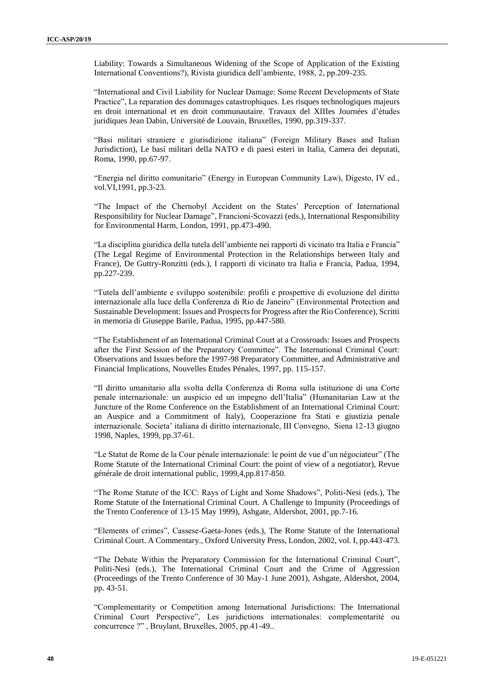Liability: Towards a Simultaneous Widening of the Scope of Application of the Existing International Conventions?), Rivista giuridica dell'ambiente, 1988, 2, pp.209-235.

"International and Civil Liability for Nuclear Damage: Some Recent Developments of State Practice", La reparation des dommages catastrophiques. Les risques technologiques majeurs en droit international et en droit communautaire. Travaux del XIIIes Journées d'études juridiques Jean Dabin, Université de Louvain, Bruxelles, 1990, pp.319-337.

"Basi militari straniere e giurisdizione italiana" (Foreign Military Bases and Italian Jurisdiction), Le basi militari della NATO e di paesi esteri in Italia, Camera dei deputati, Roma, 1990, pp.67-97.

"Energia nel diritto comunitario" (Energy in European Community Law), Digesto, IV ed., vol.VI,1991, pp.3-23.

"The Impact of the Chernobyl Accident on the States' Perception of International Responsibility for Nuclear Damage", Francioni-Scovazzi (eds.), International Responsibility for Environmental Harm, London, 1991, pp.473-490.

"La disciplina giuridica della tutela dell'ambiente nei rapporti di vicinato tra Italia e Francia" (The Legal Regime of Environmental Protection in the Relationships between Italy and France), De Guttry-Ronzitti (eds.), I rapporti di vicinato tra Italia e Francia, Padua, 1994, pp.227-239.

"Tutela dell'ambiente e sviluppo sostenibile: profili e prospettive di evoluzione del diritto internazionale alla luce della Conferenza di Rio de Janeiro" (Environmental Protection and Sustainable Development: Issues and Prospects for Progress after the Rio Conference), Scritti in memoria di Giuseppe Barile, Padua, 1995, pp.447-580.

"The Establishment of an International Criminal Court at a Crossroads: Issues and Prospects after the First Session of the Preparatory Committee". The International Criminal Court: Observations and Issues before the 1997-98 Preparatory Committee, and Administrative and Financial Implications, Nouvelles Etudes Pénales, 1997, pp. 115-157.

"Il diritto umanitario alla svolta della Conferenza di Roma sulla istituzione di una Corte penale internazionale: un auspicio ed un impegno dell'Italia" (Humanitarian Law at the Juncture of the Rome Conference on the Establishment of an International Criminal Court: an Auspice and a Commitment of Italy), Cooperazione fra Stati e giustizia penale internazionale. Societa' italiana di diritto internazionale, III Convegno, Siena 12-13 giugno 1998, Naples, 1999, pp.37-61.

"Le Statut de Rome de la Cour pénale internazionale: le point de vue d'un négociateur" (The Rome Statute of the International Criminal Court: the point of view of a negotiator), Revue générale de droit international public, 1999,4,pp.817-850.

"The Rome Statute of the ICC: Rays of Light and Some Shadows", Politi-Nesi (eds.), The Rome Statute of the International Criminal Court. A Challenge to Impunity (Proceedings of the Trento Conference of 13-15 May 1999), Ashgate, Aldershot, 2001, pp.7-16.

"Elements of crimes", Cassese-Gaeta-Jones (eds.), The Rome Statute of the International Criminal Court. A Commentary., Oxford University Press, London, 2002, vol. I, pp.443-473.

"The Debate Within the Preparatory Commission for the International Criminal Court", Politi-Nesi (eds.), The International Criminal Court and the Crime of Aggression (Proceedings of the Trento Conference of 30 May-1 June 2001), Ashgate, Aldershot, 2004, pp. 43-51.

"Complementarity or Competition among International Jurisdictions: The International Criminal Court Perspective", Les juridictions internationales: complementarité ou concurrence ?" , Bruylant, Bruxelles, 2005, pp.41-49..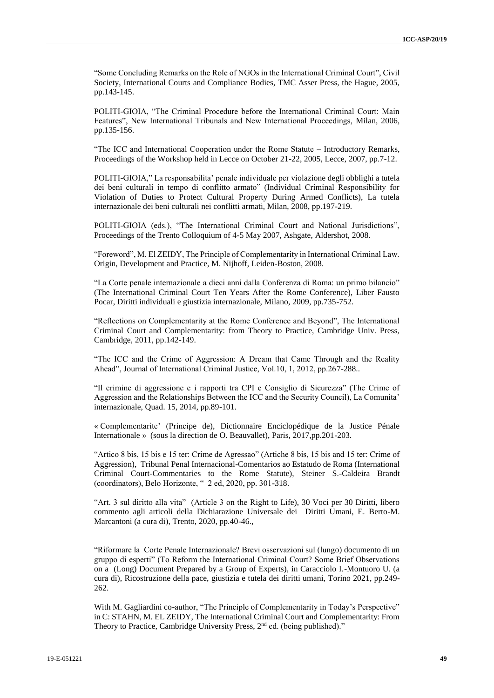"Some Concluding Remarks on the Role of NGOs in the International Criminal Court", Civil Society, International Courts and Compliance Bodies, TMC Asser Press, the Hague, 2005, pp.143-145.

POLITI-GIOIA, "The Criminal Procedure before the International Criminal Court: Main Features", New International Tribunals and New International Proceedings, Milan, 2006, pp.135-156.

"The ICC and International Cooperation under the Rome Statute – Introductory Remarks, Proceedings of the Workshop held in Lecce on October 21-22, 2005, Lecce, 2007, pp.7-12.

POLITI-GIOIA," La responsabilita' penale individuale per violazione degli obblighi a tutela dei beni culturali in tempo di conflitto armato" (Individual Criminal Responsibility for Violation of Duties to Protect Cultural Property During Armed Conflicts), La tutela internazionale dei beni culturali nei conflitti armati, Milan, 2008, pp.197-219.

POLITI-GIOIA (eds.), "The International Criminal Court and National Jurisdictions", Proceedings of the Trento Colloquium of 4-5 May 2007, Ashgate, Aldershot, 2008.

"Foreword", M. El ZEIDY, The Principle of Complementarity in International Criminal Law. Origin, Development and Practice, M. Nijhoff, Leiden-Boston, 2008.

"La Corte penale internazionale a dieci anni dalla Conferenza di Roma: un primo bilancio" (The International Criminal Court Ten Years After the Rome Conference), Liber Fausto Pocar, Diritti individuali e giustizia internazionale, Milano, 2009, pp.735-752.

"Reflections on Complementarity at the Rome Conference and Beyond", The International Criminal Court and Complementarity: from Theory to Practice, Cambridge Univ. Press, Cambridge, 2011, pp.142-149.

"The ICC and the Crime of Aggression: A Dream that Came Through and the Reality Ahead", Journal of International Criminal Justice, Vol.10, 1, 2012, pp.267-288..

"Il crimine di aggressione e i rapporti tra CPI e Consiglio di Sicurezza" (The Crime of Aggression and the Relationships Between the ICC and the Security Council), La Comunita' internazionale, Quad. 15, 2014, pp.89-101.

« Complementarite' (Principe de), Dictionnaire Enciclopédique de la Justice Pénale Internationale » (sous la direction de O. Beauvallet), Paris, 2017,pp.201-203.

"Artico 8 bis, 15 bis e 15 ter: Crime de Agressao" (Artiche 8 bis, 15 bis and 15 ter: Crime of Aggression), Tribunal Penal Internacional-Comentarios ao Estatudo de Roma (International Criminal Court-Commentaries to the Rome Statute), Steiner S.-Caldeira Brandt (coordinators), Belo Horizonte, " 2 ed, 2020, pp. 301-318.

"Art. 3 sul diritto alla vita" (Article 3 on the Right to Life), 30 Voci per 30 Diritti, libero commento agli articoli della Dichiarazione Universale dei Diritti Umani, E. Berto-M. Marcantoni (a cura di), Trento, 2020, pp.40-46.,

"Riformare la Corte Penale Internazionale? Brevi osservazioni sul (lungo) documento di un gruppo di esperti" (To Reform the International Criminal Court? Some Brief Observations on a (Long) Document Prepared by a Group of Experts), in Caracciolo I.-Montuoro U. (a cura di), Ricostruzione della pace, giustizia e tutela dei diritti umani, Torino 2021, pp.249- 262.

With M. Gagliardini co-author, "The Principle of Complementarity in Today's Perspective" in C: STAHN, M. EL ZEIDY, The International Criminal Court and Complementarity: From Theory to Practice, Cambridge University Press, 2<sup>nd</sup> ed. (being published)."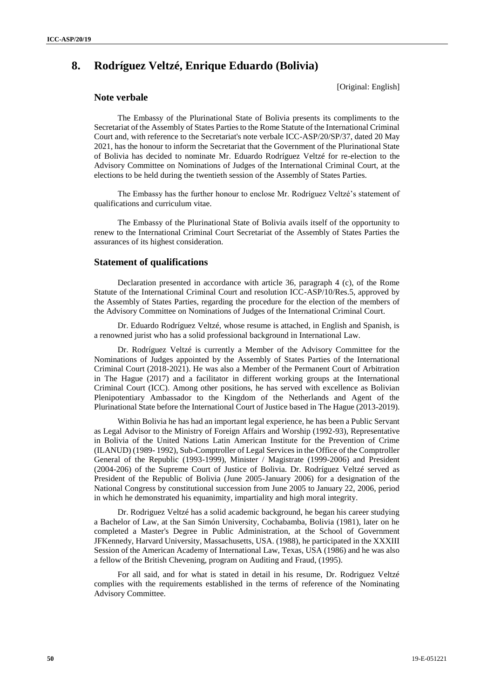# **8. Rodríguez Veltzé, Enrique Eduardo (Bolivia)**

[Original: English]

### **Note verbale**

The Embassy of the Plurinational State of Bolivia presents its compliments to the Secretariat of the Assembly of States Parties to the Rome Statute of the International Criminal Court and, with reference to the Secretariat's note verbale ICC-ASP/20/SP/37, dated 20 May 2021, has the honour to inform the Secretariat that the Government of the Plurinational State of Bolivia has decided to nominate Mr. Eduardo Rodríguez Veltzé for re-election to the Advisory Committee on Nominations of Judges of the International Criminal Court, at the elections to be held during the twentieth session of the Assembly of States Parties.

The Embassy has the further honour to enclose Mr. Rodríguez Veltzé's statement of qualifications and curriculum vitae.

The Embassy of the Plurinational State of Bolivia avails itself of the opportunity to renew to the International Criminal Court Secretariat of the Assembly of States Parties the assurances of its highest consideration.

### **Statement of qualifications**

Declaration presented in accordance with article 36, paragraph 4 (c), of the Rome Statute of the International Criminal Court and resolution ICC-ASP/10/Res.5, approved by the Assembly of States Parties, regarding the procedure for the election of the members of the Advisory Committee on Nominations of Judges of the International Criminal Court.

Dr. Eduardo Rodríguez Veltzé, whose resume is attached, in English and Spanish, is a renowned jurist who has a solid professional background in International Law.

Dr. Rodríguez Veltzé is currently a Member of the Advisory Committee for the Nominations of Judges appointed by the Assembly of States Parties of the International Criminal Court (2018-2021). He was also a Member of the Permanent Court of Arbitration in The Hague (2017) and a facilitator in different working groups at the International Criminal Court (ICC). Among other positions, he has served with excellence as Bolivian Plenipotentiary Ambassador to the Kingdom of the Netherlands and Agent of the Plurinational State before the International Court of Justice based in The Hague (2013-2019).

Within Bolivia he has had an important legal experience, he has been a Public Servant as Legal Advisor to the Ministry of Foreign Affairs and Worship (1992-93), Representative in Bolivia of the United Nations Latin American Institute for the Prevention of Crime (ILANUD) (1989- 1992), Sub-Comptroller of Legal Services in the Office of the Comptroller General of the Republic (1993-1999), Minister / Magistrate (1999-2006) and President (2004-206) of the Supreme Court of Justice of Bolivia. Dr. Rodríguez Veltzé served as President of the Republic of Bolivia (June 2005-January 2006) for a designation of the National Congress by constitutional succession from June 2005 to January 22, 2006, period in which he demonstrated his equanimity, impartiality and high moral integrity.

Dr. Rodriguez Veltzé has a solid academic background, he began his career studying a Bachelor of Law, at the San Simón University, Cochabamba, Bolivia (1981), later on he completed a Master's Degree in Public Administration, at the School of Government JFKennedy, Harvard University, Massachusetts, USA. (1988), he participated in the XXXIII Session of the American Academy of International Law, Texas, USA (1986) and he was also a fellow of the British Chevening, program on Auditing and Fraud, (1995).

For all said, and for what is stated in detail in his resume, Dr. Rodriguez Veltzé complies with the requirements established in the terms of reference of the Nominating Advisory Committee.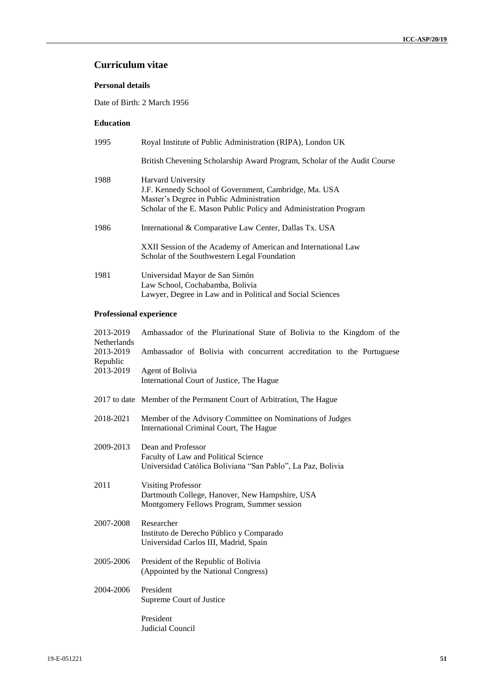## **Curriculum vitae**

### **Personal details**

Date of Birth: 2 March 1956

### **Education**

| 1995 | Royal Institute of Public Administration (RIPA), London UK                                                                                                                                         |
|------|----------------------------------------------------------------------------------------------------------------------------------------------------------------------------------------------------|
|      | British Chevening Scholarship Award Program, Scholar of the Audit Course                                                                                                                           |
| 1988 | <b>Harvard University</b><br>J.F. Kennedy School of Government, Cambridge, Ma. USA<br>Master's Degree in Public Administration<br>Scholar of the E. Mason Public Policy and Administration Program |
| 1986 | International & Comparative Law Center, Dallas Tx. USA                                                                                                                                             |
|      | XXII Session of the Academy of American and International Law<br>Scholar of the Southwestern Legal Foundation                                                                                      |
| 1981 | Universidad Mayor de San Simón<br>Law School, Cochabamba, Bolivia<br>Lawyer, Degree in Law and in Political and Social Sciences                                                                    |

### **Professional experience**

| 2013-2019<br>Netherlands | Ambassador of the Plurinational State of Bolivia to the Kingdom of the                                                    |
|--------------------------|---------------------------------------------------------------------------------------------------------------------------|
| 2013-2019<br>Republic    | Ambassador of Bolivia with concurrent accreditation to the Portuguese                                                     |
| 2013-2019                | <b>Agent of Bolivia</b><br>International Court of Justice, The Hague                                                      |
|                          | 2017 to date Member of the Permanent Court of Arbitration, The Hague                                                      |
| 2018-2021                | Member of the Advisory Committee on Nominations of Judges<br>International Criminal Court, The Hague                      |
| 2009-2013                | Dean and Professor<br>Faculty of Law and Political Science<br>Universidad Católica Boliviana "San Pablo", La Paz, Bolivia |
| 2011                     | <b>Visiting Professor</b><br>Dartmouth College, Hanover, New Hampshire, USA<br>Montgomery Fellows Program, Summer session |
| 2007-2008                | Researcher<br>Instituto de Derecho Público y Comparado<br>Universidad Carlos III, Madrid, Spain                           |
| 2005-2006                | President of the Republic of Bolivia<br>(Appointed by the National Congress)                                              |
| 2004-2006                | President<br>Supreme Court of Justice                                                                                     |
|                          | President<br>Judicial Council                                                                                             |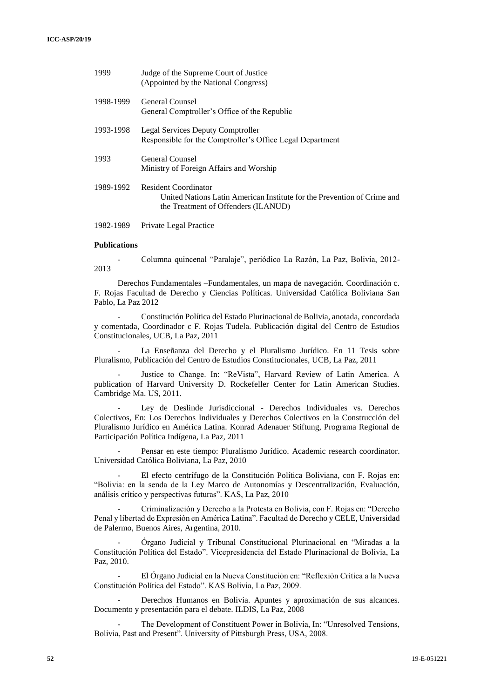| 1999      | Judge of the Supreme Court of Justice<br>(Appointed by the National Congress)                                                                 |
|-----------|-----------------------------------------------------------------------------------------------------------------------------------------------|
| 1998-1999 | General Counsel<br>General Comptroller's Office of the Republic                                                                               |
| 1993-1998 | Legal Services Deputy Comptroller<br>Responsible for the Comptroller's Office Legal Department                                                |
| 1993      | General Counsel<br>Ministry of Foreign Affairs and Worship                                                                                    |
| 1989-1992 | <b>Resident Coordinator</b><br>United Nations Latin American Institute for the Prevention of Crime and<br>the Treatment of Offenders (ILANUD) |

1982-1989 Private Legal Practice

#### **Publications**

- Columna quincenal "Paralaje", periódico La Razón, La Paz, Bolivia, 2012- 2013

Derechos Fundamentales –Fundamentales, un mapa de navegación. Coordinación c. F. Rojas Facultad de Derecho y Ciencias Políticas. Universidad Católica Boliviana San Pablo, La Paz 2012

- Constitución Política del Estado Plurinacional de Bolivia, anotada, concordada y comentada, Coordinador c F. Rojas Tudela. Publicación digital del Centro de Estudios Constitucionales, UCB, La Paz, 2011

La Enseñanza del Derecho y el Pluralismo Jurídico. En 11 Tesis sobre Pluralismo, Publicación del Centro de Estudios Constitucionales, UCB, La Paz, 2011

Justice to Change. In: "ReVista", Harvard Review of Latin America. A publication of Harvard University D. Rockefeller Center for Latin American Studies. Cambridge Ma. US, 2011.

Ley de Deslinde Jurisdiccional - Derechos Individuales vs. Derechos Colectivos, En: Los Derechos Individuales y Derechos Colectivos en la Construcción del Pluralismo Jurídico en América Latina. Konrad Adenauer Stiftung, Programa Regional de Participación Política Indígena, La Paz, 2011

Pensar en este tiempo: Pluralismo Jurídico. Academic research coordinator. Universidad Católica Boliviana, La Paz, 2010

- El efecto centrífugo de la Constitución Política Boliviana, con F. Rojas en: "Bolivia: en la senda de la Ley Marco de Autonomías y Descentralización, Evaluación, análisis crítico y perspectivas futuras". KAS, La Paz, 2010

- Criminalización y Derecho a la Protesta en Bolivia, con F. Rojas en: "Derecho Penal y libertad de Expresión en América Latina". Facultad de Derecho y CELE, Universidad de Palermo, Buenos Aires, Argentina, 2010.

- Órgano Judicial y Tribunal Constitucional Plurinacional en "Miradas a la Constitución Política del Estado". Vicepresidencia del Estado Plurinacional de Bolivia, La Paz, 2010.

- El Órgano Judicial en la Nueva Constitución en: "Reflexión Crítica a la Nueva Constitución Política del Estado". KAS Bolivia, La Paz, 2009.

Derechos Humanos en Bolivia. Apuntes y aproximación de sus alcances. Documento y presentación para el debate. ILDIS, La Paz, 2008

The Development of Constituent Power in Bolivia, In: "Unresolved Tensions, Bolivia, Past and Present". University of Pittsburgh Press, USA, 2008.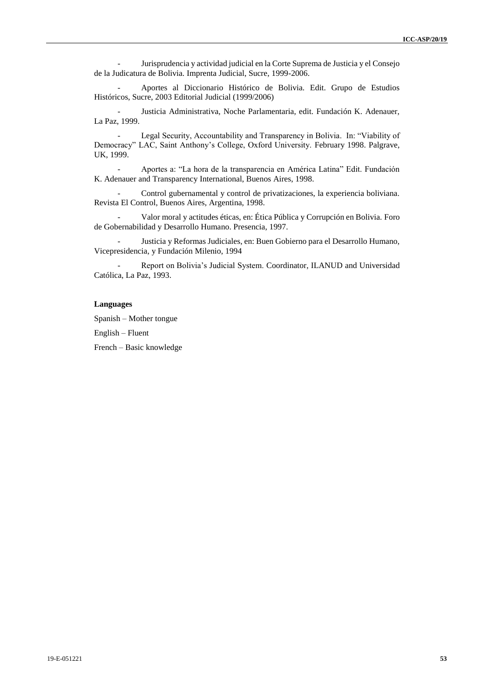- Jurisprudencia y actividad judicial en la Corte Suprema de Justicia y el Consejo de la Judicatura de Bolivia. Imprenta Judicial, Sucre, 1999-2006.

- Aportes al Diccionario Histórico de Bolivia. Edit. Grupo de Estudios Históricos, Sucre, 2003 Editorial Judicial (1999/2006)

Justicia Administrativa, Noche Parlamentaria, edit. Fundación K. Adenauer, La Paz, 1999.

Legal Security, Accountability and Transparency in Bolivia. In: "Viability of Democracy" LAC, Saint Anthony's College, Oxford University. February 1998. Palgrave, UK, 1999.

- Aportes a: "La hora de la transparencia en América Latina" Edit. Fundación K. Adenauer and Transparency International, Buenos Aires, 1998.

Control gubernamental y control de privatizaciones, la experiencia boliviana. Revista El Control, Buenos Aires, Argentina, 1998.

- Valor moral y actitudes éticas, en: Ética Pública y Corrupción en Bolivia. Foro de Gobernabilidad y Desarrollo Humano. Presencia, 1997.

- Justicia y Reformas Judiciales, en: Buen Gobierno para el Desarrollo Humano, Vicepresidencia, y Fundación Milenio, 1994

Report on Bolivia's Judicial System. Coordinator, ILANUD and Universidad Católica, La Paz, 1993.

#### **Languages**

Spanish – Mother tongue

English – Fluent

French – Basic knowledge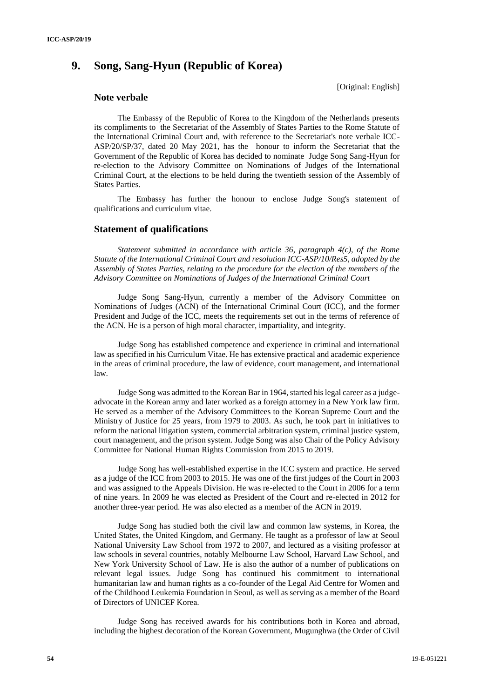# **9. Song, Sang-Hyun (Republic of Korea)**

[Original: English]

### **Note verbale**

The Embassy of the Republic of Korea to the Kingdom of the Netherlands presents its compliments to the Secretariat of the Assembly of States Parties to the Rome Statute of the International Criminal Court and, with reference to the Secretariat's note verbale ICC-ASP/20/SP/37, dated 20 May 2021, has the honour to inform the Secretariat that the Government of the Republic of Korea has decided to nominate Judge Song Sang-Hyun for re-election to the Advisory Committee on Nominations of Judges of the International Criminal Court, at the elections to be held during the twentieth session of the Assembly of States Parties.

The Embassy has further the honour to enclose Judge Song's statement of qualifications and curriculum vitae.

### **Statement of qualifications**

*Statement submitted in accordance with article 36, paragraph 4(c), of the Rome Statute of the International Criminal Court and resolution ICC-ASP/10/Res5, adopted by the Assembly of States Parties, relating to the procedure for the election of the members of the Advisory Committee on Nominations of Judges of the International Criminal Court*

Judge Song Sang-Hyun, currently a member of the Advisory Committee on Nominations of Judges (ACN) of the International Criminal Court (ICC), and the former President and Judge of the ICC, meets the requirements set out in the terms of reference of the ACN. He is a person of high moral character, impartiality, and integrity.

Judge Song has established competence and experience in criminal and international law as specified in his Curriculum Vitae. He has extensive practical and academic experience in the areas of criminal procedure, the law of evidence, court management, and international law.

Judge Song was admitted to the Korean Bar in 1964, started his legal career as a judgeadvocate in the Korean army and later worked as a foreign attorney in a New York law firm. He served as a member of the Advisory Committees to the Korean Supreme Court and the Ministry of Justice for 25 years, from 1979 to 2003. As such, he took part in initiatives to reform the national litigation system, commercial arbitration system, criminal justice system, court management, and the prison system. Judge Song was also Chair of the Policy Advisory Committee for National Human Rights Commission from 2015 to 2019*.*

Judge Song has well-established expertise in the ICC system and practice. He served as a judge of the ICC from 2003 to 2015. He was one of the first judges of the Court in 2003 and was assigned to the Appeals Division. He was re-elected to the Court in 2006 for a term of nine years. In 2009 he was elected as President of the Court and re-elected in 2012 for another three-year period. He was also elected as a member of the ACN in 2019.

Judge Song has studied both the civil law and common law systems, in Korea, the United States, the United Kingdom, and Germany. He taught as a professor of law at Seoul National University Law School from 1972 to 2007, and lectured as a visiting professor at law schools in several countries, notably Melbourne Law School, Harvard Law School, and New York University School of Law. He is also the author of a number of publications on relevant legal issues. Judge Song has continued his commitment to international humanitarian law and human rights as a co-founder of the Legal Aid Centre for Women and of the Childhood Leukemia Foundation in Seoul, as well as serving as a member of the Board of Directors of UNICEF Korea.

Judge Song has received awards for his contributions both in Korea and abroad, including the highest decoration of the Korean Government, Mugunghwa (the Order of Civil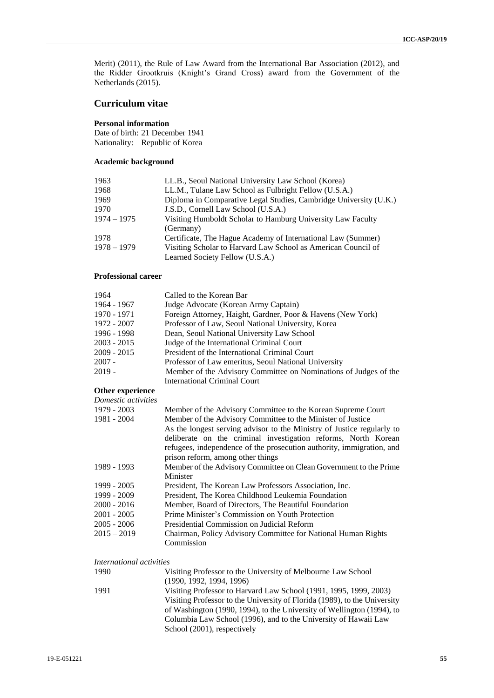Merit) (2011), the Rule of Law Award from the International Bar Association (2012), and the Ridder Grootkruis (Knight's Grand Cross) award from the Government of the Netherlands (2015).

### **Curriculum vitae**

### **Personal information**

Date of birth: 21 December 1941 Nationality: Republic of Korea

### **Academic background**

| 1963          | LL.B., Seoul National University Law School (Korea)               |
|---------------|-------------------------------------------------------------------|
| 1968          | LL.M., Tulane Law School as Fulbright Fellow (U.S.A.)             |
| 1969          | Diploma in Comparative Legal Studies, Cambridge University (U.K.) |
| 1970          | J.S.D., Cornell Law School (U.S.A.)                               |
| $1974 - 1975$ | Visiting Humboldt Scholar to Hamburg University Law Faculty       |
|               | (Germany)                                                         |
| 1978          | Certificate, The Hague Academy of International Law (Summer)      |
| $1978 - 1979$ | Visiting Scholar to Harvard Law School as American Council of     |
|               | Learned Society Fellow (U.S.A.)                                   |

### **Professional career**

| 1964                     | Called to the Korean Bar                                               |
|--------------------------|------------------------------------------------------------------------|
| 1964 - 1967              | Judge Advocate (Korean Army Captain)                                   |
| 1970 - 1971              | Foreign Attorney, Haight, Gardner, Poor & Havens (New York)            |
| 1972 - 2007              |                                                                        |
|                          | Professor of Law, Seoul National University, Korea                     |
| 1996 - 1998              | Dean, Seoul National University Law School                             |
| 2003 - 2015              | Judge of the International Criminal Court                              |
| 2009 - 2015              | President of the International Criminal Court                          |
| 2007 -                   | Professor of Law emeritus, Seoul National University                   |
| 2019 -                   | Member of the Advisory Committee on Nominations of Judges of the       |
|                          | <b>International Criminal Court</b>                                    |
| Other experience         |                                                                        |
| Domestic activities      |                                                                        |
| 1979 - 2003              | Member of the Advisory Committee to the Korean Supreme Court           |
| 1981 - 2004              | Member of the Advisory Committee to the Minister of Justice            |
|                          | As the longest serving advisor to the Ministry of Justice regularly to |
|                          | deliberate on the criminal investigation reforms, North Korean         |
|                          | refugees, independence of the prosecution authority, immigration, and  |
|                          | prison reform, among other things                                      |
| 1989 - 1993              | Member of the Advisory Committee on Clean Government to the Prime      |
|                          | Minister                                                               |
| 1999 - 2005              | President, The Korean Law Professors Association, Inc.                 |
| 1999 - 2009              | President, The Korea Childhood Leukemia Foundation                     |
| 2000 - 2016              | Member, Board of Directors, The Beautiful Foundation                   |
| 2001 - 2005              | Prime Minister's Commission on Youth Protection                        |
| 2005 - 2006              | Presidential Commission on Judicial Reform                             |
| 2015 – 2019              | Chairman, Policy Advisory Committee for National Human Rights          |
|                          | Commission                                                             |
|                          |                                                                        |
| International activities |                                                                        |

#### *International activities*

| 1990 | Visiting Professor to the University of Melbourne Law School              |
|------|---------------------------------------------------------------------------|
|      | (1990, 1992, 1994, 1996)                                                  |
| 1991 | Visiting Professor to Harvard Law School (1991, 1995, 1999, 2003)         |
|      | Visiting Professor to the University of Florida (1989), to the University |
|      | of Washington (1990, 1994), to the University of Wellington (1994), to    |
|      | Columbia Law School (1996), and to the University of Hawaii Law           |
|      | School (2001), respectively                                               |